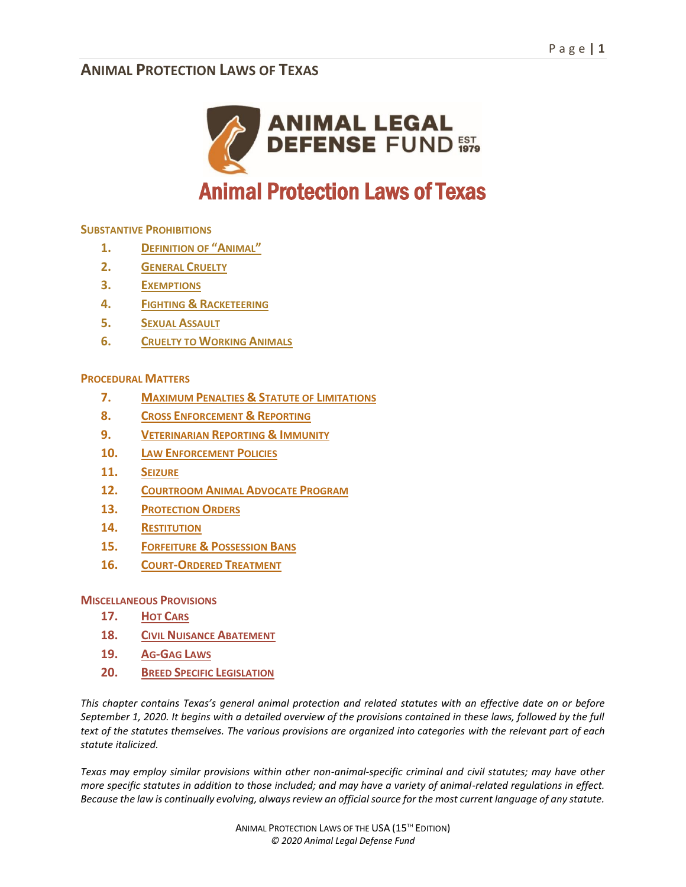

#### **SUBSTANTIVE PROHIBITIONS**

- **1. DEFINITION OF "ANIMAL"**
- **2. GENERAL CRUELTY**
- **3. EXEMPTIONS**
- **4. FIGHTING & RACKETEERING**
- **5. SEXUAL ASSAULT**
- **6. CRUELTY TO WORKING ANIMALS**

#### **PROCEDURAL MATTERS**

- **7. MAXIMUM PENALTIES & STATUTE OF LIMITATIONS**
- **8. CROSS ENFORCEMENT & REPORTING**
- **9. VETERINARIAN REPORTING & IMMUNITY**
- **10. LAW ENFORCEMENT POLICIES**
- **11. SEIZURE**
- **12. COURTROOM ANIMAL ADVOCATE PROGRAM**
- **13. PROTECTION ORDERS**
- **14. RESTITUTION**
- **15. FORFEITURE & POSSESSION BANS**
- **16. COURT-ORDERED TREATMENT**

#### **MISCELLANEOUS PROVISIONS**

- **17. HOT CARS**
- **18. CIVIL NUISANCE ABATEMENT**
- **19. AG-GAG LAWS**
- **20. BREED SPECIFIC LEGISLATION**

*This chapter contains Texas's general animal protection and related statutes with an effective date on or before September 1, 2020. It begins with a detailed overview of the provisions contained in these laws, followed by the full text of the statutes themselves. The various provisions are organized into categories with the relevant part of each statute italicized.* 

*Texas may employ similar provisions within other non-animal-specific criminal and civil statutes; may have other more specific statutes in addition to those included; and may have a variety of animal-related regulations in effect. Because the law is continually evolving, always review an official source for the most current language of any statute.*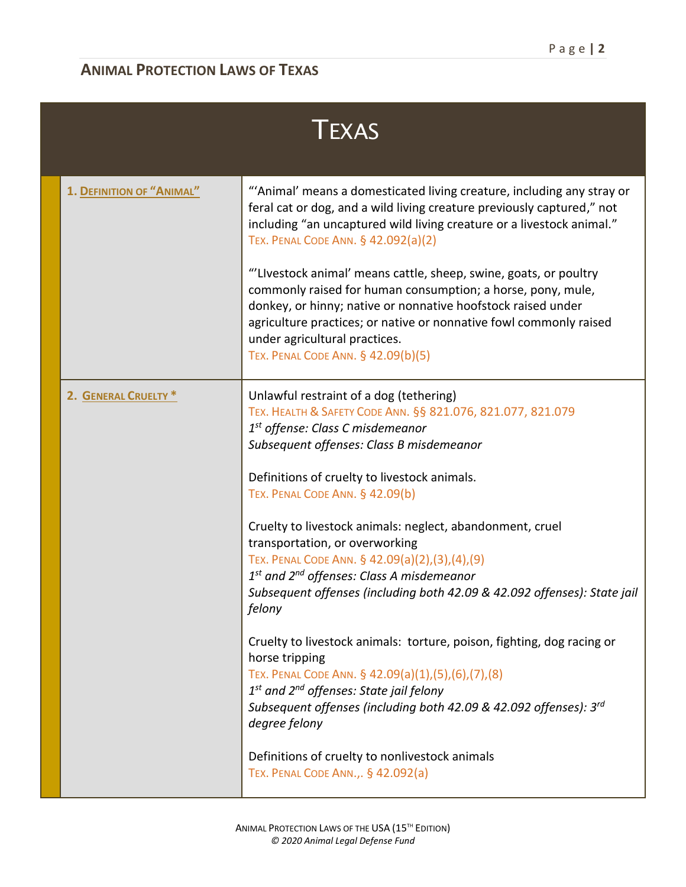| <b>TEXAS</b>              |                                                                                                                                                                                                                                                                                                                                               |  |
|---------------------------|-----------------------------------------------------------------------------------------------------------------------------------------------------------------------------------------------------------------------------------------------------------------------------------------------------------------------------------------------|--|
| 1. DEFINITION OF "ANIMAL" | "'Animal' means a domesticated living creature, including any stray or<br>feral cat or dog, and a wild living creature previously captured," not<br>including "an uncaptured wild living creature or a livestock animal."<br>TEX. PENAL CODE ANN. § 42.092(a)(2)                                                                              |  |
|                           | "'Livestock animal' means cattle, sheep, swine, goats, or poultry<br>commonly raised for human consumption; a horse, pony, mule,<br>donkey, or hinny; native or nonnative hoofstock raised under<br>agriculture practices; or native or nonnative fowl commonly raised<br>under agricultural practices.<br>TEX. PENAL CODE ANN. § 42.09(b)(5) |  |
| 2. GENERAL CRUELTY *      | Unlawful restraint of a dog (tethering)<br>TEX. HEALTH & SAFETY CODE ANN. §§ 821.076, 821.077, 821.079<br>1 <sup>st</sup> offense: Class C misdemeanor<br>Subsequent offenses: Class B misdemeanor                                                                                                                                            |  |
|                           | Definitions of cruelty to livestock animals.<br>TEX. PENAL CODE ANN. § 42.09(b)                                                                                                                                                                                                                                                               |  |
|                           | Cruelty to livestock animals: neglect, abandonment, cruel<br>transportation, or overworking                                                                                                                                                                                                                                                   |  |
|                           | TEX. PENAL CODE ANN. § 42.09(a)(2),(3),(4),(9)<br>1st and 2 <sup>nd</sup> offenses: Class A misdemeanor                                                                                                                                                                                                                                       |  |
|                           | Subsequent offenses (including both 42.09 & 42.092 offenses): State jail<br><i>felony</i>                                                                                                                                                                                                                                                     |  |
|                           | Cruelty to livestock animals: torture, poison, fighting, dog racing or<br>horse tripping                                                                                                                                                                                                                                                      |  |
|                           | TEX. PENAL CODE ANN. § 42.09(a)(1),(5),(6),(7),(8)<br>1st and 2nd offenses: State jail felony                                                                                                                                                                                                                                                 |  |
|                           | Subsequent offenses (including both 42.09 & 42.092 offenses): 3rd<br>degree felony                                                                                                                                                                                                                                                            |  |
|                           | Definitions of cruelty to nonlivestock animals<br>TEX. PENAL CODE ANN.,. § 42.092(a)                                                                                                                                                                                                                                                          |  |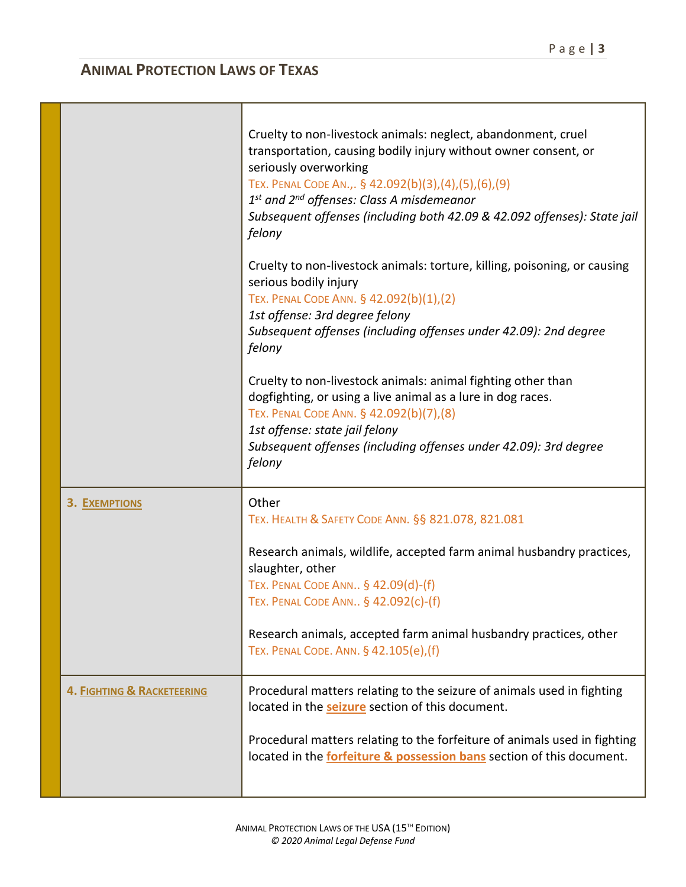|                            | Cruelty to non-livestock animals: neglect, abandonment, cruel<br>transportation, causing bodily injury without owner consent, or<br>seriously overworking<br>TEX. PENAL CODE AN.,. § 42.092(b)(3),(4),(5),(6),(9)<br>$1st$ and $2nd$ offenses: Class A misdemeanor<br>Subsequent offenses (including both 42.09 & 42.092 offenses): State jail<br>felony<br>Cruelty to non-livestock animals: torture, killing, poisoning, or causing<br>serious bodily injury<br>TEX. PENAL CODE ANN. § 42.092(b)(1),(2)<br>1st offense: 3rd degree felony<br>Subsequent offenses (including offenses under 42.09): 2nd degree<br>felony |
|----------------------------|---------------------------------------------------------------------------------------------------------------------------------------------------------------------------------------------------------------------------------------------------------------------------------------------------------------------------------------------------------------------------------------------------------------------------------------------------------------------------------------------------------------------------------------------------------------------------------------------------------------------------|
|                            | Cruelty to non-livestock animals: animal fighting other than<br>dogfighting, or using a live animal as a lure in dog races.<br>TEX. PENAL CODE ANN. § 42.092(b)(7),(8)<br>1st offense: state jail felony<br>Subsequent offenses (including offenses under 42.09): 3rd degree<br>felony                                                                                                                                                                                                                                                                                                                                    |
| <b>3. EXEMPTIONS</b>       | Other<br>TEX. HEALTH & SAFETY CODE ANN. §§ 821.078, 821.081<br>Research animals, wildlife, accepted farm animal husbandry practices,<br>slaughter, other<br>TEX. PENAL CODE ANN § 42.09(d)-(f)<br>TEX. PENAL CODE ANN § 42.092(c)-(f)<br>Research animals, accepted farm animal husbandry practices, other<br>TEX. PENAL CODE. ANN. § 42.105(e),(f)                                                                                                                                                                                                                                                                       |
| 4. FIGHTING & RACKETEERING | Procedural matters relating to the seizure of animals used in fighting<br>located in the <b>seizure</b> section of this document.<br>Procedural matters relating to the forfeiture of animals used in fighting<br>located in the <b>forfeiture &amp; possession bans</b> section of this document.                                                                                                                                                                                                                                                                                                                        |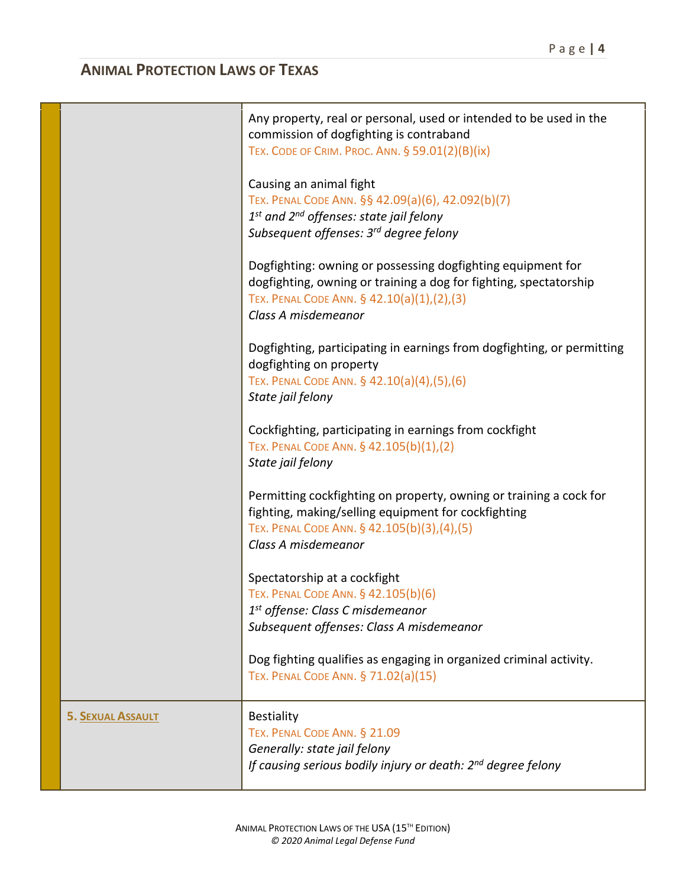|                          | Any property, real or personal, used or intended to be used in the<br>commission of dogfighting is contraband<br>TEX. CODE OF CRIM. PROC. ANN. § 59.01(2)(B)(ix)                                      |
|--------------------------|-------------------------------------------------------------------------------------------------------------------------------------------------------------------------------------------------------|
|                          | Causing an animal fight<br>TEX. PENAL CODE ANN. §§ 42.09(a)(6), 42.092(b)(7)<br>1st and 2 <sup>nd</sup> offenses: state jail felony<br>Subsequent offenses: 3rd degree felony                         |
|                          | Dogfighting: owning or possessing dogfighting equipment for<br>dogfighting, owning or training a dog for fighting, spectatorship<br>TEX. PENAL CODE ANN. § 42.10(a)(1),(2),(3)<br>Class A misdemeanor |
|                          | Dogfighting, participating in earnings from dogfighting, or permitting<br>dogfighting on property<br>TEX. PENAL CODE ANN. § 42.10(a)(4),(5),(6)<br>State jail felony                                  |
|                          | Cockfighting, participating in earnings from cockfight<br>TEX. PENAL CODE ANN. § 42.105(b)(1),(2)<br>State jail felony                                                                                |
|                          | Permitting cockfighting on property, owning or training a cock for<br>fighting, making/selling equipment for cockfighting<br>TEX. PENAL CODE ANN. § 42.105(b)(3),(4),(5)<br>Class A misdemeanor       |
|                          | Spectatorship at a cockfight<br>TEX. PENAL CODE ANN. § 42.105(b)(6)<br>1 <sup>st</sup> offense: Class C misdemeanor<br>Subsequent offenses: Class A misdemeanor                                       |
|                          | Dog fighting qualifies as engaging in organized criminal activity.<br>TEX. PENAL CODE ANN. § 71.02(a)(15)                                                                                             |
| <b>5. SEXUAL ASSAULT</b> | <b>Bestiality</b><br>TEX. PENAL CODE ANN. § 21.09<br>Generally: state jail felony<br>If causing serious bodily injury or death: $2^{nd}$ degree felony                                                |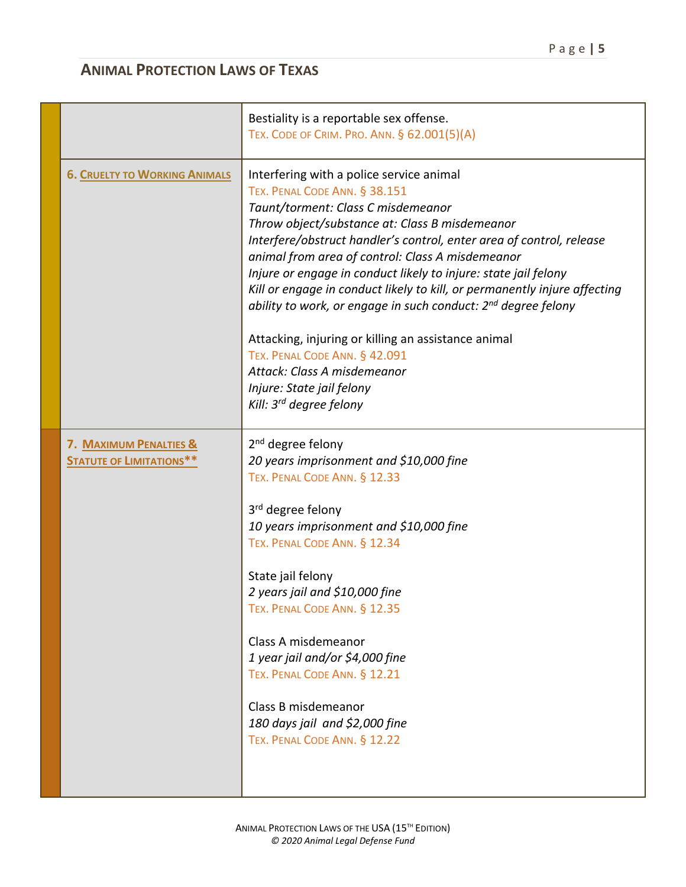|                                                           | Bestiality is a reportable sex offense.<br>TEX. CODE OF CRIM. PRO. ANN. § 62.001(5)(A)                                                                                                                                                                                                                                                                                                                                                                                                                                                                                                                                                                                                                                |
|-----------------------------------------------------------|-----------------------------------------------------------------------------------------------------------------------------------------------------------------------------------------------------------------------------------------------------------------------------------------------------------------------------------------------------------------------------------------------------------------------------------------------------------------------------------------------------------------------------------------------------------------------------------------------------------------------------------------------------------------------------------------------------------------------|
| <b>6. CRUELTY TO WORKING ANIMALS</b>                      | Interfering with a police service animal<br>TEX. PENAL CODE ANN. § 38.151<br>Taunt/torment: Class C misdemeanor<br>Throw object/substance at: Class B misdemeanor<br>Interfere/obstruct handler's control, enter area of control, release<br>animal from area of control: Class A misdemeanor<br>Injure or engage in conduct likely to injure: state jail felony<br>Kill or engage in conduct likely to kill, or permanently injure affecting<br>ability to work, or engage in such conduct: 2 <sup>nd</sup> degree felony<br>Attacking, injuring or killing an assistance animal<br>TEX. PENAL CODE ANN. § 42.091<br>Attack: Class A misdemeanor<br>Injure: State jail felony<br>Kill: 3 <sup>rd</sup> degree felony |
| 7. MAXIMUM PENALTIES &<br><b>STATUTE OF LIMITATIONS**</b> | 2 <sup>nd</sup> degree felony<br>20 years imprisonment and \$10,000 fine<br>TEX. PENAL CODE ANN. § 12.33<br>3rd degree felony<br>10 years imprisonment and \$10,000 fine<br>TEX. PENAL CODE ANN. § 12.34<br>State jail felony<br>2 years jail and \$10,000 fine<br>TEX. PENAL CODE ANN. § 12.35<br>Class A misdemeanor<br>1 year jail and/or \$4,000 fine<br>TEX. PENAL CODE ANN. § 12.21<br>Class B misdemeanor<br>180 days jail and \$2,000 fine<br>TEX. PENAL CODE ANN. § 12.22                                                                                                                                                                                                                                    |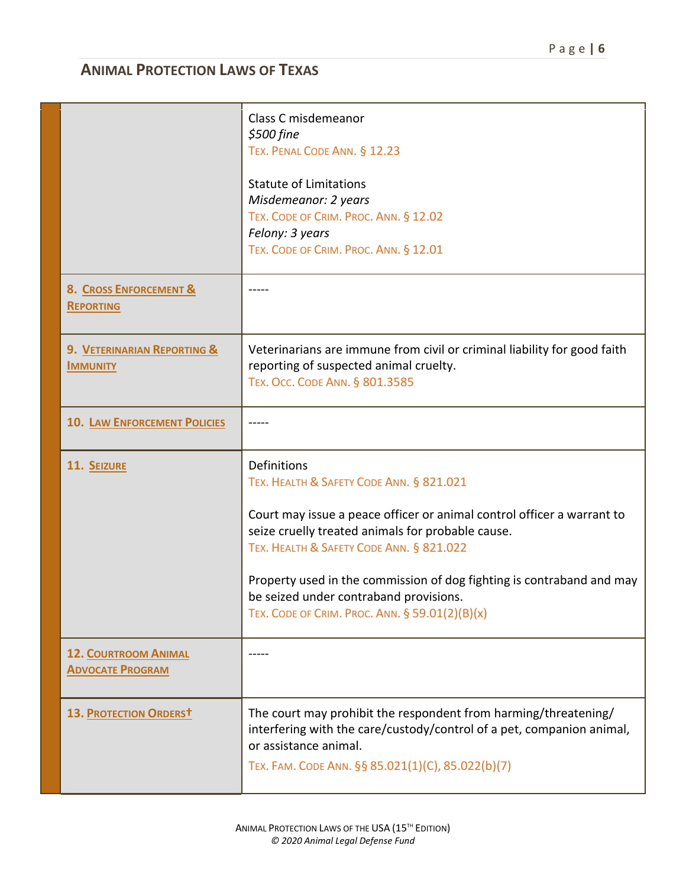|                                                        | Class C misdemeanor<br>\$500 fine<br>TEX. PENAL CODE ANN. § 12.23<br><b>Statute of Limitations</b><br>Misdemeanor: 2 years<br>TEX. CODE OF CRIM. PROC. ANN. § 12.02<br>Felony: 3 years<br>TEX. CODE OF CRIM. PROC. ANN. § 12.01                                                                                                                                                                                |
|--------------------------------------------------------|----------------------------------------------------------------------------------------------------------------------------------------------------------------------------------------------------------------------------------------------------------------------------------------------------------------------------------------------------------------------------------------------------------------|
| 8. CROSS ENFORCEMENT &<br><b>REPORTING</b>             |                                                                                                                                                                                                                                                                                                                                                                                                                |
| 9. VETERINARIAN REPORTING &<br><b>IMMUNITY</b>         | Veterinarians are immune from civil or criminal liability for good faith<br>reporting of suspected animal cruelty.<br>TEX. OCC. CODE ANN. § 801.3585                                                                                                                                                                                                                                                           |
| <b>10. LAW ENFORCEMENT POLICIES</b>                    |                                                                                                                                                                                                                                                                                                                                                                                                                |
| 11. SEIZURE                                            | <b>Definitions</b><br>TEX. HEALTH & SAFETY CODE ANN. § 821.021<br>Court may issue a peace officer or animal control officer a warrant to<br>seize cruelly treated animals for probable cause.<br>TEX. HEALTH & SAFETY CODE ANN. § 821.022<br>Property used in the commission of dog fighting is contraband and may<br>be seized under contraband provisions.<br>TEX. CODE OF CRIM. PROC. ANN. § 59.01(2)(B)(x) |
| <b>12. COURTROOM ANIMAL</b><br><b>ADVOCATE PROGRAM</b> |                                                                                                                                                                                                                                                                                                                                                                                                                |
| 13. PROTECTION ORDERST                                 | The court may prohibit the respondent from harming/threatening/<br>interfering with the care/custody/control of a pet, companion animal,                                                                                                                                                                                                                                                                       |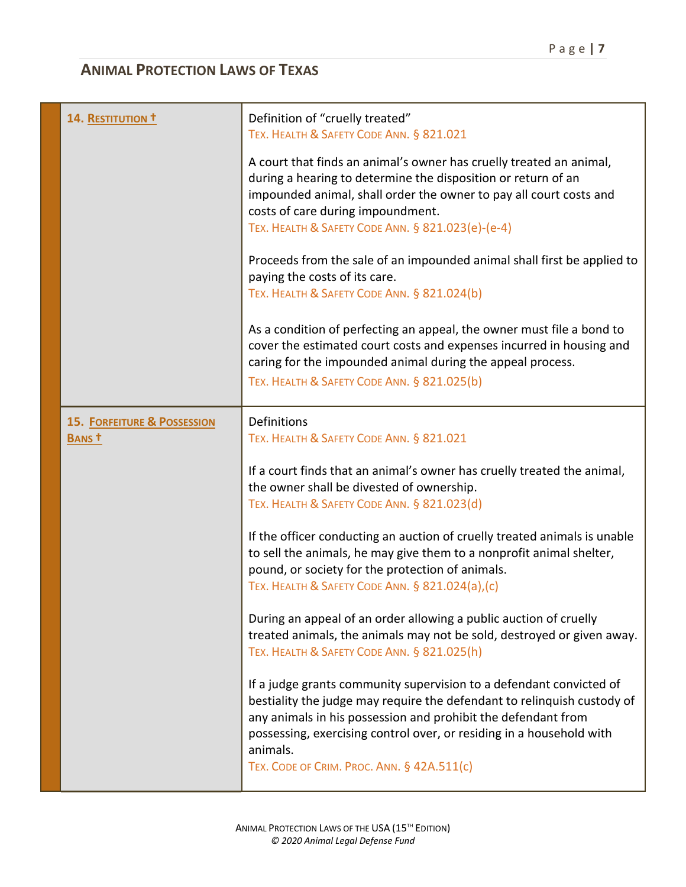| 14. RESTITUTION T                                | Definition of "cruelly treated"<br>TEX. HEALTH & SAFETY CODE ANN. § 821.021                                                                                                                                                                                                                                                                       |
|--------------------------------------------------|---------------------------------------------------------------------------------------------------------------------------------------------------------------------------------------------------------------------------------------------------------------------------------------------------------------------------------------------------|
|                                                  | A court that finds an animal's owner has cruelly treated an animal,<br>during a hearing to determine the disposition or return of an<br>impounded animal, shall order the owner to pay all court costs and<br>costs of care during impoundment.<br>TEX. HEALTH & SAFETY CODE ANN. § 821.023(e)-(e-4)                                              |
|                                                  | Proceeds from the sale of an impounded animal shall first be applied to<br>paying the costs of its care.<br>TEX. HEALTH & SAFETY CODE ANN. § 821.024(b)                                                                                                                                                                                           |
|                                                  | As a condition of perfecting an appeal, the owner must file a bond to<br>cover the estimated court costs and expenses incurred in housing and<br>caring for the impounded animal during the appeal process.<br>TEX. HEALTH & SAFETY CODE ANN. § 821.025(b)                                                                                        |
|                                                  | Definitions                                                                                                                                                                                                                                                                                                                                       |
| <b>15. FORFEITURE &amp; POSSESSION</b><br>BANS T | TEX. HEALTH & SAFETY CODE ANN. § 821.021                                                                                                                                                                                                                                                                                                          |
|                                                  | If a court finds that an animal's owner has cruelly treated the animal,<br>the owner shall be divested of ownership.<br>TEX. HEALTH & SAFETY CODE ANN. § 821.023(d)                                                                                                                                                                               |
|                                                  | If the officer conducting an auction of cruelly treated animals is unable<br>to sell the animals, he may give them to a nonprofit animal shelter,<br>pound, or society for the protection of animals.<br>TEX. HEALTH & SAFETY CODE ANN. § 821.024(a),(c)                                                                                          |
|                                                  | During an appeal of an order allowing a public auction of cruelly<br>treated animals, the animals may not be sold, destroyed or given away.<br>TEX. HEALTH & SAFETY CODE ANN. § 821.025(h)                                                                                                                                                        |
|                                                  | If a judge grants community supervision to a defendant convicted of<br>bestiality the judge may require the defendant to relinquish custody of<br>any animals in his possession and prohibit the defendant from<br>possessing, exercising control over, or residing in a household with<br>animals.<br>TEX. CODE OF CRIM. PROC. ANN. § 42A.511(c) |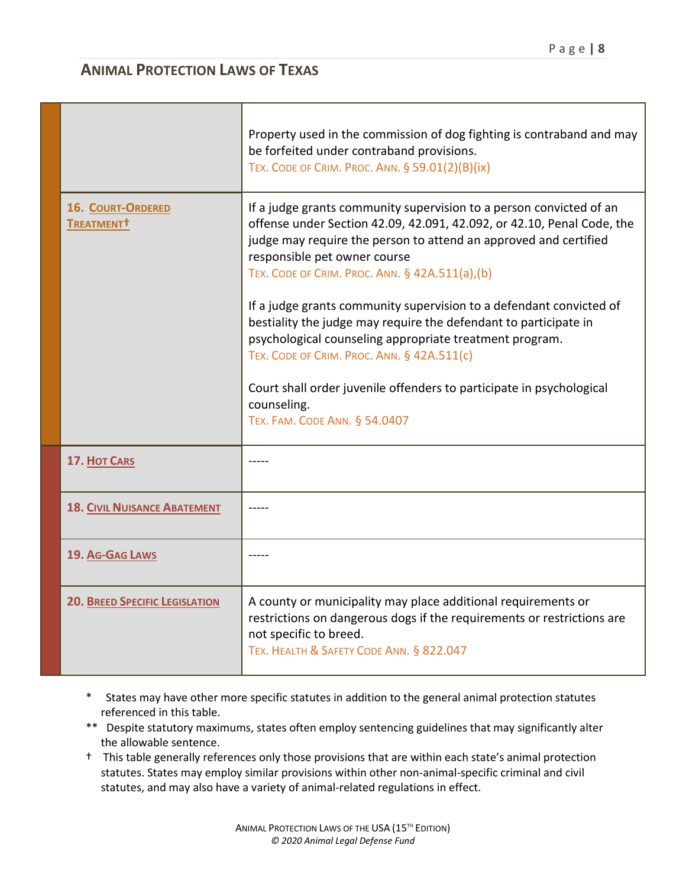|                                                    | Property used in the commission of dog fighting is contraband and may<br>be forfeited under contraband provisions.<br>TEX. CODE OF CRIM. PROC. ANN. § 59.01(2)(B)(ix)                                                                                                                                                                                                                                                                                                                                                                                                                                                                                                           |
|----------------------------------------------------|---------------------------------------------------------------------------------------------------------------------------------------------------------------------------------------------------------------------------------------------------------------------------------------------------------------------------------------------------------------------------------------------------------------------------------------------------------------------------------------------------------------------------------------------------------------------------------------------------------------------------------------------------------------------------------|
| <b>16. COURT-ORDERED</b><br>TREATMENT <sup>†</sup> | If a judge grants community supervision to a person convicted of an<br>offense under Section 42.09, 42.091, 42.092, or 42.10, Penal Code, the<br>judge may require the person to attend an approved and certified<br>responsible pet owner course<br>TEX. CODE OF CRIM. PROC. ANN. § 42A.511(a),(b)<br>If a judge grants community supervision to a defendant convicted of<br>bestiality the judge may require the defendant to participate in<br>psychological counseling appropriate treatment program.<br>TEX. CODE OF CRIM. PROC. ANN. § 42A.511(c)<br>Court shall order juvenile offenders to participate in psychological<br>counseling.<br>TEX. FAM. CODE ANN. § 54.0407 |
| 17. HOT CARS                                       |                                                                                                                                                                                                                                                                                                                                                                                                                                                                                                                                                                                                                                                                                 |
| <b>18. CIVIL NUISANCE ABATEMENT</b>                |                                                                                                                                                                                                                                                                                                                                                                                                                                                                                                                                                                                                                                                                                 |
| 19. AG-GAG LAWS                                    |                                                                                                                                                                                                                                                                                                                                                                                                                                                                                                                                                                                                                                                                                 |
| <b>20. BREED SPECIFIC LEGISLATION</b>              | A county or municipality may place additional requirements or<br>restrictions on dangerous dogs if the requirements or restrictions are<br>not specific to breed.<br>TEX. HEALTH & SAFETY CODE ANN. § 822.047                                                                                                                                                                                                                                                                                                                                                                                                                                                                   |

- \* States may have other more specific statutes in addition to the general animal protection statutes referenced in this table.
- \*\* Despite statutory maximums, states often employ sentencing guidelines that may significantly alter the allowable sentence.
- † This table generally references only those provisions that are within each state's animal protection statutes. States may employ similar provisions within other non-animal-specific criminal and civil statutes, and may also have a variety of animal-related regulations in effect.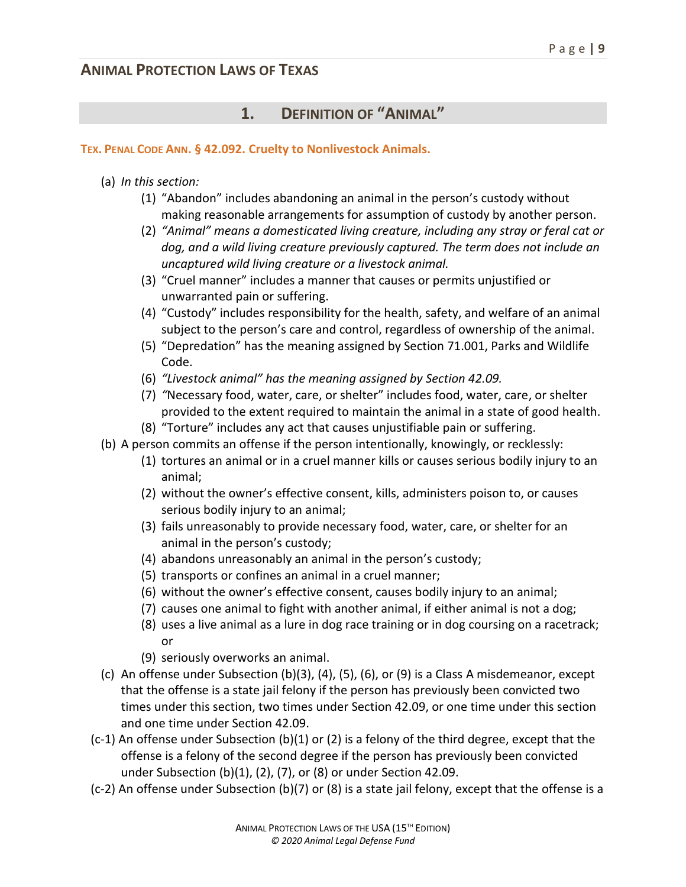# **1. DEFINITION OF "ANIMAL"**

### **TEX. PENAL CODE ANN. § 42.092. Cruelty to Nonlivestock Animals.**

- (a) *In this section:*
	- (1) "Abandon" includes abandoning an animal in the person's custody without making reasonable arrangements for assumption of custody by another person.
	- (2) *"Animal" means a domesticated living creature, including any stray or feral cat or dog, and a wild living creature previously captured. The term does not include an uncaptured wild living creature or a livestock animal.*
	- (3) "Cruel manner" includes a manner that causes or permits unjustified or unwarranted pain or suffering.
	- (4) "Custody" includes responsibility for the health, safety, and welfare of an animal subject to the person's care and control, regardless of ownership of the animal.
	- (5) "Depredation" has the meaning assigned by Section 71.001, Parks and Wildlife Code.
	- (6) *"Livestock animal" has the meaning assigned by Section 42.09.*
	- (7) *"*Necessary food, water, care, or shelter" includes food, water, care, or shelter provided to the extent required to maintain the animal in a state of good health.
	- (8) "Torture" includes any act that causes unjustifiable pain or suffering.
- (b) A person commits an offense if the person intentionally, knowingly, or recklessly:
	- (1) tortures an animal or in a cruel manner kills or causes serious bodily injury to an animal;
	- (2) without the owner's effective consent, kills, administers poison to, or causes serious bodily injury to an animal;
	- (3) fails unreasonably to provide necessary food, water, care, or shelter for an animal in the person's custody;
	- (4) abandons unreasonably an animal in the person's custody;
	- (5) transports or confines an animal in a cruel manner;
	- (6) without the owner's effective consent, causes bodily injury to an animal;
	- (7) causes one animal to fight with another animal, if either animal is not a dog;
	- (8) uses a live animal as a lure in dog race training or in dog coursing on a racetrack; or
	- (9) seriously overworks an animal.
- (c) An offense under Subsection  $(b)(3)$ ,  $(4)$ ,  $(5)$ ,  $(6)$ , or  $(9)$  is a Class A misdemeanor, except that the offense is a state jail felony if the person has previously been convicted two times under this section, two times under Section 42.09, or one time under this section and one time under Section 42.09.
- (c-1) An offense under Subsection (b)(1) or (2) is a felony of the third degree, except that the offense is a felony of the second degree if the person has previously been convicted under Subsection (b)(1), (2), (7), or (8) or under Section 42.09.
- (c-2) An offense under Subsection (b)(7) or (8) is a state jail felony, except that the offense is a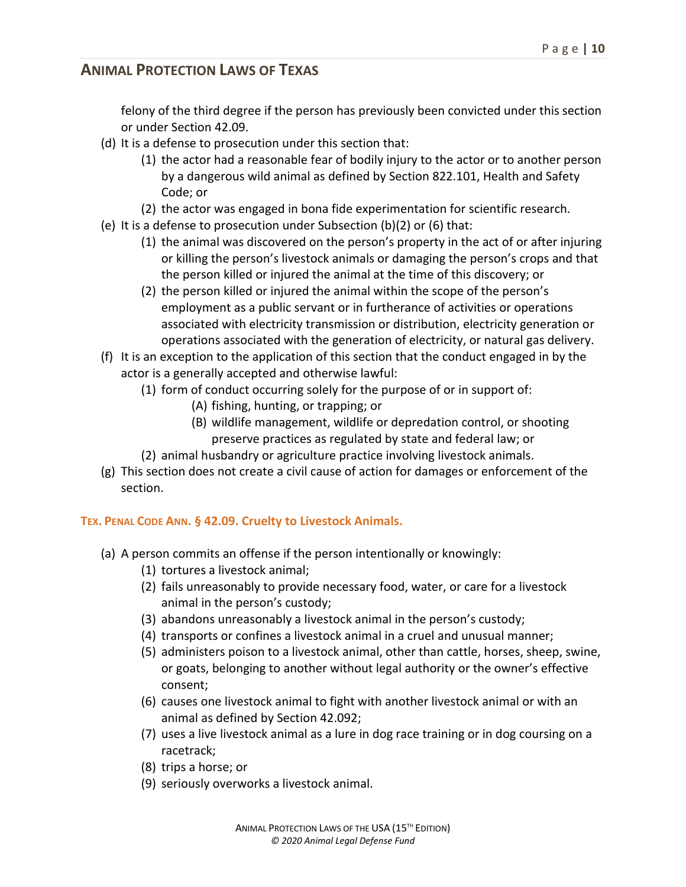felony of the third degree if the person has previously been convicted under this section or under Section 42.09.

- (d) It is a defense to prosecution under this section that:
	- (1) the actor had a reasonable fear of bodily injury to the actor or to another person by a dangerous wild animal as defined by Section 822.101, Health and Safety Code; or
	- (2) the actor was engaged in bona fide experimentation for scientific research.
- (e) It is a defense to prosecution under Subsection (b)(2) or (6) that:
	- (1) the animal was discovered on the person's property in the act of or after injuring or killing the person's livestock animals or damaging the person's crops and that the person killed or injured the animal at the time of this discovery; or
	- (2) the person killed or injured the animal within the scope of the person's employment as a public servant or in furtherance of activities or operations associated with electricity transmission or distribution, electricity generation or operations associated with the generation of electricity, or natural gas delivery.
- (f) It is an exception to the application of this section that the conduct engaged in by the actor is a generally accepted and otherwise lawful:
	- (1) form of conduct occurring solely for the purpose of or in support of:
		- (A) fishing, hunting, or trapping; or
		- (B) wildlife management, wildlife or depredation control, or shooting preserve practices as regulated by state and federal law; or
	- (2) animal husbandry or agriculture practice involving livestock animals.
- (g) This section does not create a civil cause of action for damages or enforcement of the section.

### **TEX. PENAL CODE ANN. § 42.09. Cruelty to Livestock Animals.**

- (a) A person commits an offense if the person intentionally or knowingly:
	- (1) tortures a livestock animal;
	- (2) fails unreasonably to provide necessary food, water, or care for a livestock animal in the person's custody;
	- (3) abandons unreasonably a livestock animal in the person's custody;
	- (4) transports or confines a livestock animal in a cruel and unusual manner;
	- (5) administers poison to a livestock animal, other than cattle, horses, sheep, swine, or goats, belonging to another without legal authority or the owner's effective consent;
	- (6) causes one livestock animal to fight with another livestock animal or with an animal as defined by Section 42.092;
	- (7) uses a live livestock animal as a lure in dog race training or in dog coursing on a racetrack;
	- (8) trips a horse; or
	- (9) seriously overworks a livestock animal.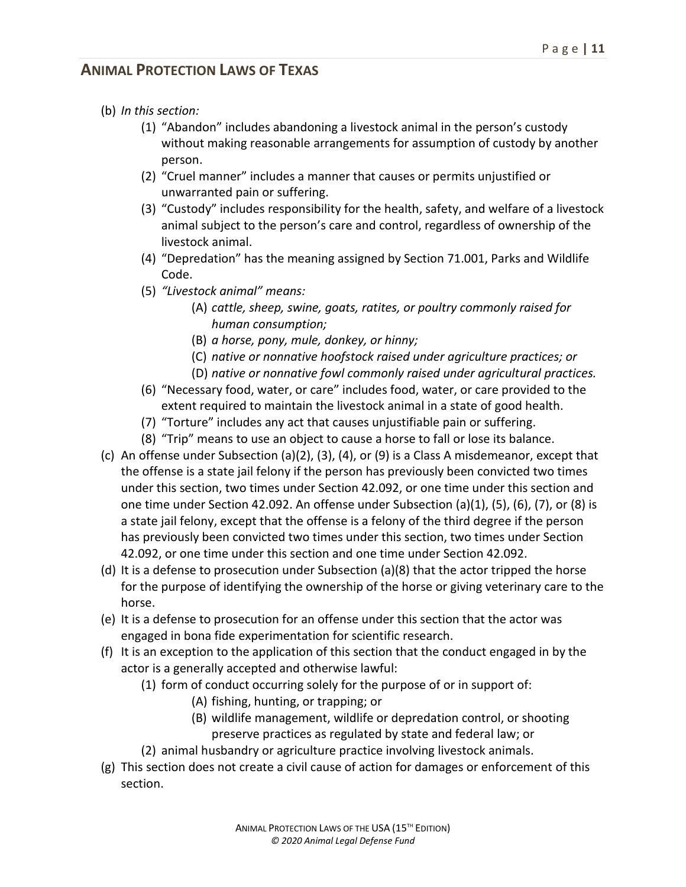- (b) *In this section:*
	- (1) "Abandon" includes abandoning a livestock animal in the person's custody without making reasonable arrangements for assumption of custody by another person.
	- (2) "Cruel manner" includes a manner that causes or permits unjustified or unwarranted pain or suffering.
	- (3) "Custody" includes responsibility for the health, safety, and welfare of a livestock animal subject to the person's care and control, regardless of ownership of the livestock animal.
	- (4) "Depredation" has the meaning assigned by Section 71.001, Parks and Wildlife Code.
	- (5) *"Livestock animal" means:*
		- (A) *cattle, sheep, swine, goats, ratites, or poultry commonly raised for human consumption;*
		- (B) *a horse, pony, mule, donkey, or hinny;*
		- (C) *native or nonnative hoofstock raised under agriculture practices; or*
		- (D) *native or nonnative fowl commonly raised under agricultural practices.*
	- (6) "Necessary food, water, or care" includes food, water, or care provided to the extent required to maintain the livestock animal in a state of good health.
	- (7) "Torture" includes any act that causes unjustifiable pain or suffering.
	- (8) "Trip" means to use an object to cause a horse to fall or lose its balance.
- (c) An offense under Subsection (a)(2), (3), (4), or (9) is a Class A misdemeanor, except that the offense is a state jail felony if the person has previously been convicted two times under this section, two times under Section 42.092, or one time under this section and one time under Section 42.092. An offense under Subsection (a)(1), (5), (6), (7), or (8) is a state jail felony, except that the offense is a felony of the third degree if the person has previously been convicted two times under this section, two times under Section 42.092, or one time under this section and one time under Section 42.092.
- (d) It is a defense to prosecution under Subsection (a)(8) that the actor tripped the horse for the purpose of identifying the ownership of the horse or giving veterinary care to the horse.
- (e) It is a defense to prosecution for an offense under this section that the actor was engaged in bona fide experimentation for scientific research.
- (f) It is an exception to the application of this section that the conduct engaged in by the actor is a generally accepted and otherwise lawful:
	- (1) form of conduct occurring solely for the purpose of or in support of:
		- (A) fishing, hunting, or trapping; or
		- (B) wildlife management, wildlife or depredation control, or shooting preserve practices as regulated by state and federal law; or
	- (2) animal husbandry or agriculture practice involving livestock animals.
- (g) This section does not create a civil cause of action for damages or enforcement of this section.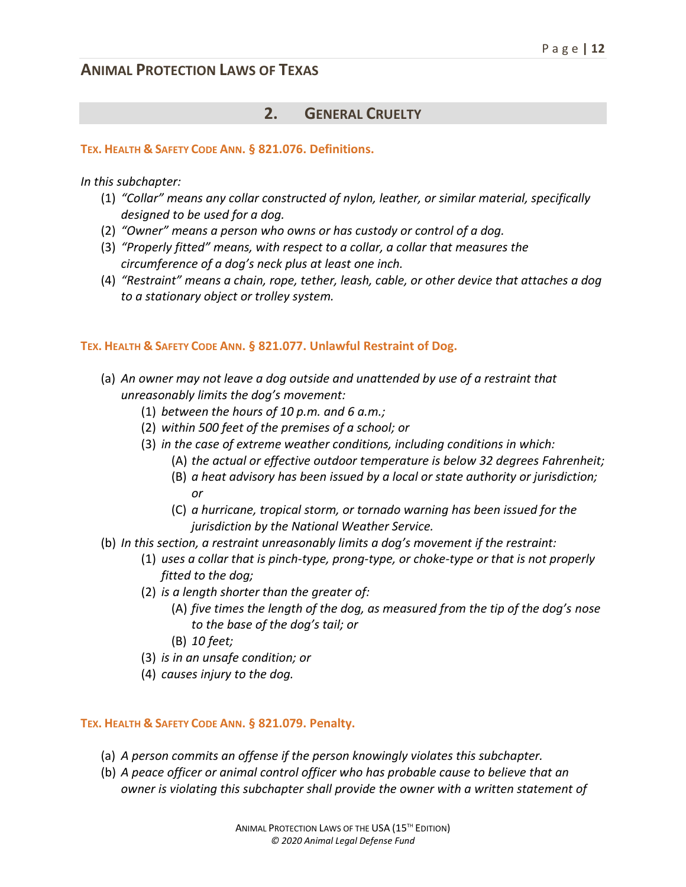### **2. GENERAL CRUELTY**

#### **TEX. HEALTH & SAFETY CODE ANN. § 821.076. Definitions.**

*In this subchapter:*

- (1) *"Collar" means any collar constructed of nylon, leather, or similar material, specifically designed to be used for a dog.*
- (2) *"Owner" means a person who owns or has custody or control of a dog.*
- (3) *"Properly fitted" means, with respect to a collar, a collar that measures the circumference of a dog's neck plus at least one inch.*
- (4) *"Restraint" means a chain, rope, tether, leash, cable, or other device that attaches a dog to a stationary object or trolley system.*

#### **TEX. HEALTH & SAFETY CODE ANN. § 821.077. Unlawful Restraint of Dog.**

- (a) *An owner may not leave a dog outside and unattended by use of a restraint that unreasonably limits the dog's movement:*
	- (1) *between the hours of 10 p.m. and 6 a.m.;*
	- (2) *within 500 feet of the premises of a school; or*
	- (3) *in the case of extreme weather conditions, including conditions in which:*
		- (A) *the actual or effective outdoor temperature is below 32 degrees Fahrenheit;*
		- (B) *a heat advisory has been issued by a local or state authority or jurisdiction; or*
		- (C) *a hurricane, tropical storm, or tornado warning has been issued for the jurisdiction by the National Weather Service.*
- (b) *In this section, a restraint unreasonably limits a dog's movement if the restraint:*
	- (1) *uses a collar that is pinch-type, prong-type, or choke-type or that is not properly fitted to the dog;*
	- (2) *is a length shorter than the greater of:*
		- (A) *five times the length of the dog, as measured from the tip of the dog's nose to the base of the dog's tail; or*
		- (B) *10 feet;*
	- (3) *is in an unsafe condition; or*
	- (4) *causes injury to the dog.*

#### **TEX. HEALTH & SAFETY CODE ANN. § 821.079. Penalty.**

- (a) *A person commits an offense if the person knowingly violates this subchapter.*
- (b) *A peace officer or animal control officer who has probable cause to believe that an owner is violating this subchapter shall provide the owner with a written statement of*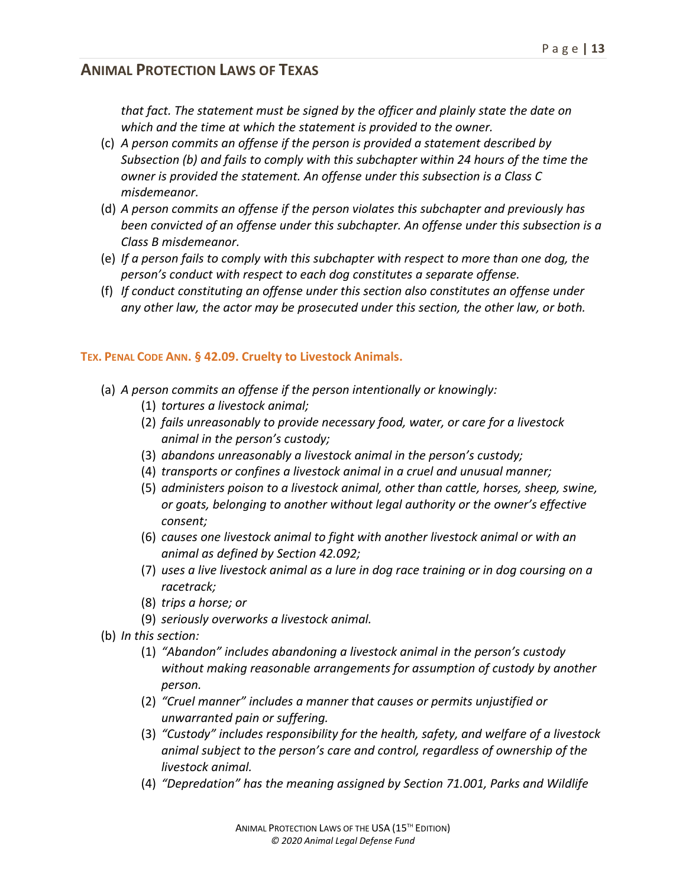*that fact. The statement must be signed by the officer and plainly state the date on which and the time at which the statement is provided to the owner.*

- (c) *A person commits an offense if the person is provided a statement described by Subsection (b) and fails to comply with this subchapter within 24 hours of the time the owner is provided the statement. An offense under this subsection is a Class C misdemeanor.*
- (d) *A person commits an offense if the person violates this subchapter and previously has been convicted of an offense under this subchapter. An offense under this subsection is a Class B misdemeanor.*
- (e) *If a person fails to comply with this subchapter with respect to more than one dog, the person's conduct with respect to each dog constitutes a separate offense.*
- (f) *If conduct constituting an offense under this section also constitutes an offense under any other law, the actor may be prosecuted under this section, the other law, or both.*

### **TEX. PENAL CODE ANN. § 42.09. Cruelty to Livestock Animals.**

- (a) *A person commits an offense if the person intentionally or knowingly:*
	- (1) *tortures a livestock animal;*
	- (2) *fails unreasonably to provide necessary food, water, or care for a livestock animal in the person's custody;*
	- (3) *abandons unreasonably a livestock animal in the person's custody;*
	- (4) *transports or confines a livestock animal in a cruel and unusual manner;*
	- (5) *administers poison to a livestock animal, other than cattle, horses, sheep, swine, or goats, belonging to another without legal authority or the owner's effective consent;*
	- (6) *causes one livestock animal to fight with another livestock animal or with an animal as defined by Section 42.092;*
	- (7) *uses a live livestock animal as a lure in dog race training or in dog coursing on a racetrack;*
	- (8) *trips a horse; or*
	- (9) *seriously overworks a livestock animal.*
- (b) *In this section:*
	- (1) *"Abandon" includes abandoning a livestock animal in the person's custody without making reasonable arrangements for assumption of custody by another person.*
	- (2) *"Cruel manner" includes a manner that causes or permits unjustified or unwarranted pain or suffering.*
	- (3) *"Custody" includes responsibility for the health, safety, and welfare of a livestock animal subject to the person's care and control, regardless of ownership of the livestock animal.*
	- (4) *"Depredation" has the meaning assigned by Section 71.001, Parks and Wildlife*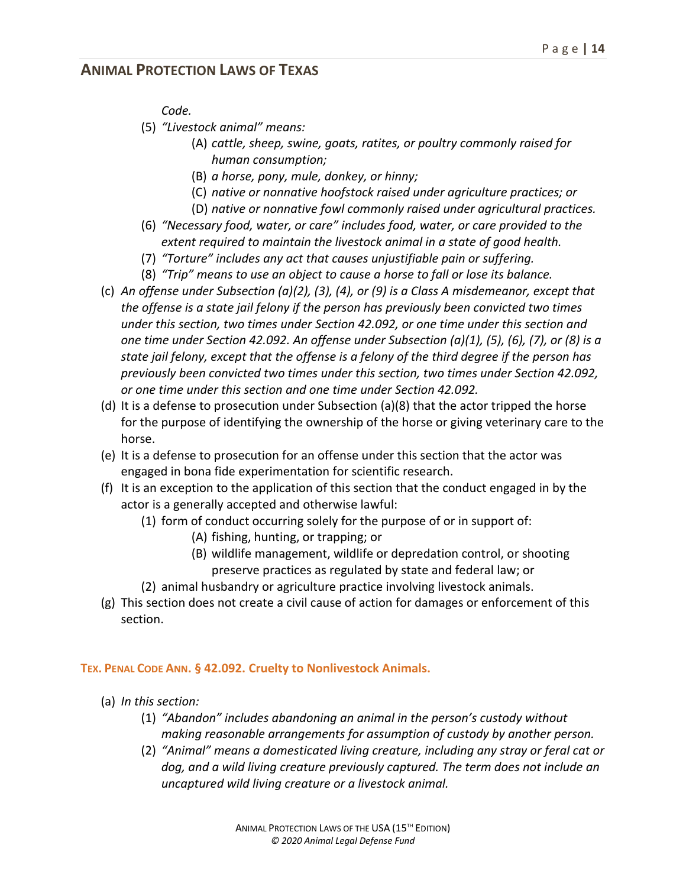*Code.*

- (5) *"Livestock animal" means:*
	- (A) *cattle, sheep, swine, goats, ratites, or poultry commonly raised for human consumption;*
	- (B) *a horse, pony, mule, donkey, or hinny;*
	- (C) *native or nonnative hoofstock raised under agriculture practices; or*
	- (D) *native or nonnative fowl commonly raised under agricultural practices.*
- (6) *"Necessary food, water, or care" includes food, water, or care provided to the extent required to maintain the livestock animal in a state of good health.*
- (7) *"Torture" includes any act that causes unjustifiable pain or suffering.*
- (8) *"Trip" means to use an object to cause a horse to fall or lose its balance.*
- (c) *An offense under Subsection (a)(2), (3), (4), or (9) is a Class A misdemeanor, except that the offense is a state jail felony if the person has previously been convicted two times under this section, two times under Section 42.092, or one time under this section and one time under Section 42.092. An offense under Subsection (a)(1), (5), (6), (7), or (8) is a state jail felony, except that the offense is a felony of the third degree if the person has previously been convicted two times under this section, two times under Section 42.092, or one time under this section and one time under Section 42.092.*
- (d) It is a defense to prosecution under Subsection (a)(8) that the actor tripped the horse for the purpose of identifying the ownership of the horse or giving veterinary care to the horse.
- (e) It is a defense to prosecution for an offense under this section that the actor was engaged in bona fide experimentation for scientific research.
- (f) It is an exception to the application of this section that the conduct engaged in by the actor is a generally accepted and otherwise lawful:
	- (1) form of conduct occurring solely for the purpose of or in support of:
		- (A) fishing, hunting, or trapping; or
		- (B) wildlife management, wildlife or depredation control, or shooting preserve practices as regulated by state and federal law; or
	- (2) animal husbandry or agriculture practice involving livestock animals.
- (g) This section does not create a civil cause of action for damages or enforcement of this section.

#### **TEX. PENAL CODE ANN. § 42.092. Cruelty to Nonlivestock Animals.**

- (a) *In this section:*
	- (1) *"Abandon" includes abandoning an animal in the person's custody without making reasonable arrangements for assumption of custody by another person.*
	- (2) *"Animal" means a domesticated living creature, including any stray or feral cat or dog, and a wild living creature previously captured. The term does not include an uncaptured wild living creature or a livestock animal.*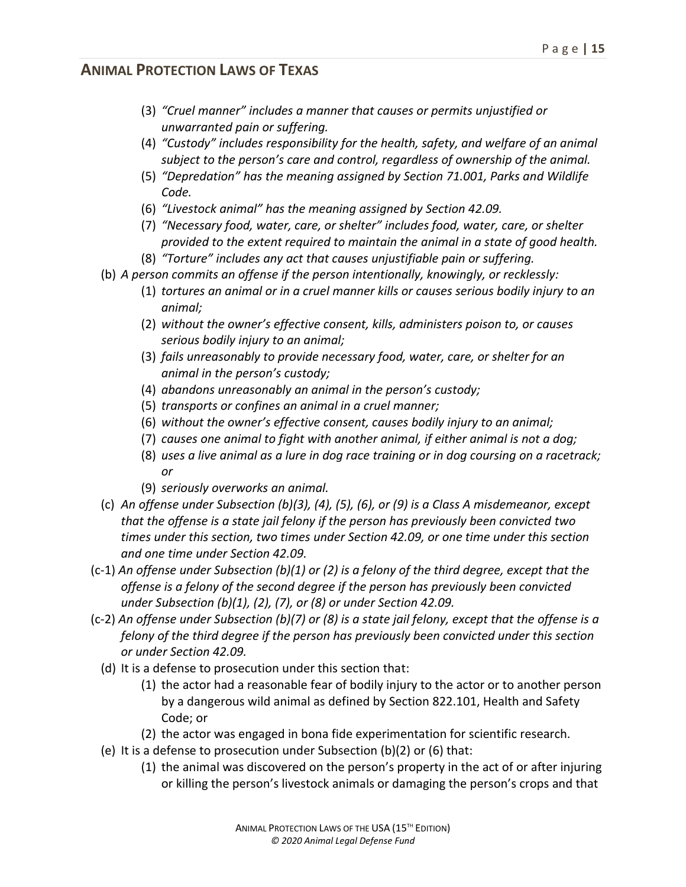- (3) *"Cruel manner" includes a manner that causes or permits unjustified or unwarranted pain or suffering.*
- (4) *"Custody" includes responsibility for the health, safety, and welfare of an animal subject to the person's care and control, regardless of ownership of the animal.*
- (5) *"Depredation" has the meaning assigned by Section 71.001, Parks and Wildlife Code.*
- (6) *"Livestock animal" has the meaning assigned by Section 42.09.*
- (7) *"Necessary food, water, care, or shelter" includes food, water, care, or shelter provided to the extent required to maintain the animal in a state of good health.*
- (8) *"Torture" includes any act that causes unjustifiable pain or suffering.*
- (b) *A person commits an offense if the person intentionally, knowingly, or recklessly:*
	- (1) *tortures an animal or in a cruel manner kills or causes serious bodily injury to an animal;*
	- (2) *without the owner's effective consent, kills, administers poison to, or causes serious bodily injury to an animal;*
	- (3) *fails unreasonably to provide necessary food, water, care, or shelter for an animal in the person's custody;*
	- (4) *abandons unreasonably an animal in the person's custody;*
	- (5) *transports or confines an animal in a cruel manner;*
	- (6) *without the owner's effective consent, causes bodily injury to an animal;*
	- (7) *causes one animal to fight with another animal, if either animal is not a dog;*
	- (8) *uses a live animal as a lure in dog race training or in dog coursing on a racetrack; or*
	- (9) *seriously overworks an animal.*
- (c) *An offense under Subsection (b)(3), (4), (5), (6), or (9) is a Class A misdemeanor, except that the offense is a state jail felony if the person has previously been convicted two times under this section, two times under Section 42.09, or one time under this section and one time under Section 42.09.*
- (c-1) *An offense under Subsection (b)(1) or (2) is a felony of the third degree, except that the offense is a felony of the second degree if the person has previously been convicted under Subsection (b)(1), (2), (7), or (8) or under Section 42.09.*
- (c-2) *An offense under Subsection (b)(7) or (8) is a state jail felony, except that the offense is a felony of the third degree if the person has previously been convicted under this section or under Section 42.09.*
	- (d) It is a defense to prosecution under this section that:
		- (1) the actor had a reasonable fear of bodily injury to the actor or to another person by a dangerous wild animal as defined by Section 822.101, Health and Safety Code; or
		- (2) the actor was engaged in bona fide experimentation for scientific research.
	- (e) It is a defense to prosecution under Subsection (b)(2) or (6) that:
		- (1) the animal was discovered on the person's property in the act of or after injuring or killing the person's livestock animals or damaging the person's crops and that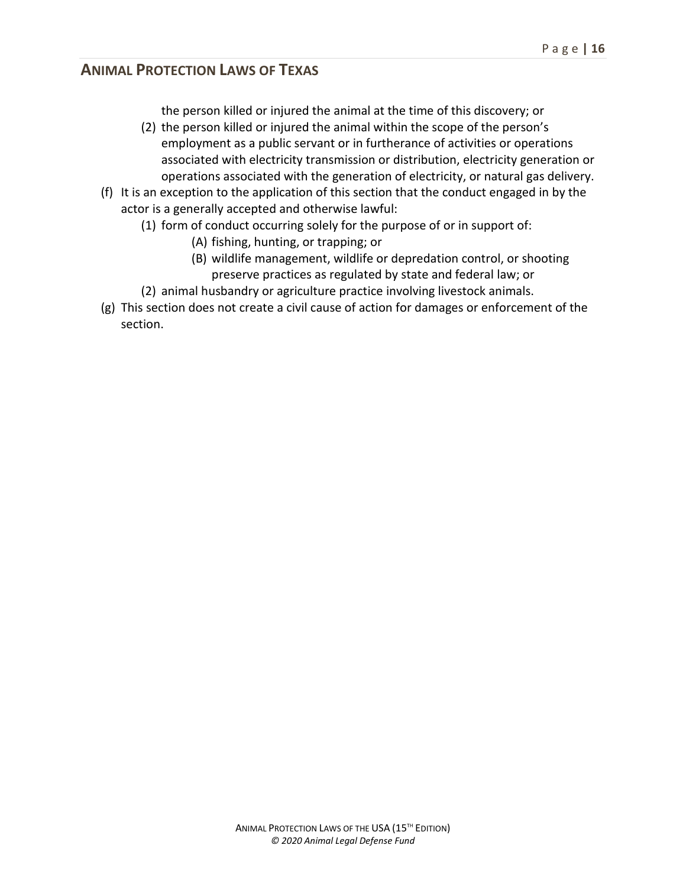the person killed or injured the animal at the time of this discovery; or

- (2) the person killed or injured the animal within the scope of the person's employment as a public servant or in furtherance of activities or operations associated with electricity transmission or distribution, electricity generation or operations associated with the generation of electricity, or natural gas delivery.
- (f) It is an exception to the application of this section that the conduct engaged in by the actor is a generally accepted and otherwise lawful:
	- (1) form of conduct occurring solely for the purpose of or in support of:
		- (A) fishing, hunting, or trapping; or
		- (B) wildlife management, wildlife or depredation control, or shooting preserve practices as regulated by state and federal law; or
	- (2) animal husbandry or agriculture practice involving livestock animals.
- (g) This section does not create a civil cause of action for damages or enforcement of the section.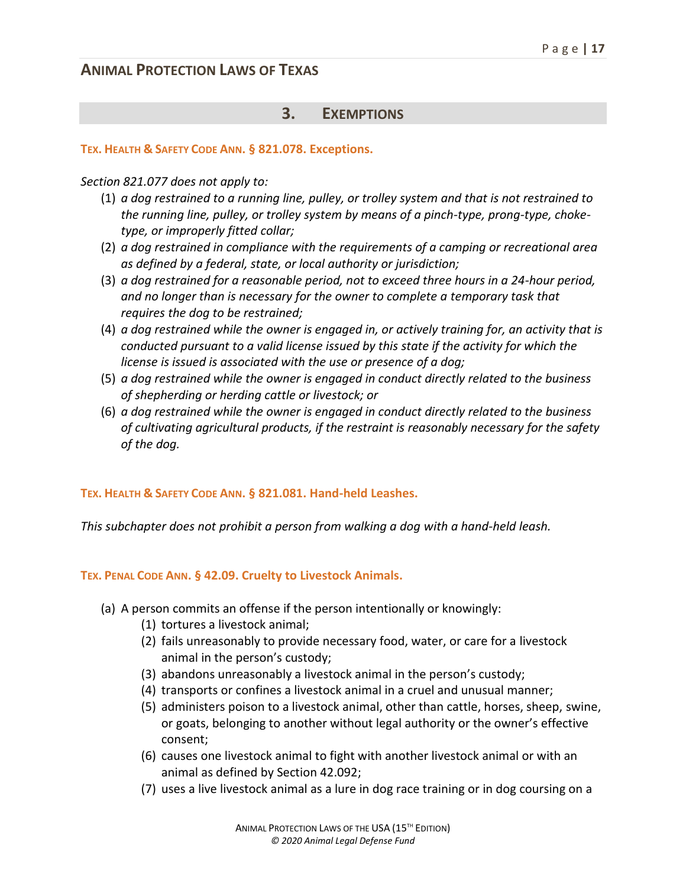### **3. EXEMPTIONS**

#### **TEX. HEALTH & SAFETY CODE ANN. § 821.078. Exceptions.**

#### *Section 821.077 does not apply to:*

- (1) *a dog restrained to a running line, pulley, or trolley system and that is not restrained to the running line, pulley, or trolley system by means of a pinch-type, prong-type, choketype, or improperly fitted collar;*
- (2) *a dog restrained in compliance with the requirements of a camping or recreational area as defined by a federal, state, or local authority or jurisdiction;*
- (3) *a dog restrained for a reasonable period, not to exceed three hours in a 24-hour period, and no longer than is necessary for the owner to complete a temporary task that requires the dog to be restrained;*
- (4) *a dog restrained while the owner is engaged in, or actively training for, an activity that is conducted pursuant to a valid license issued by this state if the activity for which the license is issued is associated with the use or presence of a dog;*
- (5) *a dog restrained while the owner is engaged in conduct directly related to the business of shepherding or herding cattle or livestock; or*
- (6) *a dog restrained while the owner is engaged in conduct directly related to the business of cultivating agricultural products, if the restraint is reasonably necessary for the safety of the dog.*

#### **TEX. HEALTH & SAFETY CODE ANN. § 821.081. Hand-held Leashes.**

*This subchapter does not prohibit a person from walking a dog with a hand-held leash.*

#### **TEX. PENAL CODE ANN. § 42.09. Cruelty to Livestock Animals.**

- (a) A person commits an offense if the person intentionally or knowingly:
	- (1) tortures a livestock animal;
	- (2) fails unreasonably to provide necessary food, water, or care for a livestock animal in the person's custody;
	- (3) abandons unreasonably a livestock animal in the person's custody;
	- (4) transports or confines a livestock animal in a cruel and unusual manner;
	- (5) administers poison to a livestock animal, other than cattle, horses, sheep, swine, or goats, belonging to another without legal authority or the owner's effective consent;
	- (6) causes one livestock animal to fight with another livestock animal or with an animal as defined by Section 42.092;
	- (7) uses a live livestock animal as a lure in dog race training or in dog coursing on a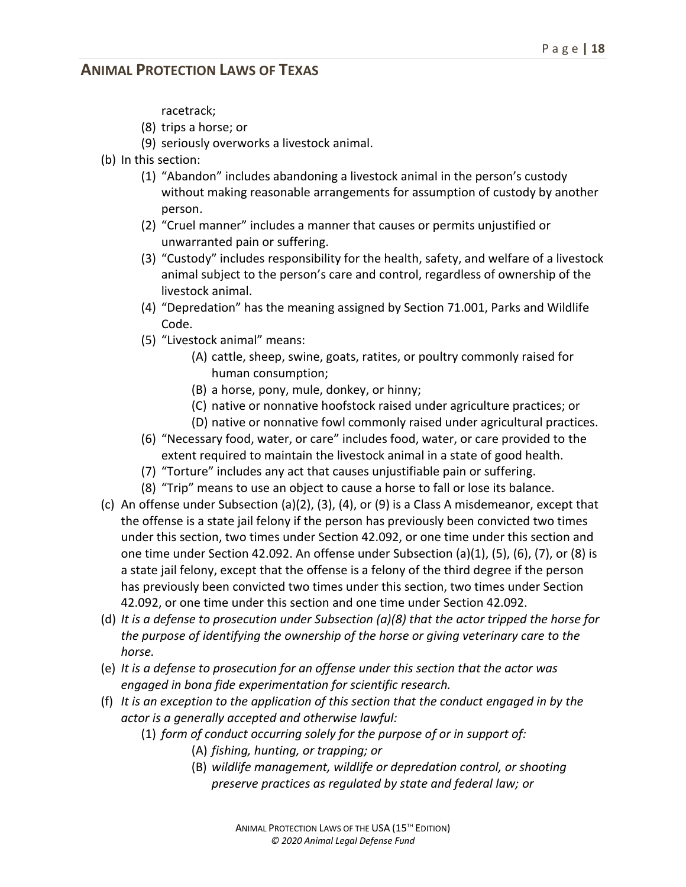racetrack;

- (8) trips a horse; or
- (9) seriously overworks a livestock animal.
- (b) In this section:
	- (1) "Abandon" includes abandoning a livestock animal in the person's custody without making reasonable arrangements for assumption of custody by another person.
	- (2) "Cruel manner" includes a manner that causes or permits unjustified or unwarranted pain or suffering.
	- (3) "Custody" includes responsibility for the health, safety, and welfare of a livestock animal subject to the person's care and control, regardless of ownership of the livestock animal.
	- (4) "Depredation" has the meaning assigned by Section 71.001, Parks and Wildlife Code.
	- (5) "Livestock animal" means:
		- (A) cattle, sheep, swine, goats, ratites, or poultry commonly raised for human consumption;
		- (B) a horse, pony, mule, donkey, or hinny;
		- (C) native or nonnative hoofstock raised under agriculture practices; or
		- (D) native or nonnative fowl commonly raised under agricultural practices.
	- (6) "Necessary food, water, or care" includes food, water, or care provided to the extent required to maintain the livestock animal in a state of good health.
	- (7) "Torture" includes any act that causes unjustifiable pain or suffering.
	- (8) "Trip" means to use an object to cause a horse to fall or lose its balance.
- (c) An offense under Subsection (a)(2), (3), (4), or (9) is a Class A misdemeanor, except that the offense is a state jail felony if the person has previously been convicted two times under this section, two times under Section 42.092, or one time under this section and one time under Section 42.092. An offense under Subsection (a)(1), (5), (6), (7), or (8) is a state jail felony, except that the offense is a felony of the third degree if the person has previously been convicted two times under this section, two times under Section 42.092, or one time under this section and one time under Section 42.092.
- (d) *It is a defense to prosecution under Subsection (a)(8) that the actor tripped the horse for the purpose of identifying the ownership of the horse or giving veterinary care to the horse.*
- (e) *It is a defense to prosecution for an offense under this section that the actor was engaged in bona fide experimentation for scientific research.*
- (f) *It is an exception to the application of this section that the conduct engaged in by the actor is a generally accepted and otherwise lawful:*
	- (1) *form of conduct occurring solely for the purpose of or in support of:*
		- (A) *fishing, hunting, or trapping; or*
		- (B) *wildlife management, wildlife or depredation control, or shooting preserve practices as regulated by state and federal law; or*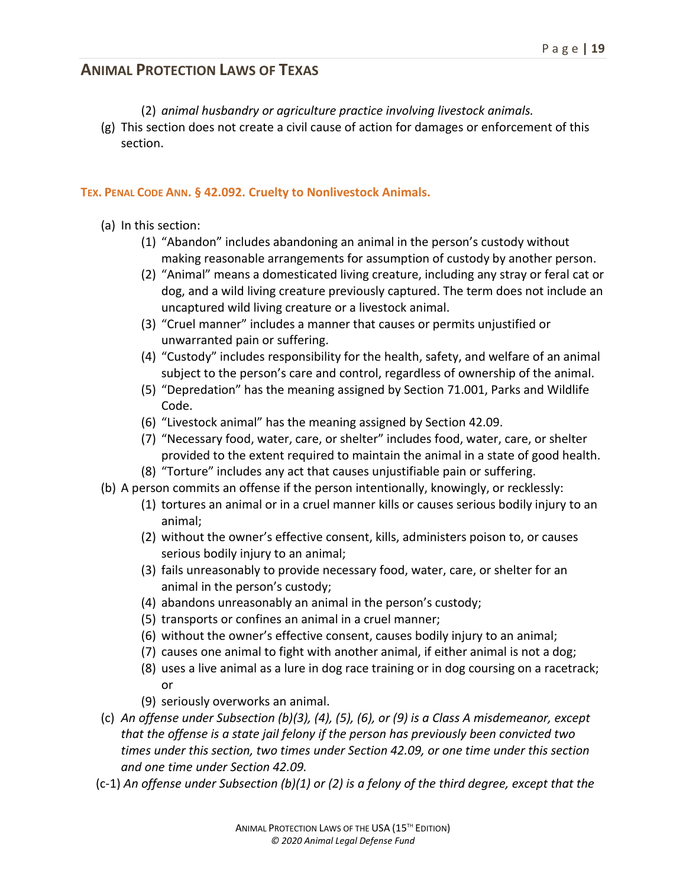(2) *animal husbandry or agriculture practice involving livestock animals.*

(g) This section does not create a civil cause of action for damages or enforcement of this section.

#### **TEX. PENAL CODE ANN. § 42.092. Cruelty to Nonlivestock Animals.**

- (a) In this section:
	- (1) "Abandon" includes abandoning an animal in the person's custody without making reasonable arrangements for assumption of custody by another person.
	- (2) "Animal" means a domesticated living creature, including any stray or feral cat or dog, and a wild living creature previously captured. The term does not include an uncaptured wild living creature or a livestock animal.
	- (3) "Cruel manner" includes a manner that causes or permits unjustified or unwarranted pain or suffering.
	- (4) "Custody" includes responsibility for the health, safety, and welfare of an animal subject to the person's care and control, regardless of ownership of the animal.
	- (5) "Depredation" has the meaning assigned by Section 71.001, Parks and Wildlife Code.
	- (6) "Livestock animal" has the meaning assigned by Section 42.09.
	- (7) "Necessary food, water, care, or shelter" includes food, water, care, or shelter provided to the extent required to maintain the animal in a state of good health.
	- (8) "Torture" includes any act that causes unjustifiable pain or suffering.
- (b) A person commits an offense if the person intentionally, knowingly, or recklessly:
	- (1) tortures an animal or in a cruel manner kills or causes serious bodily injury to an animal;
	- (2) without the owner's effective consent, kills, administers poison to, or causes serious bodily injury to an animal;
	- (3) fails unreasonably to provide necessary food, water, care, or shelter for an animal in the person's custody;
	- (4) abandons unreasonably an animal in the person's custody;
	- (5) transports or confines an animal in a cruel manner;
	- (6) without the owner's effective consent, causes bodily injury to an animal;
	- (7) causes one animal to fight with another animal, if either animal is not a dog;
	- (8) uses a live animal as a lure in dog race training or in dog coursing on a racetrack; or
	- (9) seriously overworks an animal.
- (c) *An offense under Subsection (b)(3), (4), (5), (6), or (9) is a Class A misdemeanor, except that the offense is a state jail felony if the person has previously been convicted two times under this section, two times under Section 42.09, or one time under this section and one time under Section 42.09.*
- (c-1) *An offense under Subsection (b)(1) or (2) is a felony of the third degree, except that the*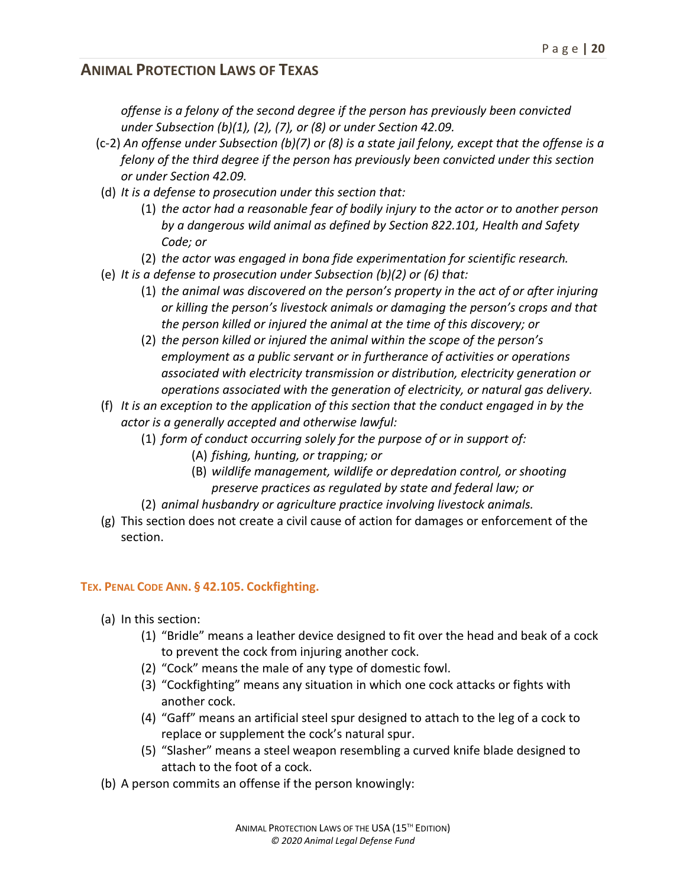*offense is a felony of the second degree if the person has previously been convicted under Subsection (b)(1), (2), (7), or (8) or under Section 42.09.*

- (c-2) *An offense under Subsection (b)(7) or (8) is a state jail felony, except that the offense is a felony of the third degree if the person has previously been convicted under this section or under Section 42.09.*
- (d) *It is a defense to prosecution under this section that:*
	- (1) *the actor had a reasonable fear of bodily injury to the actor or to another person by a dangerous wild animal as defined by Section 822.101, Health and Safety Code; or*
	- (2) *the actor was engaged in bona fide experimentation for scientific research.*
- (e) *It is a defense to prosecution under Subsection (b)(2) or (6) that:*
	- (1) *the animal was discovered on the person's property in the act of or after injuring or killing the person's livestock animals or damaging the person's crops and that the person killed or injured the animal at the time of this discovery; or*
	- (2) *the person killed or injured the animal within the scope of the person's employment as a public servant or in furtherance of activities or operations associated with electricity transmission or distribution, electricity generation or operations associated with the generation of electricity, or natural gas delivery.*
- (f) *It is an exception to the application of this section that the conduct engaged in by the actor is a generally accepted and otherwise lawful:*
	- (1) *form of conduct occurring solely for the purpose of or in support of:*
		- (A) *fishing, hunting, or trapping; or*
		- (B) *wildlife management, wildlife or depredation control, or shooting preserve practices as regulated by state and federal law; or*
	- (2) *animal husbandry or agriculture practice involving livestock animals.*
- (g) This section does not create a civil cause of action for damages or enforcement of the section.

### **TEX. PENAL CODE ANN. § 42.105. Cockfighting.**

- (a) In this section:
	- (1) "Bridle" means a leather device designed to fit over the head and beak of a cock to prevent the cock from injuring another cock.
	- (2) "Cock" means the male of any type of domestic fowl.
	- (3) "Cockfighting" means any situation in which one cock attacks or fights with another cock.
	- (4) "Gaff" means an artificial steel spur designed to attach to the leg of a cock to replace or supplement the cock's natural spur.
	- (5) "Slasher" means a steel weapon resembling a curved knife blade designed to attach to the foot of a cock.
- (b) A person commits an offense if the person knowingly: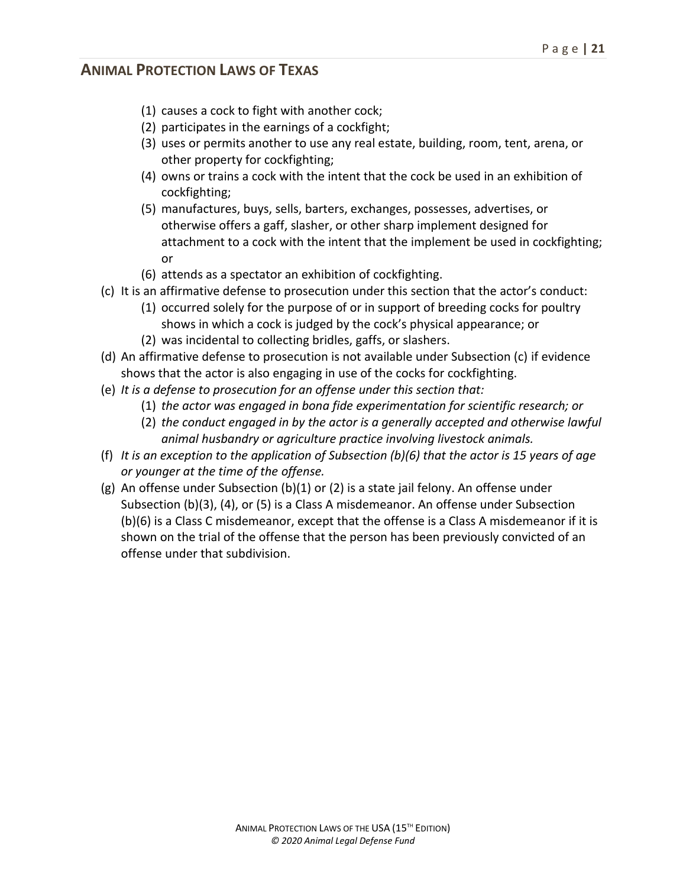- (1) causes a cock to fight with another cock;
- (2) participates in the earnings of a cockfight;
- (3) uses or permits another to use any real estate, building, room, tent, arena, or other property for cockfighting;
- (4) owns or trains a cock with the intent that the cock be used in an exhibition of cockfighting;
- (5) manufactures, buys, sells, barters, exchanges, possesses, advertises, or otherwise offers a gaff, slasher, or other sharp implement designed for attachment to a cock with the intent that the implement be used in cockfighting; or
- (6) attends as a spectator an exhibition of cockfighting.
- (c) It is an affirmative defense to prosecution under this section that the actor's conduct:
	- (1) occurred solely for the purpose of or in support of breeding cocks for poultry shows in which a cock is judged by the cock's physical appearance; or
	- (2) was incidental to collecting bridles, gaffs, or slashers.
- (d) An affirmative defense to prosecution is not available under Subsection (c) if evidence shows that the actor is also engaging in use of the cocks for cockfighting.
- (e) *It is a defense to prosecution for an offense under this section that:*
	- (1) *the actor was engaged in bona fide experimentation for scientific research; or*
	- (2) *the conduct engaged in by the actor is a generally accepted and otherwise lawful animal husbandry or agriculture practice involving livestock animals.*
- (f) *It is an exception to the application of Subsection (b)(6) that the actor is 15 years of age or younger at the time of the offense.*
- (g) An offense under Subsection (b)(1) or (2) is a state jail felony. An offense under Subsection (b)(3), (4), or (5) is a Class A misdemeanor. An offense under Subsection (b)(6) is a Class C misdemeanor, except that the offense is a Class A misdemeanor if it is shown on the trial of the offense that the person has been previously convicted of an offense under that subdivision.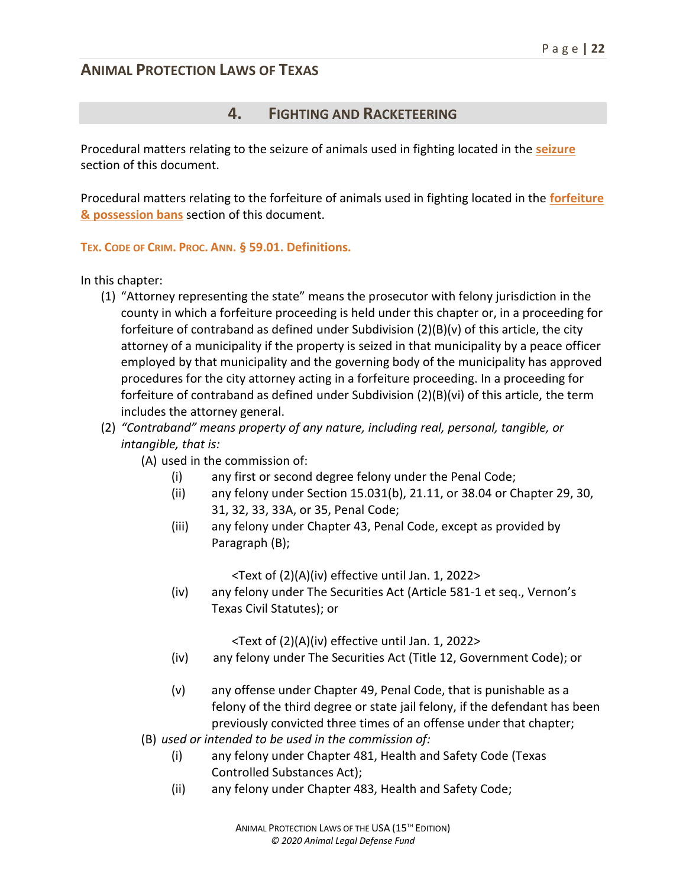### **4. FIGHTING AND RACKETEERING**

Procedural matters relating to the seizure of animals used in fighting located in the **seizure** section of this document.

Procedural matters relating to the forfeiture of animals used in fighting located in the **forfeiture & possession bans** section of this document.

#### **TEX. CODE OF CRIM. PROC. ANN. § 59.01. Definitions.**

In this chapter:

- (1) "Attorney representing the state" means the prosecutor with felony jurisdiction in the county in which a forfeiture proceeding is held under this chapter or, in a proceeding for forfeiture of contraband as defined under Subdivision  $(2)(B)(v)$  of this article, the city attorney of a municipality if the property is seized in that municipality by a peace officer employed by that municipality and the governing body of the municipality has approved procedures for the city attorney acting in a forfeiture proceeding. In a proceeding for forfeiture of contraband as defined under Subdivision (2)(B)(vi) of this article, the term includes the attorney general.
- (2) *"Contraband" means property of any nature, including real, personal, tangible, or intangible, that is:*
	- (A) used in the commission of:
		- (i) any first or second degree felony under the Penal Code;
		- (ii) any felony under Section 15.031(b), 21.11, or 38.04 or Chapter 29, 30, 31, 32, 33, 33A, or 35, Penal Code;
		- (iii) any felony under Chapter 43, Penal Code, except as provided by Paragraph (B);

<Text of (2)(A)(iv) effective until Jan. 1, 2022>

(iv) any felony under The Securities Act (Article 581-1 et seq., Vernon's Texas Civil Statutes); or

<Text of (2)(A)(iv) effective until Jan. 1, 2022>

- (iv) any felony under The Securities Act (Title 12, Government Code); or
- (v) any offense under Chapter 49, Penal Code, that is punishable as a felony of the third degree or state jail felony, if the defendant has been previously convicted three times of an offense under that chapter;
- (B) *used or intended to be used in the commission of:*
	- (i) any felony under Chapter 481, Health and Safety Code (Texas Controlled Substances Act);
	- (ii) any felony under Chapter 483, Health and Safety Code;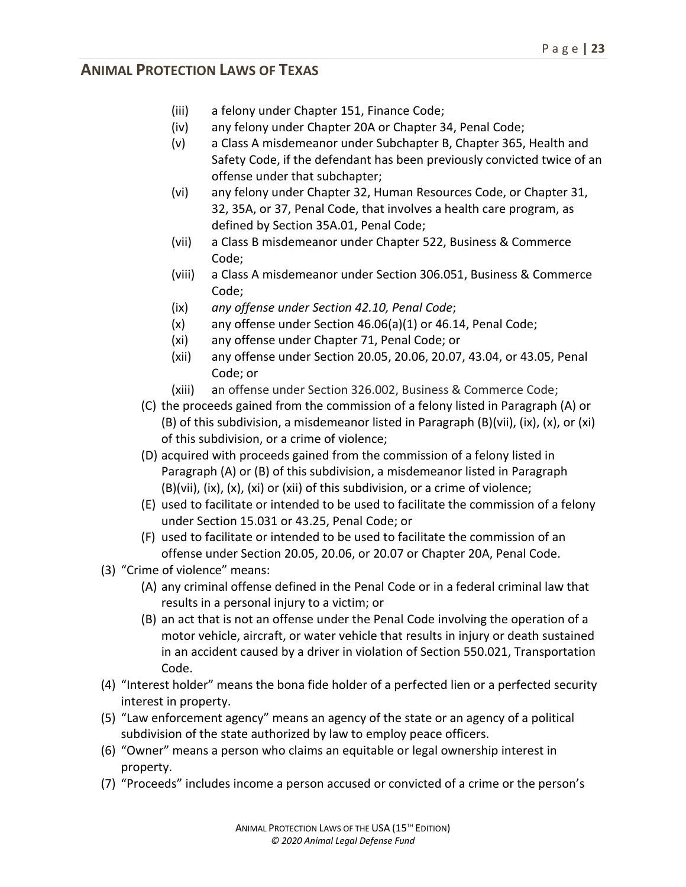- (iii) a felony under Chapter 151, Finance Code;
- (iv) any felony under Chapter 20A or Chapter 34, Penal Code;
- (v) a Class A misdemeanor under Subchapter B, Chapter 365, Health and Safety Code, if the defendant has been previously convicted twice of an offense under that subchapter;
- (vi) any felony under Chapter 32, Human Resources Code, or Chapter 31, 32, 35A, or 37, Penal Code, that involves a health care program, as defined by Section 35A.01, Penal Code;
- (vii) a Class B misdemeanor under Chapter 522, Business & Commerce Code;
- (viii) a Class A misdemeanor under Section 306.051, Business & Commerce Code;
- (ix) *any offense under Section 42.10, Penal Code*;
- (x) any offense under Section 46.06(a)(1) or 46.14, Penal Code;
- (xi) any offense under Chapter 71, Penal Code; or
- (xii) any offense under Section 20.05, 20.06, 20.07, 43.04, or 43.05, Penal Code; or
- (xiii) an offense under Section 326.002, Business & Commerce Code;
- (C) the proceeds gained from the commission of a felony listed in Paragraph (A) or (B) of this subdivision, a misdemeanor listed in Paragraph (B)(vii), (ix), (x), or (xi) of this subdivision, or a crime of violence;
- (D) acquired with proceeds gained from the commission of a felony listed in Paragraph (A) or (B) of this subdivision, a misdemeanor listed in Paragraph (B)(vii), (ix), (x), (xi) or (xii) of this subdivision, or a crime of violence;
- (E) used to facilitate or intended to be used to facilitate the commission of a felony under Section 15.031 or 43.25, Penal Code; or
- (F) used to facilitate or intended to be used to facilitate the commission of an offense under Section 20.05, 20.06, or 20.07 or Chapter 20A, Penal Code.
- (3) "Crime of violence" means:
	- (A) any criminal offense defined in the Penal Code or in a federal criminal law that results in a personal injury to a victim; or
	- (B) an act that is not an offense under the Penal Code involving the operation of a motor vehicle, aircraft, or water vehicle that results in injury or death sustained in an accident caused by a driver in violation of Section 550.021, Transportation Code.
- (4) "Interest holder" means the bona fide holder of a perfected lien or a perfected security interest in property.
- (5) "Law enforcement agency" means an agency of the state or an agency of a political subdivision of the state authorized by law to employ peace officers.
- (6) "Owner" means a person who claims an equitable or legal ownership interest in property.
- (7) "Proceeds" includes income a person accused or convicted of a crime or the person's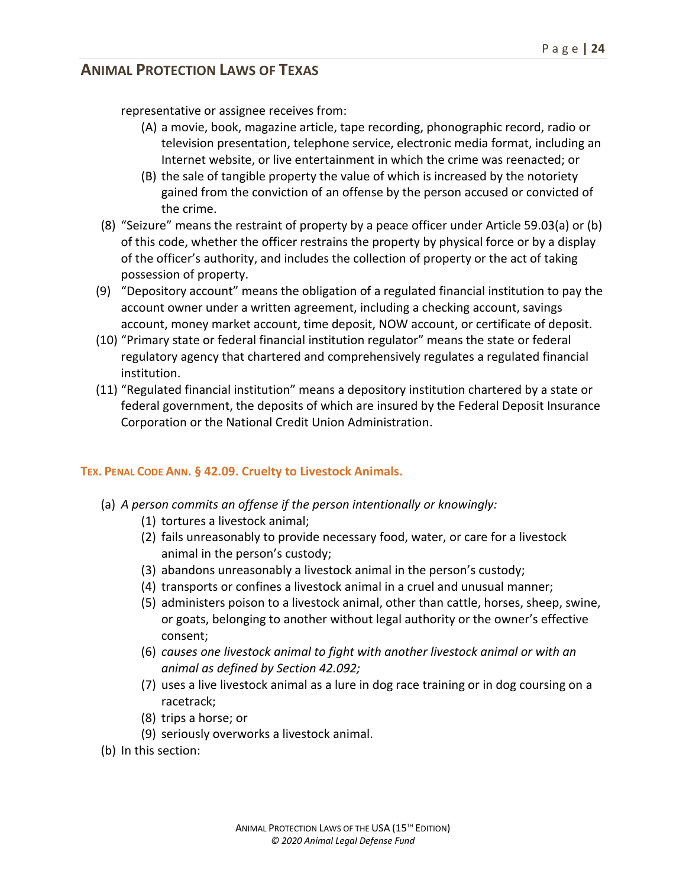representative or assignee receives from:

- (A) a movie, book, magazine article, tape recording, phonographic record, radio or television presentation, telephone service, electronic media format, including an Internet website, or live entertainment in which the crime was reenacted; or
- (B) the sale of tangible property the value of which is increased by the notoriety gained from the conviction of an offense by the person accused or convicted of the crime.
- (8) "Seizure" means the restraint of property by a peace officer under Article 59.03(a) or (b) of this code, whether the officer restrains the property by physical force or by a display of the officer's authority, and includes the collection of property or the act of taking possession of property.
- (9) "Depository account" means the obligation of a regulated financial institution to pay the account owner under a written agreement, including a checking account, savings account, money market account, time deposit, NOW account, or certificate of deposit.
- (10) "Primary state or federal financial institution regulator" means the state or federal regulatory agency that chartered and comprehensively regulates a regulated financial institution.
- (11) "Regulated financial institution" means a depository institution chartered by a state or federal government, the deposits of which are insured by the Federal Deposit Insurance Corporation or the National Credit Union Administration.

### **TEX. PENAL CODE ANN. § 42.09. Cruelty to Livestock Animals.**

- (a) *A person commits an offense if the person intentionally or knowingly:*
	- (1) tortures a livestock animal;
	- (2) fails unreasonably to provide necessary food, water, or care for a livestock animal in the person's custody;
	- (3) abandons unreasonably a livestock animal in the person's custody;
	- (4) transports or confines a livestock animal in a cruel and unusual manner;
	- (5) administers poison to a livestock animal, other than cattle, horses, sheep, swine, or goats, belonging to another without legal authority or the owner's effective consent;
	- (6) *causes one livestock animal to fight with another livestock animal or with an animal as defined by Section 42.092;*
	- (7) uses a live livestock animal as a lure in dog race training or in dog coursing on a racetrack;
	- (8) trips a horse; or
	- (9) seriously overworks a livestock animal.
- (b) In this section: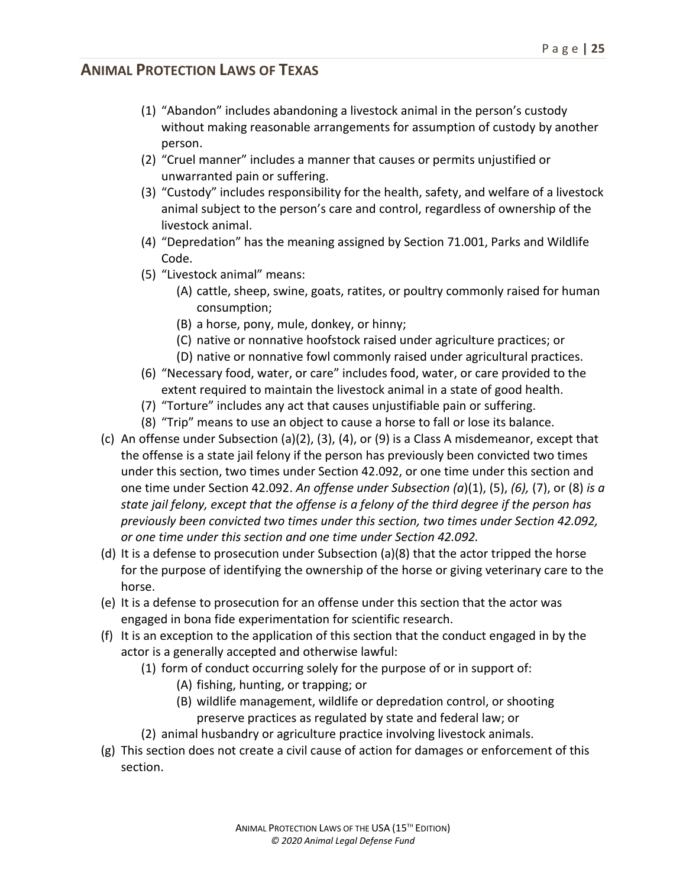- (1) "Abandon" includes abandoning a livestock animal in the person's custody without making reasonable arrangements for assumption of custody by another person.
- (2) "Cruel manner" includes a manner that causes or permits unjustified or unwarranted pain or suffering.
- (3) "Custody" includes responsibility for the health, safety, and welfare of a livestock animal subject to the person's care and control, regardless of ownership of the livestock animal.
- (4) "Depredation" has the meaning assigned by Section 71.001, Parks and Wildlife Code.
- (5) "Livestock animal" means:
	- (A) cattle, sheep, swine, goats, ratites, or poultry commonly raised for human consumption;
	- (B) a horse, pony, mule, donkey, or hinny;
	- (C) native or nonnative hoofstock raised under agriculture practices; or
	- (D) native or nonnative fowl commonly raised under agricultural practices.
- (6) "Necessary food, water, or care" includes food, water, or care provided to the extent required to maintain the livestock animal in a state of good health.
- (7) "Torture" includes any act that causes unjustifiable pain or suffering.
- (8) "Trip" means to use an object to cause a horse to fall or lose its balance.
- (c) An offense under Subsection (a)(2), (3), (4), or (9) is a Class A misdemeanor, except that the offense is a state jail felony if the person has previously been convicted two times under this section, two times under Section 42.092, or one time under this section and one time under Section 42.092. *An offense under Subsection (a*)(1), (5), *(6),* (7), or (8) *is a state jail felony, except that the offense is a felony of the third degree if the person has previously been convicted two times under this section, two times under Section 42.092, or one time under this section and one time under Section 42.092.*
- (d) It is a defense to prosecution under Subsection (a)(8) that the actor tripped the horse for the purpose of identifying the ownership of the horse or giving veterinary care to the horse.
- (e) It is a defense to prosecution for an offense under this section that the actor was engaged in bona fide experimentation for scientific research.
- (f) It is an exception to the application of this section that the conduct engaged in by the actor is a generally accepted and otherwise lawful:
	- (1) form of conduct occurring solely for the purpose of or in support of:
		- (A) fishing, hunting, or trapping; or
		- (B) wildlife management, wildlife or depredation control, or shooting preserve practices as regulated by state and federal law; or
	- (2) animal husbandry or agriculture practice involving livestock animals.
- (g) This section does not create a civil cause of action for damages or enforcement of this section.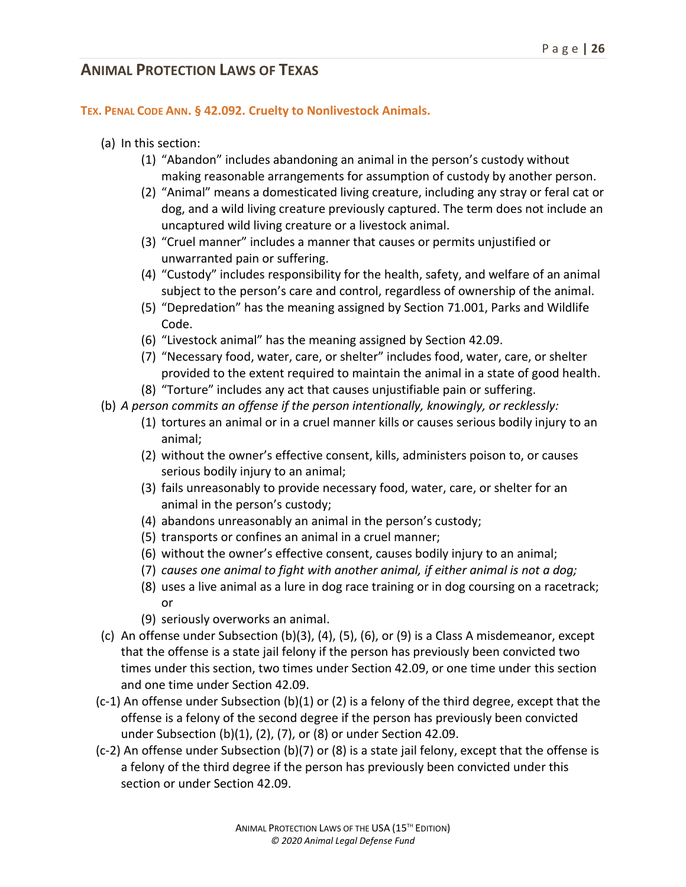#### **TEX. PENAL CODE ANN. § 42.092. Cruelty to Nonlivestock Animals.**

- (a) In this section:
	- (1) "Abandon" includes abandoning an animal in the person's custody without making reasonable arrangements for assumption of custody by another person.
	- (2) "Animal" means a domesticated living creature, including any stray or feral cat or dog, and a wild living creature previously captured. The term does not include an uncaptured wild living creature or a livestock animal.
	- (3) "Cruel manner" includes a manner that causes or permits unjustified or unwarranted pain or suffering.
	- (4) "Custody" includes responsibility for the health, safety, and welfare of an animal subject to the person's care and control, regardless of ownership of the animal.
	- (5) "Depredation" has the meaning assigned by Section 71.001, Parks and Wildlife Code.
	- (6) "Livestock animal" has the meaning assigned by Section 42.09.
	- (7) "Necessary food, water, care, or shelter" includes food, water, care, or shelter provided to the extent required to maintain the animal in a state of good health.
	- (8) "Torture" includes any act that causes unjustifiable pain or suffering.
- (b) *A person commits an offense if the person intentionally, knowingly, or recklessly:*
	- (1) tortures an animal or in a cruel manner kills or causes serious bodily injury to an animal;
	- (2) without the owner's effective consent, kills, administers poison to, or causes serious bodily injury to an animal;
	- (3) fails unreasonably to provide necessary food, water, care, or shelter for an animal in the person's custody;
	- (4) abandons unreasonably an animal in the person's custody;
	- (5) transports or confines an animal in a cruel manner;
	- (6) without the owner's effective consent, causes bodily injury to an animal;
	- (7) *causes one animal to fight with another animal, if either animal is not a dog;*
	- (8) uses a live animal as a lure in dog race training or in dog coursing on a racetrack; or
	- (9) seriously overworks an animal.
- (c) An offense under Subsection (b)(3), (4), (5), (6), or (9) is a Class A misdemeanor, except that the offense is a state jail felony if the person has previously been convicted two times under this section, two times under Section 42.09, or one time under this section and one time under Section 42.09.
- (c-1) An offense under Subsection (b)(1) or (2) is a felony of the third degree, except that the offense is a felony of the second degree if the person has previously been convicted under Subsection (b)(1), (2), (7), or (8) or under Section 42.09.
- (c-2) An offense under Subsection (b)(7) or (8) is a state jail felony, except that the offense is a felony of the third degree if the person has previously been convicted under this section or under Section 42.09.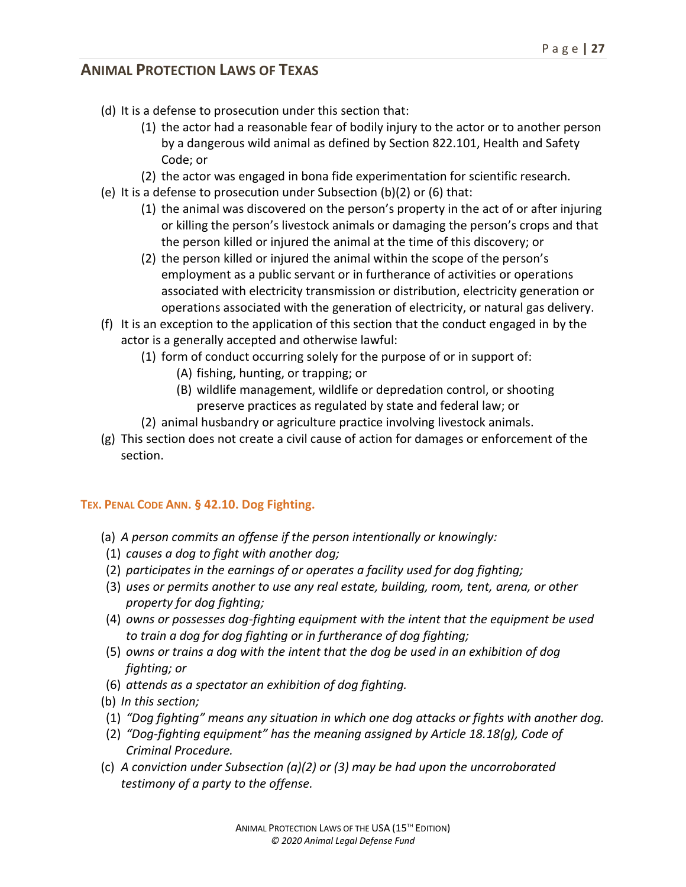- (d) It is a defense to prosecution under this section that:
	- (1) the actor had a reasonable fear of bodily injury to the actor or to another person by a dangerous wild animal as defined by Section 822.101, Health and Safety Code; or
	- (2) the actor was engaged in bona fide experimentation for scientific research.
- (e) It is a defense to prosecution under Subsection (b)(2) or (6) that:
	- (1) the animal was discovered on the person's property in the act of or after injuring or killing the person's livestock animals or damaging the person's crops and that the person killed or injured the animal at the time of this discovery; or
	- (2) the person killed or injured the animal within the scope of the person's employment as a public servant or in furtherance of activities or operations associated with electricity transmission or distribution, electricity generation or operations associated with the generation of electricity, or natural gas delivery.
- (f) It is an exception to the application of this section that the conduct engaged in by the actor is a generally accepted and otherwise lawful:
	- (1) form of conduct occurring solely for the purpose of or in support of:
		- (A) fishing, hunting, or trapping; or
		- (B) wildlife management, wildlife or depredation control, or shooting preserve practices as regulated by state and federal law; or
	- (2) animal husbandry or agriculture practice involving livestock animals.
- (g) This section does not create a civil cause of action for damages or enforcement of the section.

### **TEX. PENAL CODE ANN. § 42.10. Dog Fighting.**

- (a) *A person commits an offense if the person intentionally or knowingly:*
- (1) *causes a dog to fight with another dog;*
- (2) *participates in the earnings of or operates a facility used for dog fighting;*
- (3) *uses or permits another to use any real estate, building, room, tent, arena, or other property for dog fighting;*
- (4) *owns or possesses dog-fighting equipment with the intent that the equipment be used to train a dog for dog fighting or in furtherance of dog fighting;*
- (5) *owns or trains a dog with the intent that the dog be used in an exhibition of dog fighting; or*
- (6) *attends as a spectator an exhibition of dog fighting.*
- (b) *In this section;*
- (1) *"Dog fighting" means any situation in which one dog attacks or fights with another dog.*
- (2) *"Dog-fighting equipment" has the meaning assigned by Article 18.18(g), Code of Criminal Procedure.*
- (c) *A conviction under Subsection (a)(2) or (3) may be had upon the uncorroborated testimony of a party to the offense.*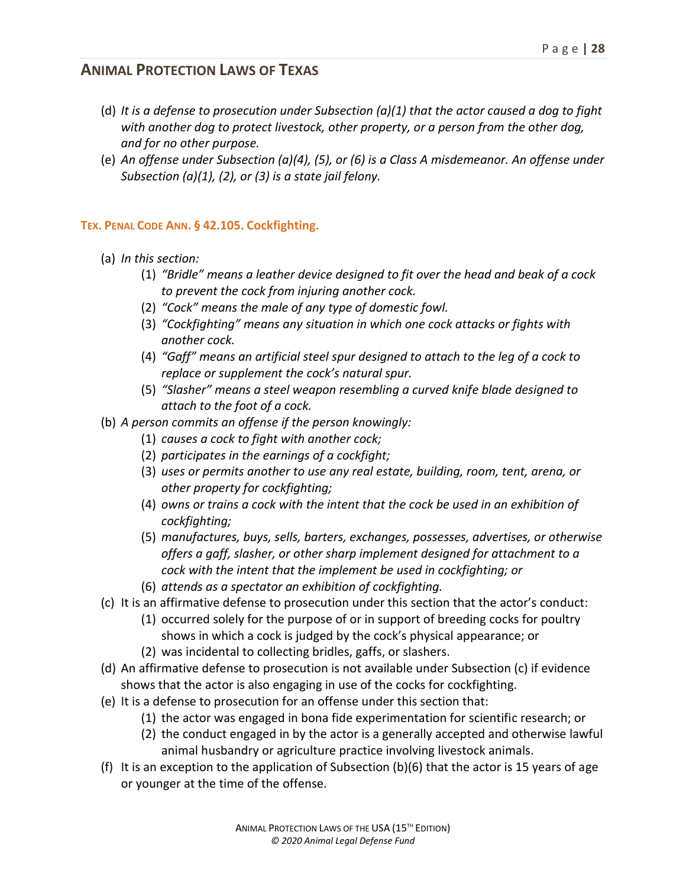- (d) *It is a defense to prosecution under Subsection (a)(1) that the actor caused a dog to fight with another dog to protect livestock, other property, or a person from the other dog, and for no other purpose.*
- (e) *An offense under Subsection (a)(4), (5), or (6) is a Class A misdemeanor. An offense under Subsection (a)(1), (2), or (3) is a state jail felony.*

### **TEX. PENAL CODE ANN. § 42.105. Cockfighting.**

- (a) *In this section:*
	- (1) *"Bridle" means a leather device designed to fit over the head and beak of a cock to prevent the cock from injuring another cock.*
	- (2) *"Cock" means the male of any type of domestic fowl.*
	- (3) *"Cockfighting" means any situation in which one cock attacks or fights with another cock.*
	- (4) *"Gaff" means an artificial steel spur designed to attach to the leg of a cock to replace or supplement the cock's natural spur.*
	- (5) *"Slasher" means a steel weapon resembling a curved knife blade designed to attach to the foot of a cock.*
- (b) *A person commits an offense if the person knowingly:*
	- (1) *causes a cock to fight with another cock;*
	- (2) *participates in the earnings of a cockfight;*
	- (3) *uses or permits another to use any real estate, building, room, tent, arena, or other property for cockfighting;*
	- (4) *owns or trains a cock with the intent that the cock be used in an exhibition of cockfighting;*
	- (5) *manufactures, buys, sells, barters, exchanges, possesses, advertises, or otherwise offers a gaff, slasher, or other sharp implement designed for attachment to a cock with the intent that the implement be used in cockfighting; or*
	- (6) *attends as a spectator an exhibition of cockfighting.*
- (c) It is an affirmative defense to prosecution under this section that the actor's conduct:
	- (1) occurred solely for the purpose of or in support of breeding cocks for poultry shows in which a cock is judged by the cock's physical appearance; or
	- (2) was incidental to collecting bridles, gaffs, or slashers.
- (d) An affirmative defense to prosecution is not available under Subsection (c) if evidence shows that the actor is also engaging in use of the cocks for cockfighting.
- (e) It is a defense to prosecution for an offense under this section that:
	- (1) the actor was engaged in bona fide experimentation for scientific research; or
	- (2) the conduct engaged in by the actor is a generally accepted and otherwise lawful animal husbandry or agriculture practice involving livestock animals.
- (f) It is an exception to the application of Subsection (b)(6) that the actor is 15 years of age or younger at the time of the offense.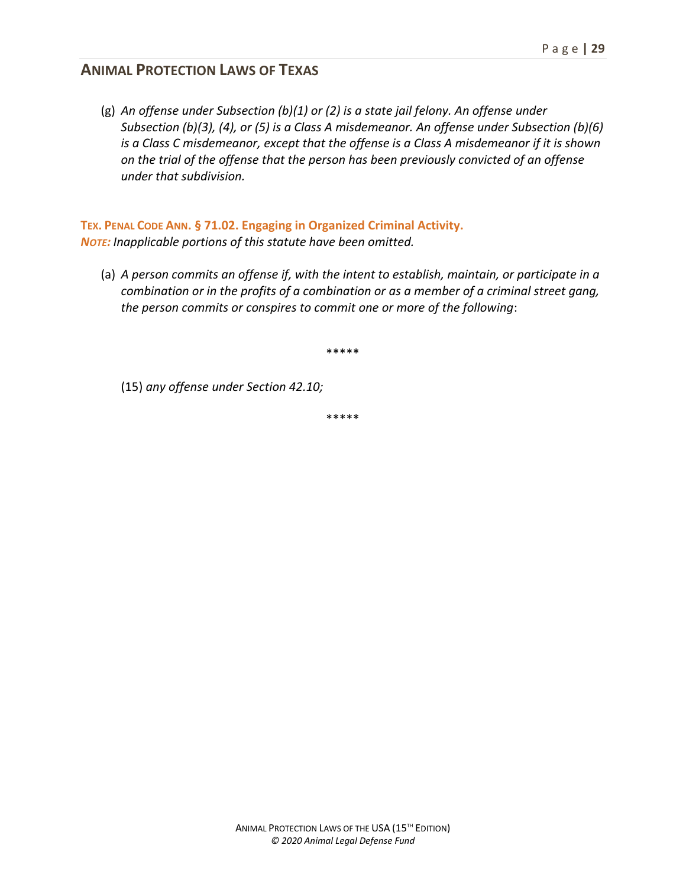(g) *An offense under Subsection (b)(1) or (2) is a state jail felony. An offense under Subsection (b)(3), (4), or (5) is a Class A misdemeanor. An offense under Subsection (b)(6) is a Class C misdemeanor, except that the offense is a Class A misdemeanor if it is shown on the trial of the offense that the person has been previously convicted of an offense under that subdivision.*

**TEX. PENAL CODE ANN. § 71.02. Engaging in Organized Criminal Activity.** *NOTE: Inapplicable portions of this statute have been omitted.* 

(a) *A person commits an offense if, with the intent to establish, maintain, or participate in a combination or in the profits of a combination or as a member of a criminal street gang, the person commits or conspires to commit one or more of the following*:

\*\*\*\*\*

(15) *any offense under Section 42.10;*

\*\*\*\*\*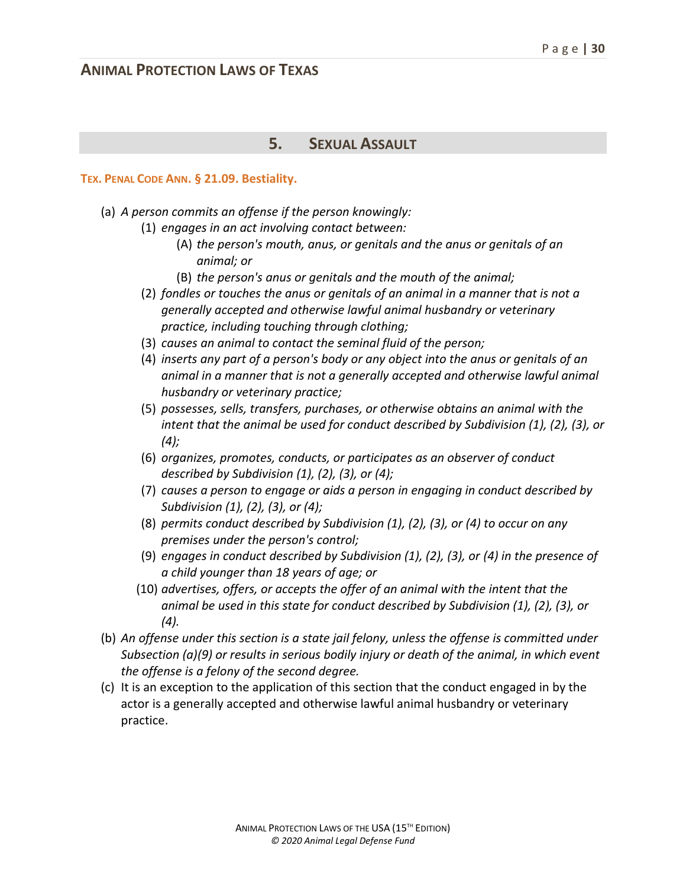### **5. SEXUAL ASSAULT**

#### **TEX. PENAL CODE ANN. § 21.09. Bestiality.**

- (a) *A person commits an offense if the person knowingly:*
	- (1) *engages in an act involving contact between:*
		- (A) *the person's mouth, anus, or genitals and the anus or genitals of an animal; or*
		- (B) *the person's anus or genitals and the mouth of the animal;*
	- (2) *fondles or touches the anus or genitals of an animal in a manner that is not a generally accepted and otherwise lawful animal husbandry or veterinary practice, including touching through clothing;*
	- (3) *causes an animal to contact the seminal fluid of the person;*
	- (4) *inserts any part of a person's body or any object into the anus or genitals of an animal in a manner that is not a generally accepted and otherwise lawful animal husbandry or veterinary practice;*
	- (5) *possesses, sells, transfers, purchases, or otherwise obtains an animal with the intent that the animal be used for conduct described by Subdivision (1), (2), (3), or (4);*
	- (6) *organizes, promotes, conducts, or participates as an observer of conduct described by Subdivision (1), (2), (3), or (4);*
	- (7) *causes a person to engage or aids a person in engaging in conduct described by Subdivision (1), (2), (3), or (4);*
	- (8) *permits conduct described by Subdivision (1), (2), (3), or (4) to occur on any premises under the person's control;*
	- (9) *engages in conduct described by Subdivision (1), (2), (3), or (4) in the presence of a child younger than 18 years of age; or*
	- (10) *advertises, offers, or accepts the offer of an animal with the intent that the animal be used in this state for conduct described by Subdivision (1), (2), (3), or (4).*
- (b) *An offense under this section is a state jail felony, unless the offense is committed under Subsection (a)(9) or results in serious bodily injury or death of the animal, in which event the offense is a felony of the second degree.*
- (c) It is an exception to the application of this section that the conduct engaged in by the actor is a generally accepted and otherwise lawful animal husbandry or veterinary practice.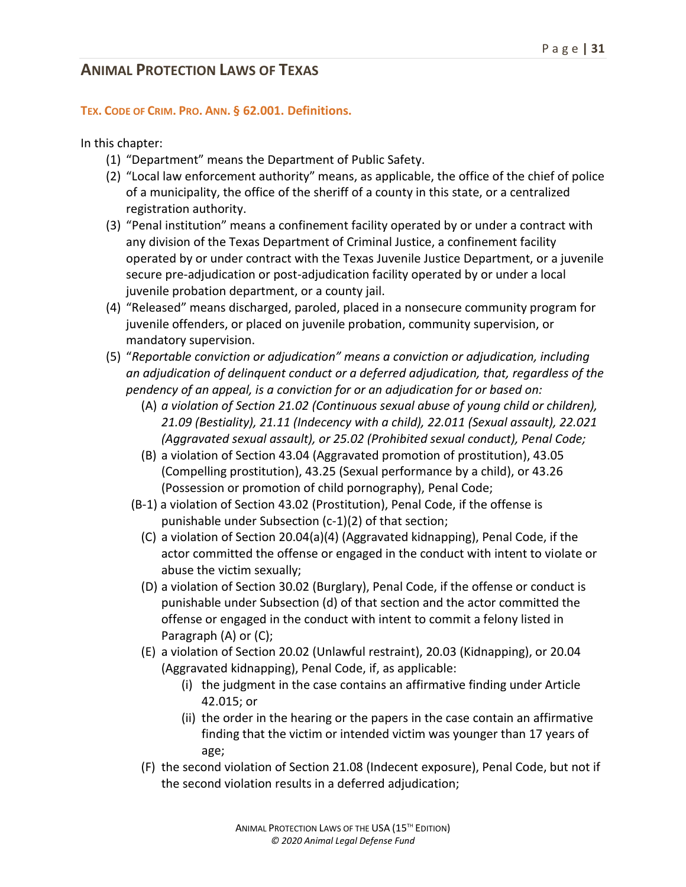#### **TEX. CODE OF CRIM. PRO. ANN. § 62.001. Definitions.**

In this chapter:

- (1) "Department" means the Department of Public Safety.
- (2) "Local law enforcement authority" means, as applicable, the office of the chief of police of a municipality, the office of the sheriff of a county in this state, or a centralized registration authority.
- (3) "Penal institution" means a confinement facility operated by or under a contract with any division of the Texas Department of Criminal Justice, a confinement facility operated by or under contract with the Texas Juvenile Justice Department, or a juvenile secure pre-adjudication or post-adjudication facility operated by or under a local juvenile probation department, or a county jail.
- (4) "Released" means discharged, paroled, placed in a nonsecure community program for juvenile offenders, or placed on juvenile probation, community supervision, or mandatory supervision.
- (5) "*Reportable conviction or adjudication" means a conviction or adjudication, including an adjudication of delinquent conduct or a deferred adjudication, that, regardless of the pendency of an appeal, is a conviction for or an adjudication for or based on:*
	- (A) *a violation of Section 21.02 (Continuous sexual abuse of young child or children), 21.09 (Bestiality), 21.11 (Indecency with a child), 22.011 (Sexual assault), 22.021 (Aggravated sexual assault), or 25.02 (Prohibited sexual conduct), Penal Code;*
	- (B) a violation of Section 43.04 (Aggravated promotion of prostitution), 43.05 (Compelling prostitution), 43.25 (Sexual performance by a child), or 43.26 (Possession or promotion of child pornography), Penal Code;
	- (B-1) a violation of Section 43.02 (Prostitution), Penal Code, if the offense is punishable under Subsection (c-1)(2) of that section;
		- (C) a violation of Section 20.04(a)(4) (Aggravated kidnapping), Penal Code, if the actor committed the offense or engaged in the conduct with intent to violate or abuse the victim sexually;
		- (D) a violation of Section 30.02 (Burglary), Penal Code, if the offense or conduct is punishable under Subsection (d) of that section and the actor committed the offense or engaged in the conduct with intent to commit a felony listed in Paragraph (A) or (C);
		- (E) a violation of Section 20.02 (Unlawful restraint), 20.03 (Kidnapping), or 20.04 (Aggravated kidnapping), Penal Code, if, as applicable:
			- (i) the judgment in the case contains an affirmative finding under Article 42.015; or
			- (ii) the order in the hearing or the papers in the case contain an affirmative finding that the victim or intended victim was younger than 17 years of age;
		- (F) the second violation of Section 21.08 (Indecent exposure), Penal Code, but not if the second violation results in a deferred adjudication;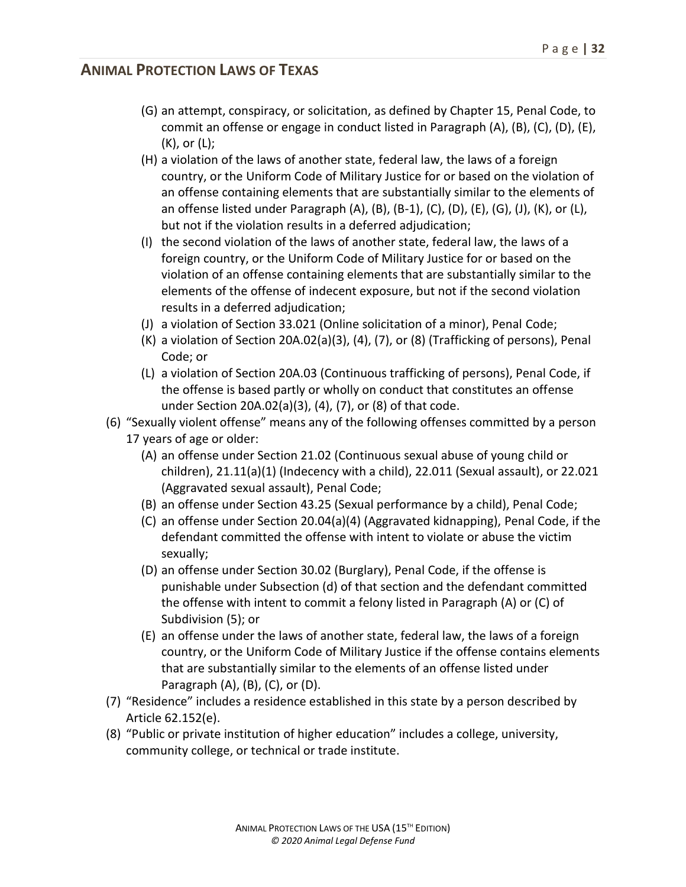- (G) an attempt, conspiracy, or solicitation, as defined by Chapter 15, Penal Code, to commit an offense or engage in conduct listed in Paragraph (A), (B), (C), (D), (E), (K), or (L);
- (H) a violation of the laws of another state, federal law, the laws of a foreign country, or the Uniform Code of Military Justice for or based on the violation of an offense containing elements that are substantially similar to the elements of an offense listed under Paragraph (A), (B), (B-1), (C), (D), (E), (G), (J), (K), or (L), but not if the violation results in a deferred adjudication;
- (I) the second violation of the laws of another state, federal law, the laws of a foreign country, or the Uniform Code of Military Justice for or based on the violation of an offense containing elements that are substantially similar to the elements of the offense of indecent exposure, but not if the second violation results in a deferred adjudication;
- (J) a violation of Section 33.021 (Online solicitation of a minor), Penal Code;
- (K) a violation of Section 20A.02(a)(3), (4), (7), or (8) (Trafficking of persons), Penal Code; or
- (L) a violation of Section 20A.03 (Continuous trafficking of persons), Penal Code, if the offense is based partly or wholly on conduct that constitutes an offense under Section 20A.02(a)(3), (4), (7), or (8) of that code.
- (6) "Sexually violent offense" means any of the following offenses committed by a person 17 years of age or older:
	- (A) an offense under Section 21.02 (Continuous sexual abuse of young child or children), 21.11(a)(1) (Indecency with a child), 22.011 (Sexual assault), or 22.021 (Aggravated sexual assault), Penal Code;
	- (B) an offense under Section 43.25 (Sexual performance by a child), Penal Code;
	- (C) an offense under Section 20.04(a)(4) (Aggravated kidnapping), Penal Code, if the defendant committed the offense with intent to violate or abuse the victim sexually;
	- (D) an offense under Section 30.02 (Burglary), Penal Code, if the offense is punishable under Subsection (d) of that section and the defendant committed the offense with intent to commit a felony listed in Paragraph (A) or (C) of Subdivision (5); or
	- (E) an offense under the laws of another state, federal law, the laws of a foreign country, or the Uniform Code of Military Justice if the offense contains elements that are substantially similar to the elements of an offense listed under Paragraph  $(A)$ ,  $(B)$ ,  $(C)$ , or  $(D)$ .
- (7) "Residence" includes a residence established in this state by a person described by Article 62.152(e).
- (8) "Public or private institution of higher education" includes a college, university, community college, or technical or trade institute.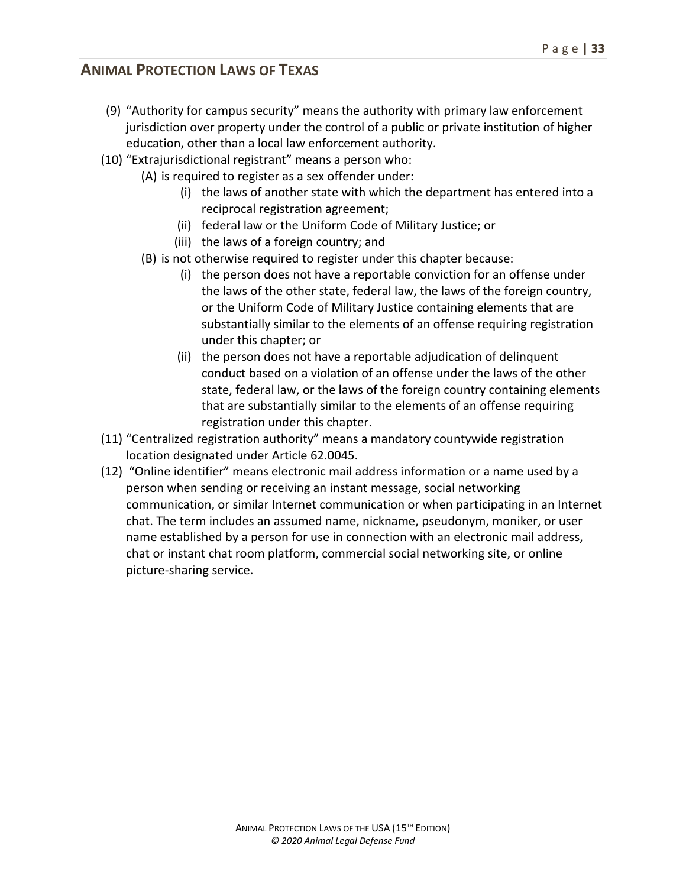- (9) "Authority for campus security" means the authority with primary law enforcement jurisdiction over property under the control of a public or private institution of higher education, other than a local law enforcement authority.
- (10) "Extrajurisdictional registrant" means a person who:
	- (A) is required to register as a sex offender under:
		- (i) the laws of another state with which the department has entered into a reciprocal registration agreement;
		- (ii) federal law or the Uniform Code of Military Justice; or
		- (iii) the laws of a foreign country; and
		- (B) is not otherwise required to register under this chapter because:
			- (i) the person does not have a reportable conviction for an offense under the laws of the other state, federal law, the laws of the foreign country, or the Uniform Code of Military Justice containing elements that are substantially similar to the elements of an offense requiring registration under this chapter; or
			- (ii) the person does not have a reportable adjudication of delinquent conduct based on a violation of an offense under the laws of the other state, federal law, or the laws of the foreign country containing elements that are substantially similar to the elements of an offense requiring registration under this chapter.
- (11) "Centralized registration authority" means a mandatory countywide registration location designated under Article 62.0045.
- (12) "Online identifier" means electronic mail address information or a name used by a person when sending or receiving an instant message, social networking communication, or similar Internet communication or when participating in an Internet chat. The term includes an assumed name, nickname, pseudonym, moniker, or user name established by a person for use in connection with an electronic mail address, chat or instant chat room platform, commercial social networking site, or online picture-sharing service.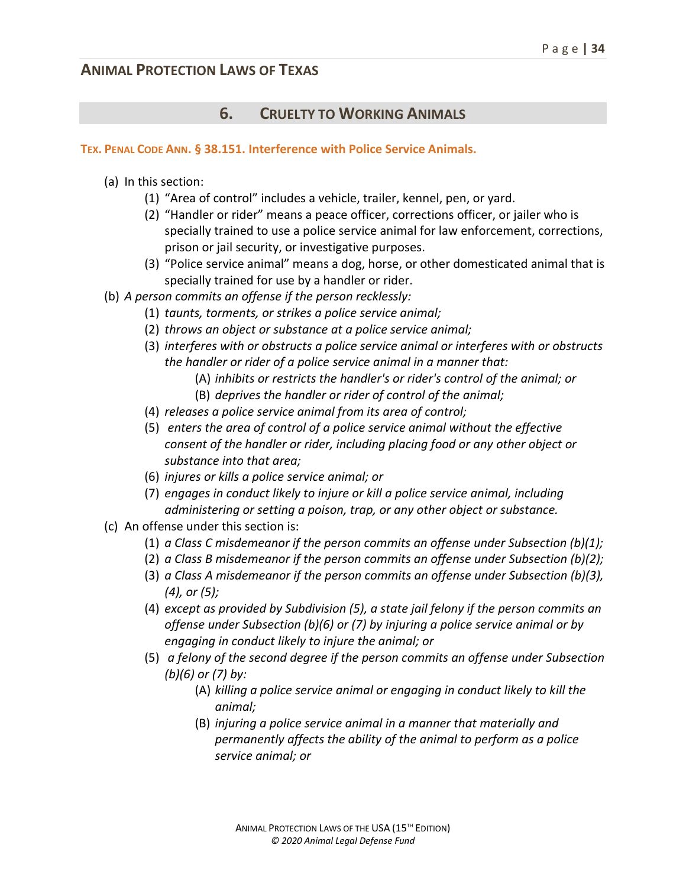### **6. CRUELTY TO WORKING ANIMALS**

#### **TEX. PENAL CODE ANN. § 38.151. Interference with Police Service Animals.**

- (a) In this section:
	- (1) "Area of control" includes a vehicle, trailer, kennel, pen, or yard.
	- (2) "Handler or rider" means a peace officer, corrections officer, or jailer who is specially trained to use a police service animal for law enforcement, corrections, prison or jail security, or investigative purposes.
	- (3) "Police service animal" means a dog, horse, or other domesticated animal that is specially trained for use by a handler or rider.
- (b) *A person commits an offense if the person recklessly:*
	- (1) *taunts, torments, or strikes a police service animal;*
	- (2) *throws an object or substance at a police service animal;*
	- (3) *interferes with or obstructs a police service animal or interferes with or obstructs the handler or rider of a police service animal in a manner that:*
		- (A) *inhibits or restricts the handler's or rider's control of the animal; or*
		- (B) *deprives the handler or rider of control of the animal;*
	- (4) *releases a police service animal from its area of control;*
	- (5) *enters the area of control of a police service animal without the effective consent of the handler or rider, including placing food or any other object or substance into that area;*
	- (6) *injures or kills a police service animal; or*
	- (7) *engages in conduct likely to injure or kill a police service animal, including administering or setting a poison, trap, or any other object or substance.*
- (c) An offense under this section is:
	- (1) *a Class C misdemeanor if the person commits an offense under Subsection (b)(1);*
	- (2) *a Class B misdemeanor if the person commits an offense under Subsection (b)(2);*
	- (3) *a Class A misdemeanor if the person commits an offense under Subsection (b)(3), (4), or (5);*
	- (4) *except as provided by Subdivision (5), a state jail felony if the person commits an offense under Subsection (b)(6) or (7) by injuring a police service animal or by engaging in conduct likely to injure the animal; or*
	- (5) *a felony of the second degree if the person commits an offense under Subsection (b)(6) or (7) by:*
		- (A) *killing a police service animal or engaging in conduct likely to kill the animal;*
		- (B) *injuring a police service animal in a manner that materially and permanently affects the ability of the animal to perform as a police service animal; or*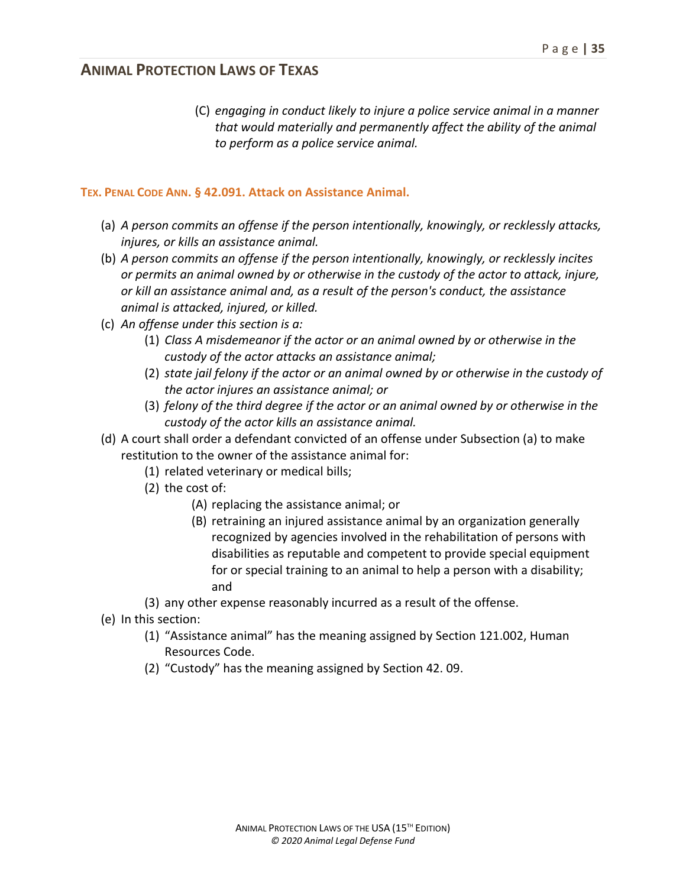(C) *engaging in conduct likely to injure a police service animal in a manner that would materially and permanently affect the ability of the animal to perform as a police service animal.*

#### **TEX. PENAL CODE ANN. § 42.091. Attack on Assistance Animal.**

- (a) *A person commits an offense if the person intentionally, knowingly, or recklessly attacks, injures, or kills an assistance animal.*
- (b) *A person commits an offense if the person intentionally, knowingly, or recklessly incites or permits an animal owned by or otherwise in the custody of the actor to attack, injure, or kill an assistance animal and, as a result of the person's conduct, the assistance animal is attacked, injured, or killed.*
- (c) *An offense under this section is a:*
	- (1) *Class A misdemeanor if the actor or an animal owned by or otherwise in the custody of the actor attacks an assistance animal;*
	- (2) *state jail felony if the actor or an animal owned by or otherwise in the custody of the actor injures an assistance animal; or*
	- (3) *felony of the third degree if the actor or an animal owned by or otherwise in the custody of the actor kills an assistance animal.*
- (d) A court shall order a defendant convicted of an offense under Subsection (a) to make restitution to the owner of the assistance animal for:
	- (1) related veterinary or medical bills;
	- (2) the cost of:
		- (A) replacing the assistance animal; or
		- (B) retraining an injured assistance animal by an organization generally recognized by agencies involved in the rehabilitation of persons with disabilities as reputable and competent to provide special equipment for or special training to an animal to help a person with a disability; and

(3) any other expense reasonably incurred as a result of the offense.

- (e) In this section:
	- (1) "Assistance animal" has the meaning assigned by Section 121.002, Human Resources Code.
	- (2) "Custody" has the meaning assigned by Section 42. 09.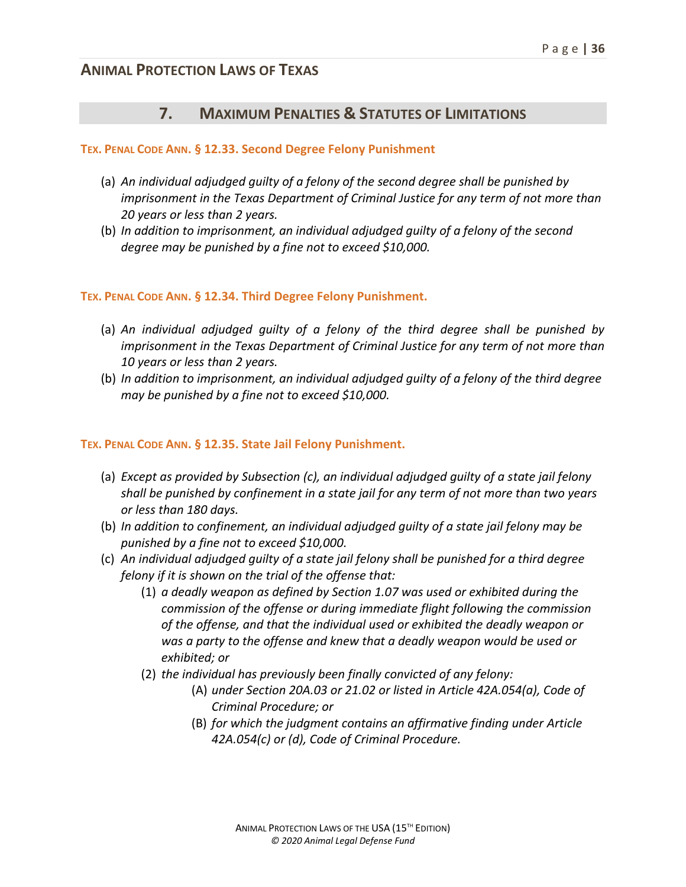### **7. MAXIMUM PENALTIES & STATUTES OF LIMITATIONS**

#### **TEX. PENAL CODE ANN. § 12.33. Second Degree Felony Punishment**

- (a) *An individual adjudged guilty of a felony of the second degree shall be punished by imprisonment in the Texas Department of Criminal Justice for any term of not more than 20 years or less than 2 years.*
- (b) *In addition to imprisonment, an individual adjudged guilty of a felony of the second degree may be punished by a fine not to exceed \$10,000.*

#### **TEX. PENAL CODE ANN. § 12.34. Third Degree Felony Punishment.**

- (a) *An individual adjudged guilty of a felony of the third degree shall be punished by imprisonment in the Texas Department of Criminal Justice for any term of not more than 10 years or less than 2 years.*
- (b) *In addition to imprisonment, an individual adjudged guilty of a felony of the third degree may be punished by a fine not to exceed \$10,000.*

#### **TEX. PENAL CODE ANN. § 12.35. State Jail Felony Punishment.**

- (a) *Except as provided by Subsection (c), an individual adjudged guilty of a state jail felony shall be punished by confinement in a state jail for any term of not more than two years or less than 180 days.*
- (b) *In addition to confinement, an individual adjudged guilty of a state jail felony may be punished by a fine not to exceed \$10,000.*
- (c) *An individual adjudged guilty of a state jail felony shall be punished for a third degree felony if it is shown on the trial of the offense that:*
	- (1) *a deadly weapon as defined by Section 1.07 was used or exhibited during the commission of the offense or during immediate flight following the commission of the offense, and that the individual used or exhibited the deadly weapon or was a party to the offense and knew that a deadly weapon would be used or exhibited; or*
	- (2) *the individual has previously been finally convicted of any felony:*
		- (A) *under Section 20A.03 or 21.02 or listed in Article 42A.054(a), Code of Criminal Procedure; or*
		- (B) *for which the judgment contains an affirmative finding under Article 42A.054(c) or (d), Code of Criminal Procedure.*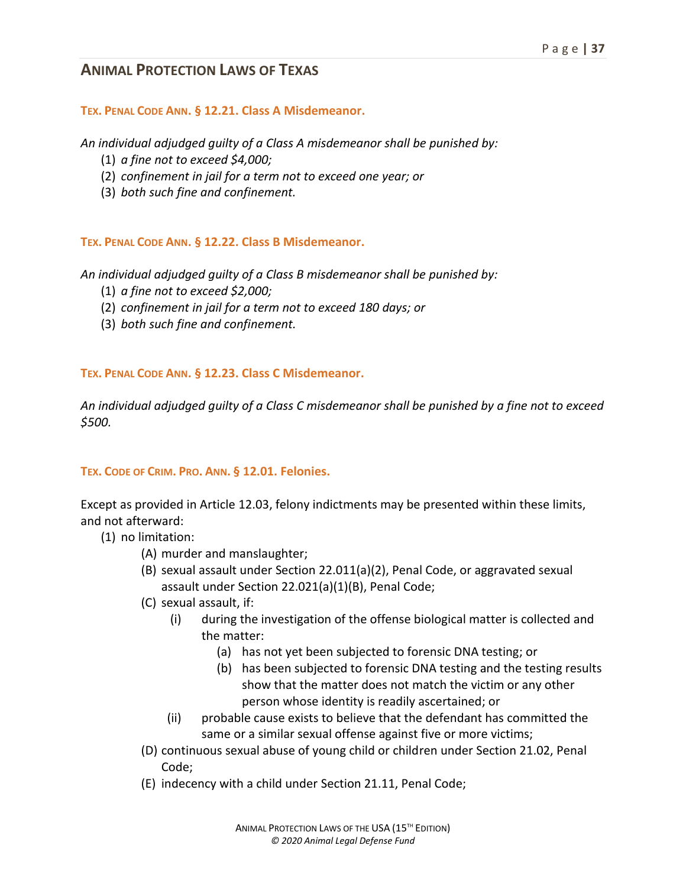#### **TEX. PENAL CODE ANN. § 12.21. Class A Misdemeanor.**

*An individual adjudged guilty of a Class A misdemeanor shall be punished by:* 

- (1) *a fine not to exceed \$4,000;*
- (2) *confinement in jail for a term not to exceed one year; or*
- (3) *both such fine and confinement.*

#### **TEX. PENAL CODE ANN. § 12.22. Class B Misdemeanor.**

*An individual adjudged guilty of a Class B misdemeanor shall be punished by:*

- (1) *a fine not to exceed \$2,000;*
- (2) *confinement in jail for a term not to exceed 180 days; or*
- (3) *both such fine and confinement.*

#### **TEX. PENAL CODE ANN. § 12.23. Class C Misdemeanor.**

*An individual adjudged guilty of a Class C misdemeanor shall be punished by a fine not to exceed \$500.*

#### **TEX. CODE OF CRIM. PRO. ANN. § 12.01. Felonies.**

Except as provided in Article 12.03, felony indictments may be presented within these limits, and not afterward:

- (1) no limitation:
	- (A) murder and manslaughter;
	- (B) sexual assault under Section 22.011(a)(2), Penal Code, or aggravated sexual assault under Section 22.021(a)(1)(B), Penal Code;
	- (C) sexual assault, if:
		- (i) during the investigation of the offense biological matter is collected and the matter:
			- (a) has not yet been subjected to forensic DNA testing; or
			- (b) has been subjected to forensic DNA testing and the testing results show that the matter does not match the victim or any other person whose identity is readily ascertained; or
		- (ii) probable cause exists to believe that the defendant has committed the same or a similar sexual offense against five or more victims;
	- (D) continuous sexual abuse of young child or children under Section 21.02, Penal Code;
	- (E) indecency with a child under Section 21.11, Penal Code;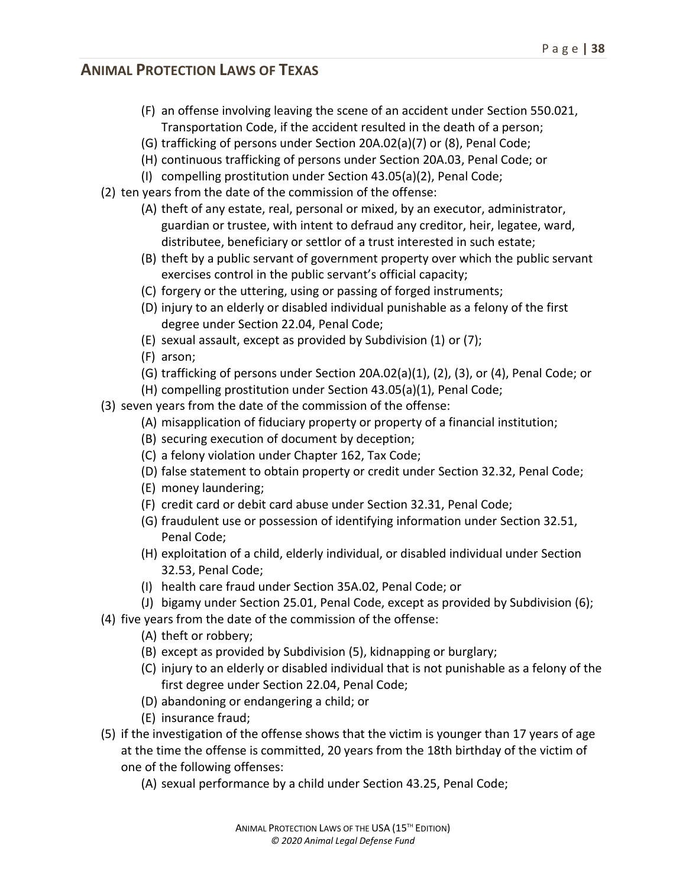- (F) an offense involving leaving the scene of an accident under Section 550.021, Transportation Code, if the accident resulted in the death of a person;
- (G) trafficking of persons under Section 20A.02(a)(7) or (8), Penal Code;
- (H) continuous trafficking of persons under Section 20A.03, Penal Code; or
- (I) compelling prostitution under Section 43.05(a)(2), Penal Code;
- (2) ten years from the date of the commission of the offense:
	- (A) theft of any estate, real, personal or mixed, by an executor, administrator, guardian or trustee, with intent to defraud any creditor, heir, legatee, ward, distributee, beneficiary or settlor of a trust interested in such estate;
	- (B) theft by a public servant of government property over which the public servant exercises control in the public servant's official capacity;
	- (C) forgery or the uttering, using or passing of forged instruments;
	- (D) injury to an elderly or disabled individual punishable as a felony of the first degree under Section 22.04, Penal Code;
	- (E) sexual assault, except as provided by Subdivision (1) or (7);
	- (F) arson;
	- (G) trafficking of persons under Section 20A.02(a)(1), (2), (3), or (4), Penal Code; or
	- (H) compelling prostitution under Section 43.05(a)(1), Penal Code;
- (3) seven years from the date of the commission of the offense:
	- (A) misapplication of fiduciary property or property of a financial institution;
	- (B) securing execution of document by deception;
	- (C) a felony violation under Chapter 162, Tax Code;
	- (D) false statement to obtain property or credit under Section 32.32, Penal Code;
	- (E) money laundering;
	- (F) credit card or debit card abuse under Section 32.31, Penal Code;
	- (G) fraudulent use or possession of identifying information under Section 32.51, Penal Code;
	- (H) exploitation of a child, elderly individual, or disabled individual under Section 32.53, Penal Code;
	- (I) health care fraud under Section 35A.02, Penal Code; or
	- (J) bigamy under Section 25.01, Penal Code, except as provided by Subdivision (6);
- (4) five years from the date of the commission of the offense:
	- (A) theft or robbery;
	- (B) except as provided by Subdivision (5), kidnapping or burglary;
	- (C) injury to an elderly or disabled individual that is not punishable as a felony of the first degree under Section 22.04, Penal Code;
	- (D) abandoning or endangering a child; or
	- (E) insurance fraud;
- (5) if the investigation of the offense shows that the victim is younger than 17 years of age at the time the offense is committed, 20 years from the 18th birthday of the victim of one of the following offenses:
	- (A) sexual performance by a child under Section 43.25, Penal Code;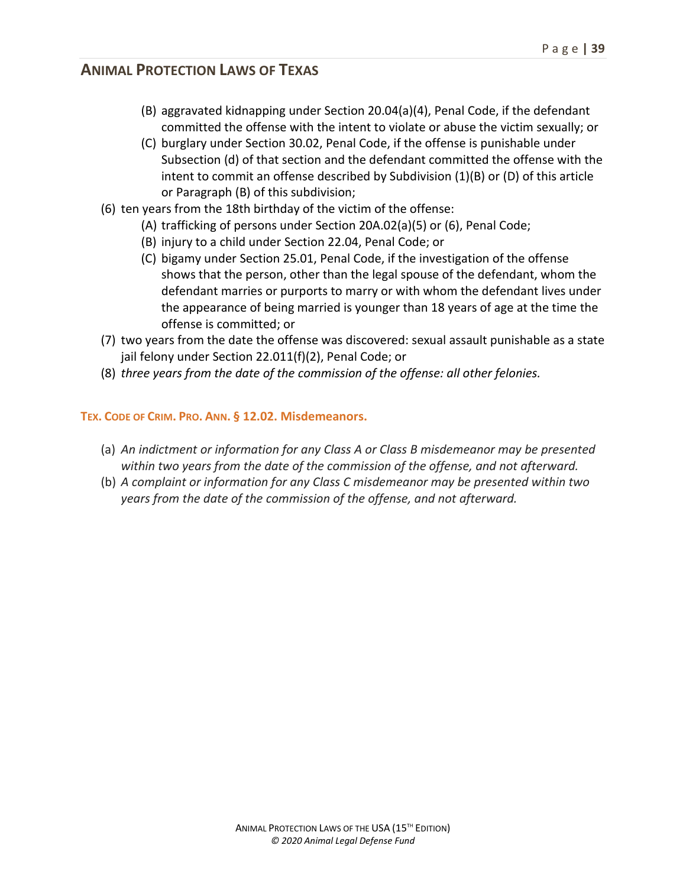- (B) aggravated kidnapping under Section 20.04(a)(4), Penal Code, if the defendant committed the offense with the intent to violate or abuse the victim sexually; or
- (C) burglary under Section 30.02, Penal Code, if the offense is punishable under Subsection (d) of that section and the defendant committed the offense with the intent to commit an offense described by Subdivision (1)(B) or (D) of this article or Paragraph (B) of this subdivision;
- (6) ten years from the 18th birthday of the victim of the offense:
	- (A) trafficking of persons under Section 20A.02(a)(5) or (6), Penal Code;
	- (B) injury to a child under Section 22.04, Penal Code; or
	- (C) bigamy under Section 25.01, Penal Code, if the investigation of the offense shows that the person, other than the legal spouse of the defendant, whom the defendant marries or purports to marry or with whom the defendant lives under the appearance of being married is younger than 18 years of age at the time the offense is committed; or
- (7) two years from the date the offense was discovered: sexual assault punishable as a state jail felony under Section 22.011(f)(2), Penal Code; or
- (8) *three years from the date of the commission of the offense: all other felonies.*

### **TEX. CODE OF CRIM. PRO. ANN. § 12.02. Misdemeanors.**

- (a) *An indictment or information for any Class A or Class B misdemeanor may be presented within two years from the date of the commission of the offense, and not afterward.*
- (b) *A complaint or information for any Class C misdemeanor may be presented within two years from the date of the commission of the offense, and not afterward.*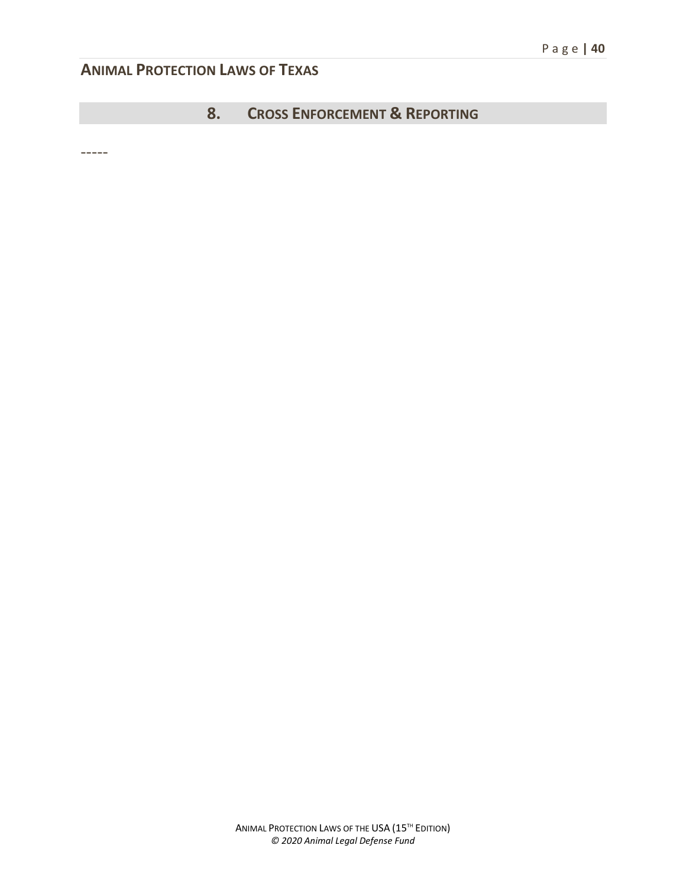**8. CROSS ENFORCEMENT & REPORTING**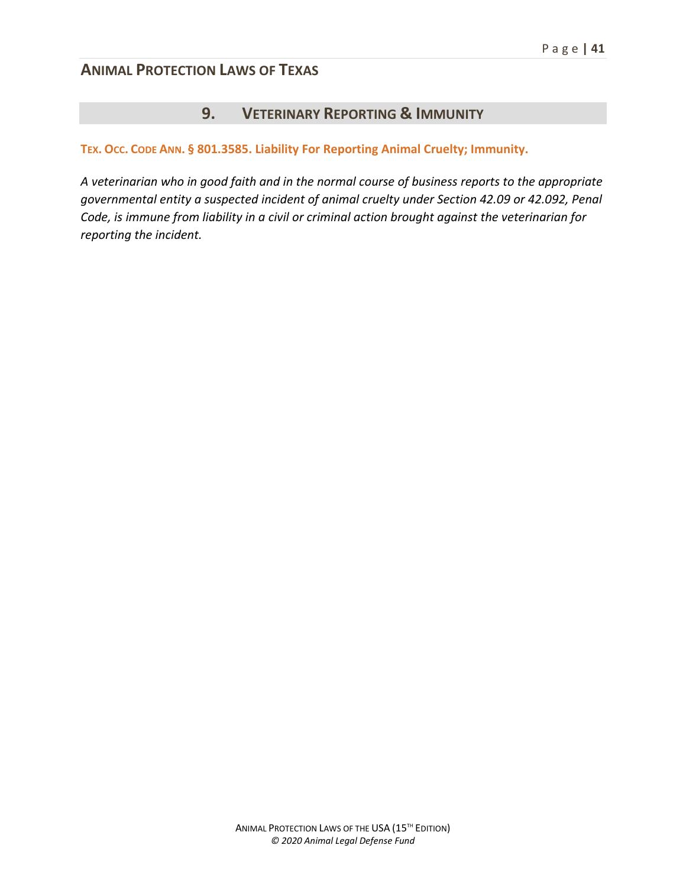# **9. VETERINARY REPORTING & IMMUNITY**

### **TEX. OCC. CODE ANN. § 801.3585. Liability For Reporting Animal Cruelty; Immunity.**

*A veterinarian who in good faith and in the normal course of business reports to the appropriate governmental entity a suspected incident of animal cruelty under Section 42.09 or 42.092, Penal Code, is immune from liability in a civil or criminal action brought against the veterinarian for reporting the incident.*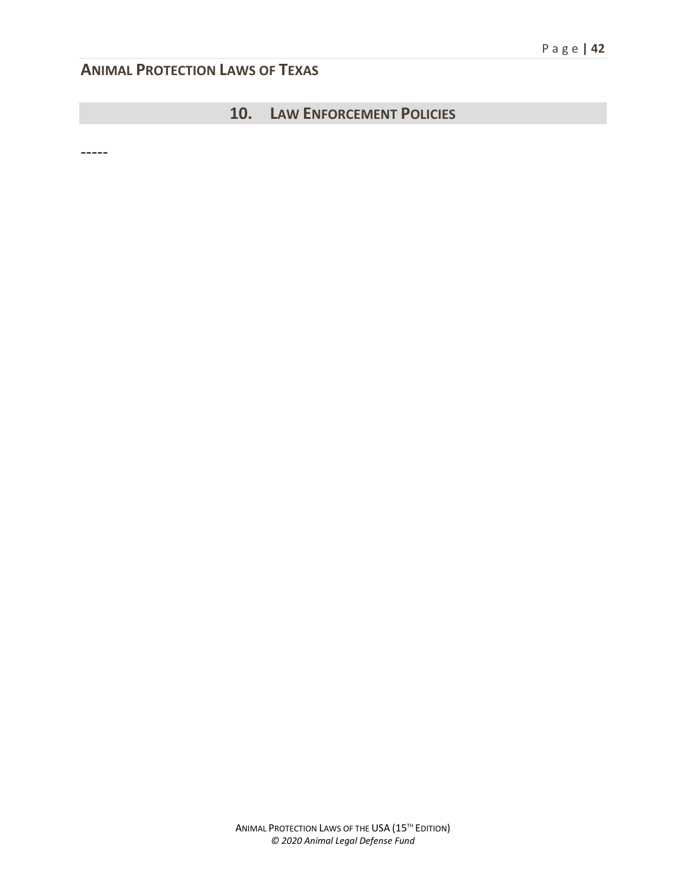# **10. LAW ENFORCEMENT POLICIES**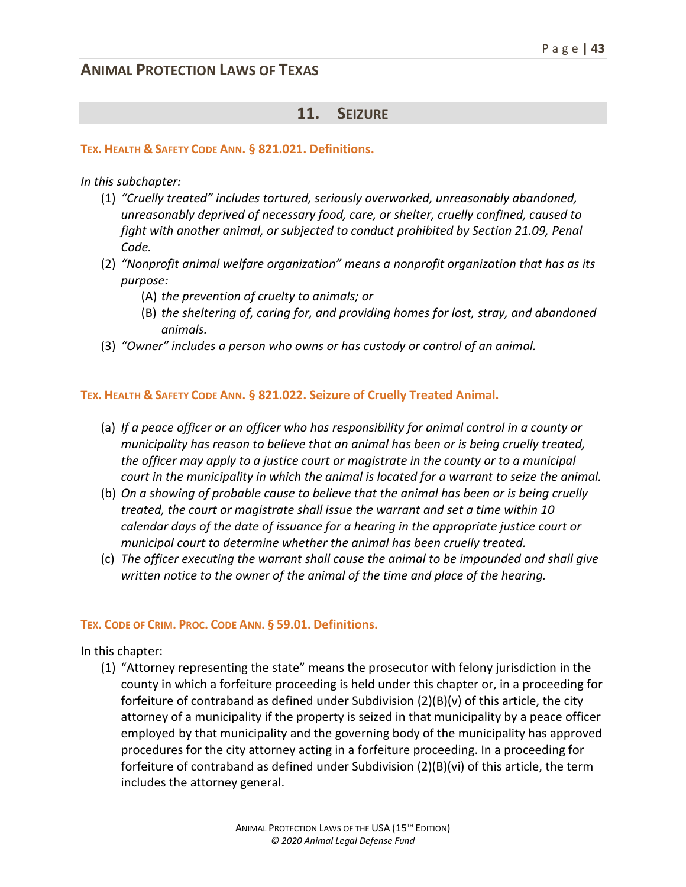### **11. SEIZURE**

#### **TEX. HEALTH & SAFETY CODE ANN. § 821.021. Definitions.**

*In this subchapter:*

- (1) *"Cruelly treated" includes tortured, seriously overworked, unreasonably abandoned, unreasonably deprived of necessary food, care, or shelter, cruelly confined, caused to fight with another animal, or subjected to conduct prohibited by Section 21.09, Penal Code.*
- (2) *"Nonprofit animal welfare organization" means a nonprofit organization that has as its purpose:*
	- (A) *the prevention of cruelty to animals; or*
	- (B) *the sheltering of, caring for, and providing homes for lost, stray, and abandoned animals.*
- (3) *"Owner" includes a person who owns or has custody or control of an animal.*

#### **TEX. HEALTH & SAFETY CODE ANN. § 821.022. Seizure of Cruelly Treated Animal.**

- (a) *If a peace officer or an officer who has responsibility for animal control in a county or municipality has reason to believe that an animal has been or is being cruelly treated, the officer may apply to a justice court or magistrate in the county or to a municipal court in the municipality in which the animal is located for a warrant to seize the animal.*
- (b) *On a showing of probable cause to believe that the animal has been or is being cruelly treated, the court or magistrate shall issue the warrant and set a time within 10 calendar days of the date of issuance for a hearing in the appropriate justice court or municipal court to determine whether the animal has been cruelly treated.*
- (c) *The officer executing the warrant shall cause the animal to be impounded and shall give written notice to the owner of the animal of the time and place of the hearing.*

#### **TEX. CODE OF CRIM. PROC. CODE ANN. § 59.01. Definitions.**

In this chapter:

(1) "Attorney representing the state" means the prosecutor with felony jurisdiction in the county in which a forfeiture proceeding is held under this chapter or, in a proceeding for forfeiture of contraband as defined under Subdivision  $(2)(B)(v)$  of this article, the city attorney of a municipality if the property is seized in that municipality by a peace officer employed by that municipality and the governing body of the municipality has approved procedures for the city attorney acting in a forfeiture proceeding. In a proceeding for forfeiture of contraband as defined under Subdivision (2)(B)(vi) of this article, the term includes the attorney general.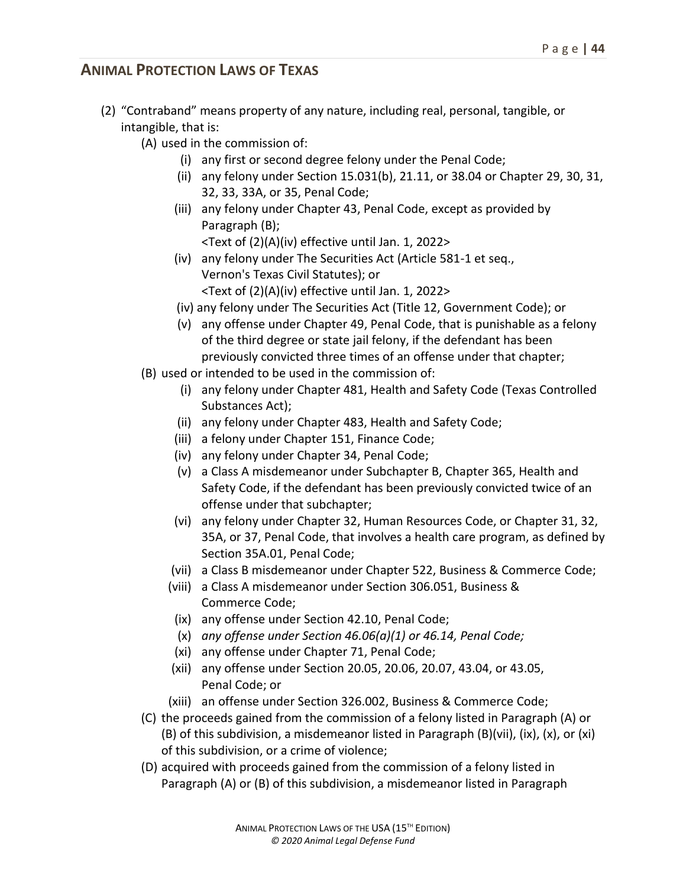- (2) "Contraband" means property of any nature, including real, personal, tangible, or intangible, that is:
	- (A) used in the commission of:
		- (i) any first or second degree felony under the Penal Code;
		- (ii) any felony under Section 15.031(b), 21.11, or 38.04 or Chapter 29, 30, 31, 32, 33, 33A, or 35, Penal Code;
		- (iii) any felony under Chapter 43, Penal Code, except as provided by Paragraph (B);
			- <Text of (2)(A)(iv) effective until Jan. 1, 2022>
		- (iv) any felony under The Securities Act (Article 581-1 et seq., Vernon's Texas Civil Statutes); or <Text of (2)(A)(iv) effective until Jan. 1, 2022>
		- (iv) any felony under The Securities Act (Title 12, Government Code); or
		- (v) any offense under Chapter 49, Penal Code, that is punishable as a felony of the third degree or state jail felony, if the defendant has been previously convicted three times of an offense under that chapter;
	- (B) used or intended to be used in the commission of:
		- (i) any felony under Chapter 481, Health and Safety Code (Texas Controlled Substances Act);
		- (ii) any felony under Chapter 483, Health and Safety Code;
		- (iii) a felony under Chapter 151, Finance Code;
		- (iv) any felony under Chapter 34, Penal Code;
		- (v) a Class A misdemeanor under Subchapter B, Chapter 365, Health and Safety Code, if the defendant has been previously convicted twice of an offense under that subchapter;
		- (vi) any felony under Chapter 32, Human Resources Code, or Chapter 31, 32, 35A, or 37, Penal Code, that involves a health care program, as defined by Section 35A.01, Penal Code;
		- (vii) a Class B misdemeanor under Chapter 522, Business & Commerce Code;
		- (viii) a Class A misdemeanor under Section 306.051, Business & Commerce Code;
		- (ix) any offense under Section 42.10, Penal Code;
		- (x) *any offense under Section 46.06(a)(1) or 46.14, Penal Code;*
		- (xi) any offense under Chapter 71, Penal Code;
		- (xii) any offense under Section 20.05, 20.06, 20.07, 43.04, or 43.05, Penal Code; or
		- (xiii) an offense under Section 326.002, Business & Commerce Code;
	- (C) the proceeds gained from the commission of a felony listed in Paragraph (A) or (B) of this subdivision, a misdemeanor listed in Paragraph (B)(vii), (ix), (x), or (xi) of this subdivision, or a crime of violence;
	- (D) acquired with proceeds gained from the commission of a felony listed in Paragraph (A) or (B) of this subdivision, a misdemeanor listed in Paragraph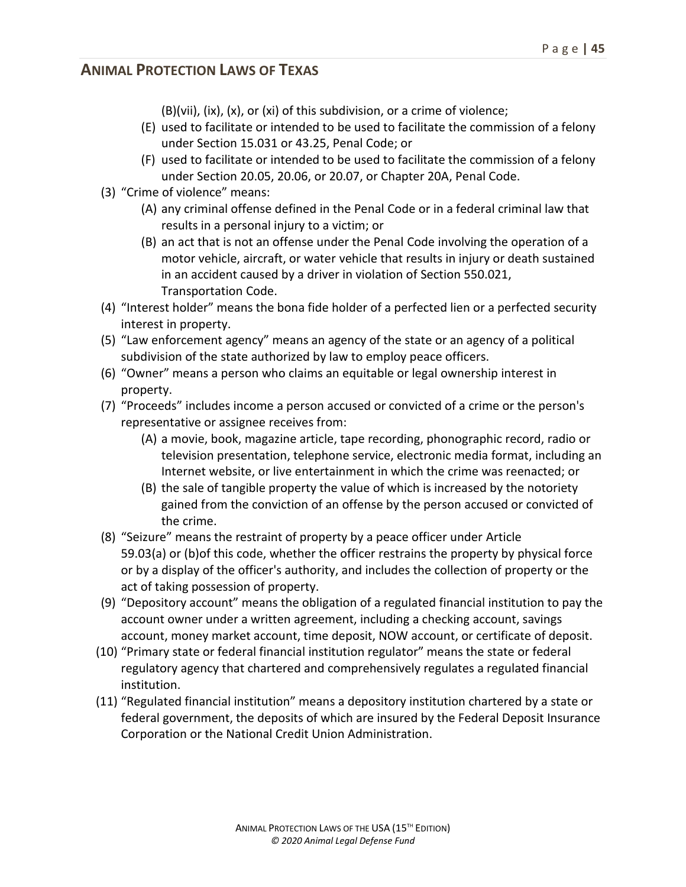(B)(vii), (ix), (x), or (xi) of this subdivision, or a crime of violence;

- (E) used to facilitate or intended to be used to facilitate the commission of a felony under Section 15.031 or 43.25, Penal Code; or
- (F) used to facilitate or intended to be used to facilitate the commission of a felony under Section 20.05, 20.06, or 20.07, or Chapter 20A, Penal Code.
- (3) "Crime of violence" means:
	- (A) any criminal offense defined in the Penal Code or in a federal criminal law that results in a personal injury to a victim; or
	- (B) an act that is not an offense under the Penal Code involving the operation of a motor vehicle, aircraft, or water vehicle that results in injury or death sustained in an accident caused by a driver in violation of Section 550.021, Transportation Code.
- (4) "Interest holder" means the bona fide holder of a perfected lien or a perfected security interest in property.
- (5) "Law enforcement agency" means an agency of the state or an agency of a political subdivision of the state authorized by law to employ peace officers.
- (6) "Owner" means a person who claims an equitable or legal ownership interest in property.
- (7) "Proceeds" includes income a person accused or convicted of a crime or the person's representative or assignee receives from:
	- (A) a movie, book, magazine article, tape recording, phonographic record, radio or television presentation, telephone service, electronic media format, including an Internet website, or live entertainment in which the crime was reenacted; or
	- (B) the sale of tangible property the value of which is increased by the notoriety gained from the conviction of an offense by the person accused or convicted of the crime.
- (8) "Seizure" means the restraint of property by a peace officer under Article 59.03(a) or (b)of this code, whether the officer restrains the property by physical force or by a display of the officer's authority, and includes the collection of property or the act of taking possession of property.
- (9) "Depository account" means the obligation of a regulated financial institution to pay the account owner under a written agreement, including a checking account, savings account, money market account, time deposit, NOW account, or certificate of deposit.
- (10) "Primary state or federal financial institution regulator" means the state or federal regulatory agency that chartered and comprehensively regulates a regulated financial institution.
- (11) "Regulated financial institution" means a depository institution chartered by a state or federal government, the deposits of which are insured by the Federal Deposit Insurance Corporation or the National Credit Union Administration.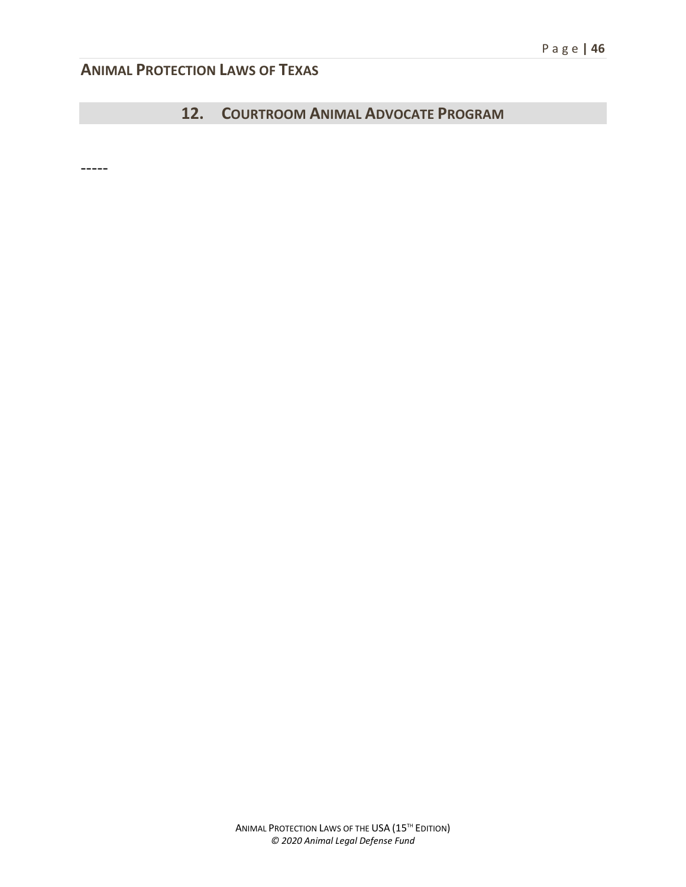# **12. COURTROOM ANIMAL ADVOCATE PROGRAM**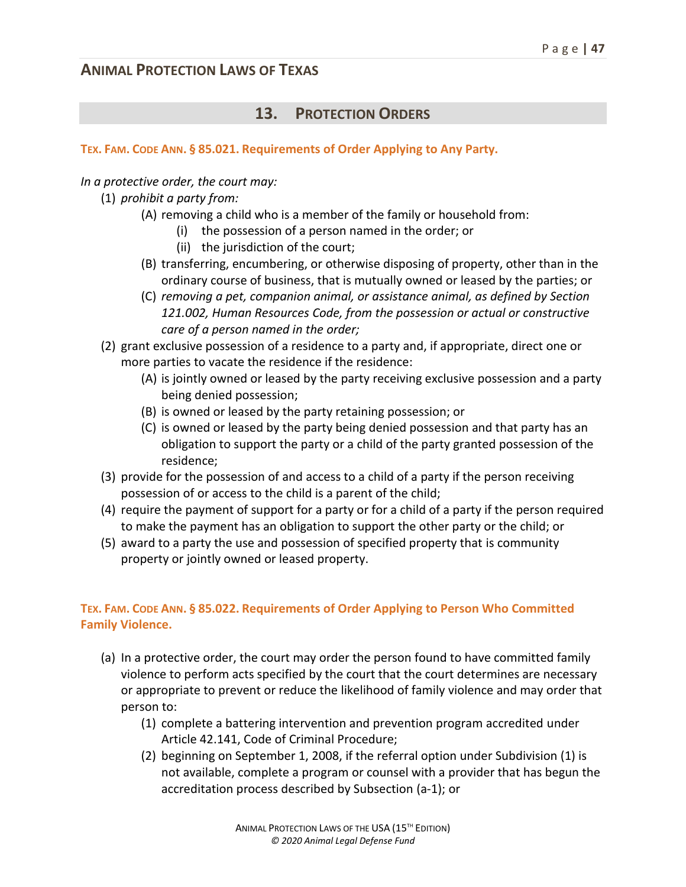### **13. PROTECTION ORDERS**

### **TEX. FAM. CODE ANN. § 85.021. Requirements of Order Applying to Any Party.**

### *In a protective order, the court may:*

- (1) *prohibit a party from:*
	- (A) removing a child who is a member of the family or household from:
		- (i) the possession of a person named in the order; or
		- (ii) the jurisdiction of the court;
	- (B) transferring, encumbering, or otherwise disposing of property, other than in the ordinary course of business, that is mutually owned or leased by the parties; or
	- (C) *removing a pet, companion animal, or assistance animal, as defined by Section 121.002, Human Resources Code, from the possession or actual or constructive care of a person named in the order;*
- (2) grant exclusive possession of a residence to a party and, if appropriate, direct one or more parties to vacate the residence if the residence:
	- (A) is jointly owned or leased by the party receiving exclusive possession and a party being denied possession;
	- (B) is owned or leased by the party retaining possession; or
	- (C) is owned or leased by the party being denied possession and that party has an obligation to support the party or a child of the party granted possession of the residence;
- (3) provide for the possession of and access to a child of a party if the person receiving possession of or access to the child is a parent of the child;
- (4) require the payment of support for a party or for a child of a party if the person required to make the payment has an obligation to support the other party or the child; or
- (5) award to a party the use and possession of specified property that is community property or jointly owned or leased property.

### **TEX. FAM. CODE ANN. § 85.022. Requirements of Order Applying to Person Who Committed Family Violence.**

- (a) In a protective order, the court may order the person found to have committed family violence to perform acts specified by the court that the court determines are necessary or appropriate to prevent or reduce the likelihood of family violence and may order that person to:
	- (1) complete a battering intervention and prevention program accredited under Article 42.141, Code of Criminal Procedure;
	- (2) beginning on September 1, 2008, if the referral option under Subdivision (1) is not available, complete a program or counsel with a provider that has begun the accreditation process described by Subsection (a-1); or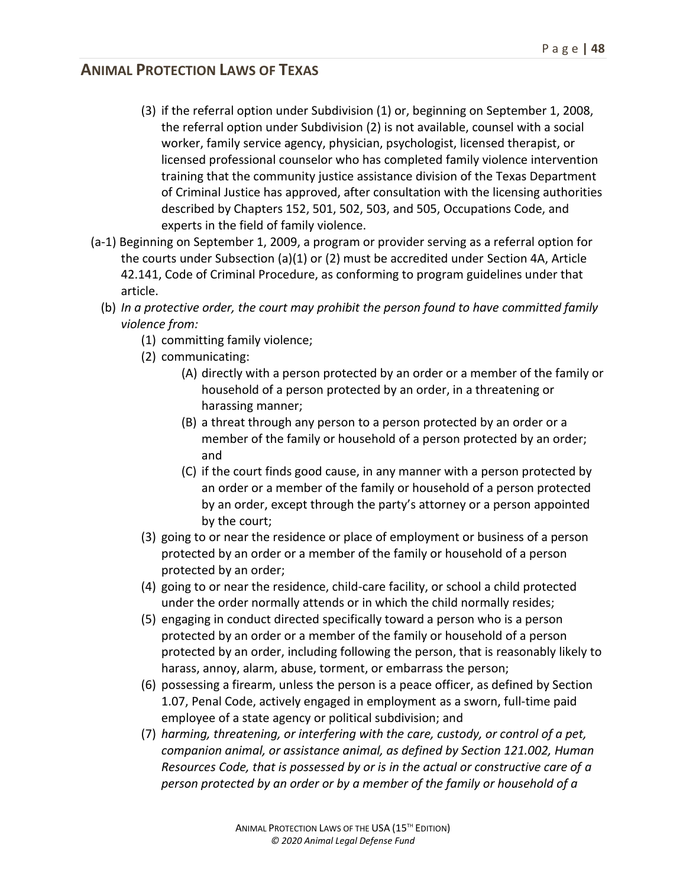- (3) if the referral option under Subdivision (1) or, beginning on September 1, 2008, the referral option under Subdivision (2) is not available, counsel with a social worker, family service agency, physician, psychologist, licensed therapist, or licensed professional counselor who has completed family violence intervention training that the community justice assistance division of the Texas Department of Criminal Justice has approved, after consultation with the licensing authorities described by Chapters 152, 501, 502, 503, and 505, Occupations Code, and experts in the field of family violence.
- (a-1) Beginning on September 1, 2009, a program or provider serving as a referral option for the courts under Subsection (a)(1) or (2) must be accredited under Section 4A, Article 42.141, Code of Criminal Procedure, as conforming to program guidelines under that article.
	- (b) *In a protective order, the court may prohibit the person found to have committed family violence from:*
		- (1) committing family violence;
		- (2) communicating:
			- (A) directly with a person protected by an order or a member of the family or household of a person protected by an order, in a threatening or harassing manner;
			- (B) a threat through any person to a person protected by an order or a member of the family or household of a person protected by an order; and
			- (C) if the court finds good cause, in any manner with a person protected by an order or a member of the family or household of a person protected by an order, except through the party's attorney or a person appointed by the court;
		- (3) going to or near the residence or place of employment or business of a person protected by an order or a member of the family or household of a person protected by an order;
		- (4) going to or near the residence, child-care facility, or school a child protected under the order normally attends or in which the child normally resides;
		- (5) engaging in conduct directed specifically toward a person who is a person protected by an order or a member of the family or household of a person protected by an order, including following the person, that is reasonably likely to harass, annoy, alarm, abuse, torment, or embarrass the person;
		- (6) possessing a firearm, unless the person is a peace officer, as defined by Section 1.07, Penal Code, actively engaged in employment as a sworn, full-time paid employee of a state agency or political subdivision; and
		- (7) *harming, threatening, or interfering with the care, custody, or control of a pet, companion animal, or assistance animal, as defined by Section 121.002, Human Resources Code, that is possessed by or is in the actual or constructive care of a person protected by an order or by a member of the family or household of a*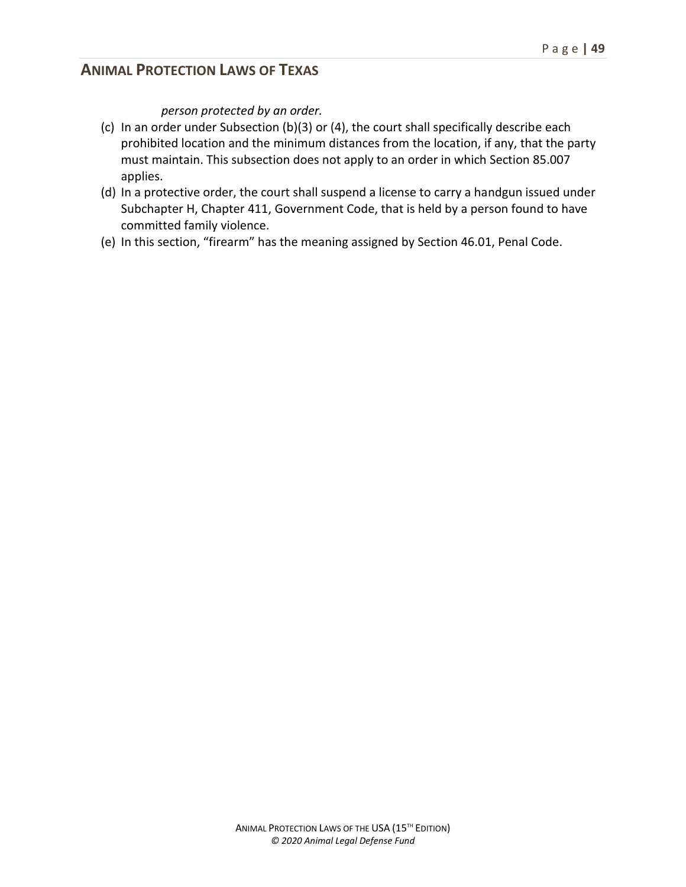*person protected by an order.*

- (c) In an order under Subsection (b)(3) or (4), the court shall specifically describe each prohibited location and the minimum distances from the location, if any, that the party must maintain. This subsection does not apply to an order in which Section 85.007 applies.
- (d) In a protective order, the court shall suspend a license to carry a handgun issued under Subchapter H, Chapter 411, Government Code, that is held by a person found to have committed family violence.
- (e) In this section, "firearm" has the meaning assigned by Section 46.01, Penal Code.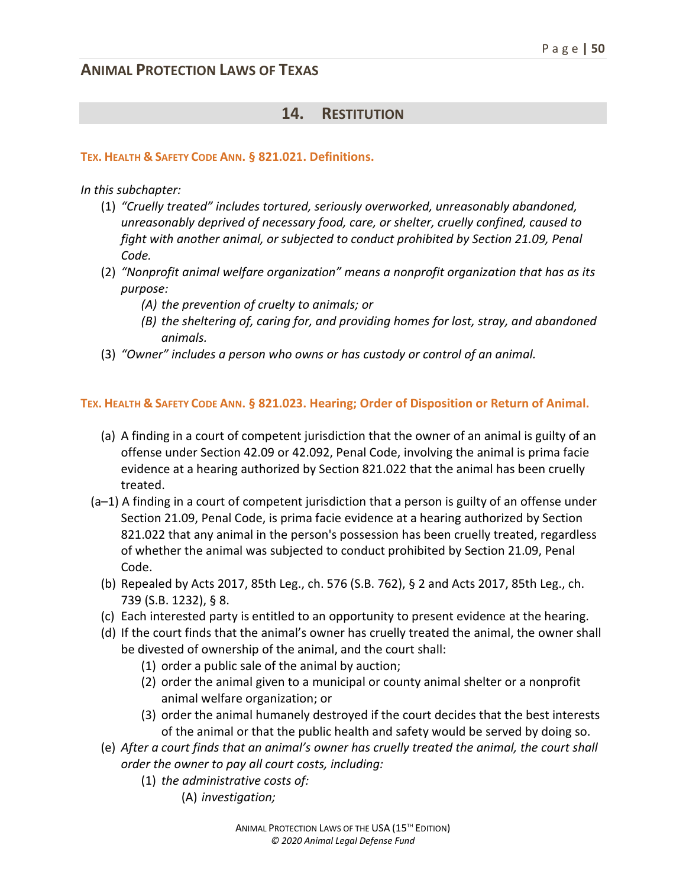### **14. RESTITUTION**

#### **TEX. HEALTH & SAFETY CODE ANN. § 821.021. Definitions.**

*In this subchapter:*

- (1) *"Cruelly treated" includes tortured, seriously overworked, unreasonably abandoned, unreasonably deprived of necessary food, care, or shelter, cruelly confined, caused to fight with another animal, or subjected to conduct prohibited by Section 21.09, Penal Code.*
- (2) *"Nonprofit animal welfare organization" means a nonprofit organization that has as its purpose:*
	- *(A) the prevention of cruelty to animals; or*
	- *(B) the sheltering of, caring for, and providing homes for lost, stray, and abandoned animals.*
- (3) *"Owner" includes a person who owns or has custody or control of an animal.*

#### **TEX. HEALTH & SAFETY CODE ANN. § 821.023. Hearing; Order of Disposition or Return of Animal.**

- (a) A finding in a court of competent jurisdiction that the owner of an animal is guilty of an offense under Section 42.09 or 42.092, Penal Code, involving the animal is prima facie evidence at a hearing authorized by Section 821.022 that the animal has been cruelly treated.
- (a–1) A finding in a court of competent jurisdiction that a person is guilty of an offense under Section 21.09, Penal Code, is prima facie evidence at a hearing authorized by Section 821.022 that any animal in the person's possession has been cruelly treated, regardless of whether the animal was subjected to conduct prohibited by Section 21.09, Penal Code.
	- (b) Repealed by Acts 2017, 85th Leg., ch. 576 (S.B. 762), § 2 and Acts 2017, 85th Leg., ch. 739 (S.B. 1232), § 8.
	- (c) Each interested party is entitled to an opportunity to present evidence at the hearing.
	- (d) If the court finds that the animal's owner has cruelly treated the animal, the owner shall be divested of ownership of the animal, and the court shall:
		- (1) order a public sale of the animal by auction;
		- (2) order the animal given to a municipal or county animal shelter or a nonprofit animal welfare organization; or
		- (3) order the animal humanely destroyed if the court decides that the best interests of the animal or that the public health and safety would be served by doing so.
	- (e) *After a court finds that an animal's owner has cruelly treated the animal, the court shall order the owner to pay all court costs, including:*
		- (1) *the administrative costs of:*
			- (A) *investigation;*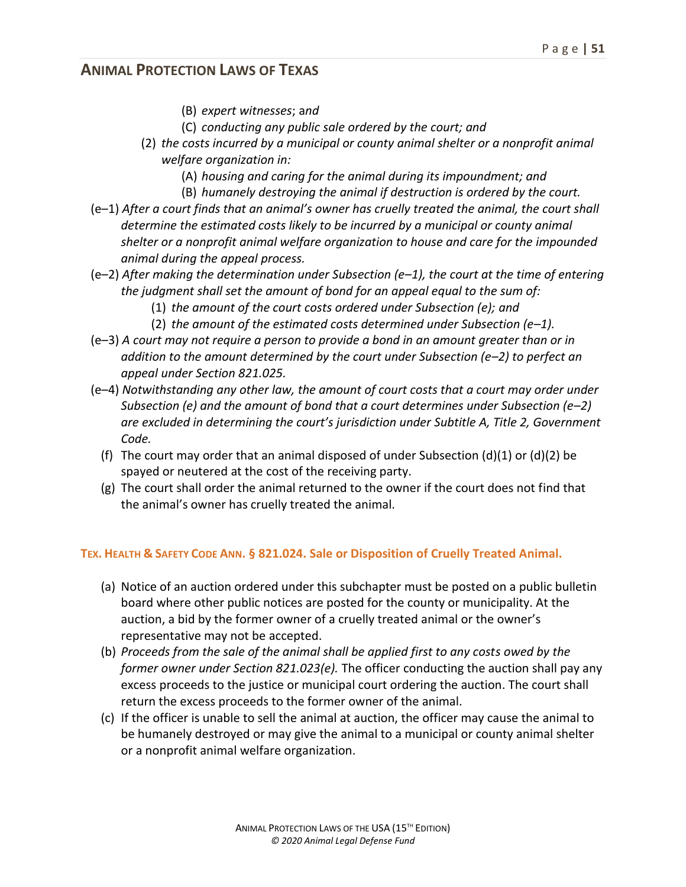- (B) *expert witnesses*; a*nd*
- (C) *conducting any public sale ordered by the court; and*
- (2) *the costs incurred by a municipal or county animal shelter or a nonprofit animal welfare organization in:*
	- (A) *housing and caring for the animal during its impoundment; and*
	- (B) *humanely destroying the animal if destruction is ordered by the court.*
- (e–1) *After a court finds that an animal's owner has cruelly treated the animal, the court shall determine the estimated costs likely to be incurred by a municipal or county animal shelter or a nonprofit animal welfare organization to house and care for the impounded animal during the appeal process.*
- (e–2) *After making the determination under Subsection (e–1), the court at the time of entering the judgment shall set the amount of bond for an appeal equal to the sum of:*
	- (1) *the amount of the court costs ordered under Subsection (e); and*
	- (2) *the amount of the estimated costs determined under Subsection (e–1).*
- (e–3) *A court may not require a person to provide a bond in an amount greater than or in addition to the amount determined by the court under Subsection (e–2) to perfect an appeal under Section 821.025.*
- (e–4) *Notwithstanding any other law, the amount of court costs that a court may order under Subsection (e) and the amount of bond that a court determines under Subsection (e–2) are excluded in determining the court's jurisdiction under Subtitle A, Title 2, Government Code.*
	- (f) The court may order that an animal disposed of under Subsection  $(d)(1)$  or  $(d)(2)$  be spayed or neutered at the cost of the receiving party.
	- (g) The court shall order the animal returned to the owner if the court does not find that the animal's owner has cruelly treated the animal.

### **TEX. HEALTH & SAFETY CODE ANN. § 821.024. Sale or Disposition of Cruelly Treated Animal.**

- (a) Notice of an auction ordered under this subchapter must be posted on a public bulletin board where other public notices are posted for the county or municipality. At the auction, a bid by the former owner of a cruelly treated animal or the owner's representative may not be accepted.
- (b) *Proceeds from the sale of the animal shall be applied first to any costs owed by the former owner under Section 821.023(e).* The officer conducting the auction shall pay any excess proceeds to the justice or municipal court ordering the auction. The court shall return the excess proceeds to the former owner of the animal.
- (c) If the officer is unable to sell the animal at auction, the officer may cause the animal to be humanely destroyed or may give the animal to a municipal or county animal shelter or a nonprofit animal welfare organization.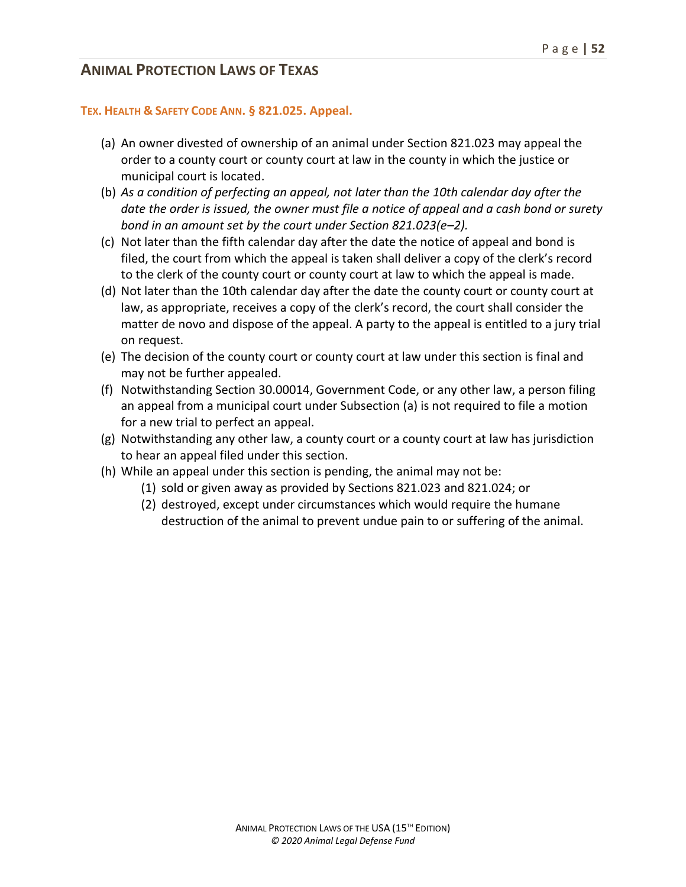#### **TEX. HEALTH & SAFETY CODE ANN. § 821.025. Appeal.**

- (a) An owner divested of ownership of an animal under Section 821.023 may appeal the order to a county court or county court at law in the county in which the justice or municipal court is located.
- (b) *As a condition of perfecting an appeal, not later than the 10th calendar day after the date the order is issued, the owner must file a notice of appeal and a cash bond or surety bond in an amount set by the court under Section 821.023(e–2).*
- (c) Not later than the fifth calendar day after the date the notice of appeal and bond is filed, the court from which the appeal is taken shall deliver a copy of the clerk's record to the clerk of the county court or county court at law to which the appeal is made.
- (d) Not later than the 10th calendar day after the date the county court or county court at law, as appropriate, receives a copy of the clerk's record, the court shall consider the matter de novo and dispose of the appeal. A party to the appeal is entitled to a jury trial on request.
- (e) The decision of the county court or county court at law under this section is final and may not be further appealed.
- (f) Notwithstanding Section 30.00014, Government Code, or any other law, a person filing an appeal from a municipal court under Subsection (a) is not required to file a motion for a new trial to perfect an appeal.
- (g) Notwithstanding any other law, a county court or a county court at law has jurisdiction to hear an appeal filed under this section.
- (h) While an appeal under this section is pending, the animal may not be:
	- (1) sold or given away as provided by Sections 821.023 and 821.024; or
	- (2) destroyed, except under circumstances which would require the humane destruction of the animal to prevent undue pain to or suffering of the animal.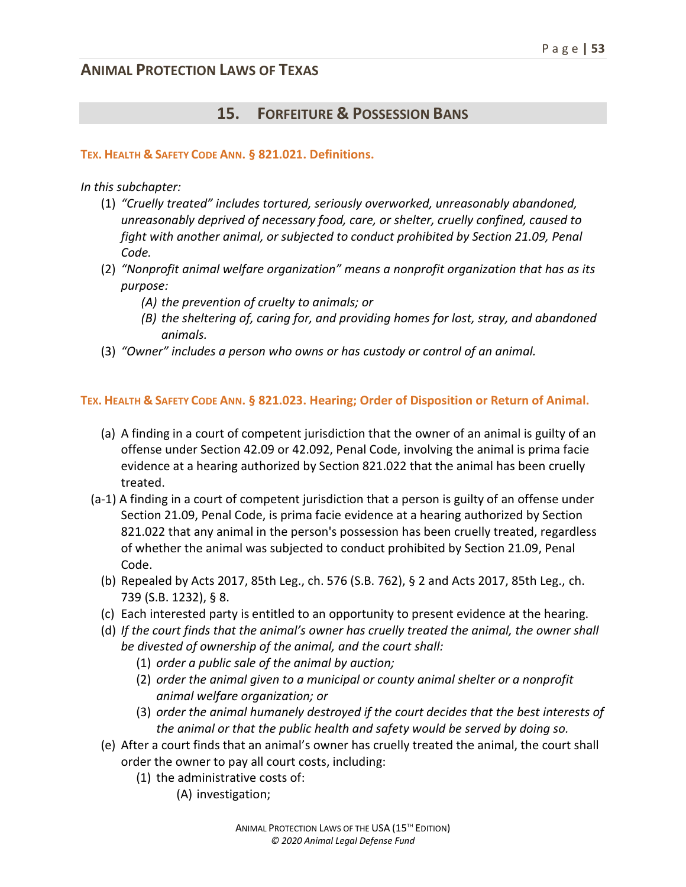### **15. FORFEITURE & POSSESSION BANS**

#### **TEX. HEALTH & SAFETY CODE ANN. § 821.021. Definitions.**

*In this subchapter:*

- (1) *"Cruelly treated" includes tortured, seriously overworked, unreasonably abandoned, unreasonably deprived of necessary food, care, or shelter, cruelly confined, caused to*  fight with another animal, or subjected to conduct prohibited by Section 21.09, Penal *Code.*
- (2) *"Nonprofit animal welfare organization" means a nonprofit organization that has as its purpose:*
	- *(A) the prevention of cruelty to animals; or*
	- *(B) the sheltering of, caring for, and providing homes for lost, stray, and abandoned animals.*
- (3) *"Owner" includes a person who owns or has custody or control of an animal.*

#### **TEX. HEALTH & SAFETY CODE ANN. § 821.023. Hearing; Order of Disposition or Return of Animal.**

- (a) A finding in a court of competent jurisdiction that the owner of an animal is guilty of an offense under Section 42.09 or 42.092, Penal Code, involving the animal is prima facie evidence at a hearing authorized by Section 821.022 that the animal has been cruelly treated.
- (a-1) A finding in a court of competent jurisdiction that a person is guilty of an offense under Section 21.09, Penal Code, is prima facie evidence at a hearing authorized by Section 821.022 that any animal in the person's possession has been cruelly treated, regardless of whether the animal was subjected to conduct prohibited by Section 21.09, Penal Code.
	- (b) Repealed by Acts 2017, 85th Leg., ch. 576 (S.B. 762), § 2 and Acts 2017, 85th Leg., ch. 739 (S.B. 1232), § 8.
	- (c) Each interested party is entitled to an opportunity to present evidence at the hearing.
	- (d) *If the court finds that the animal's owner has cruelly treated the animal, the owner shall be divested of ownership of the animal, and the court shall:*
		- (1) *order a public sale of the animal by auction;*
		- (2) *order the animal given to a municipal or county animal shelter or a nonprofit animal welfare organization; or*
		- (3) *order the animal humanely destroyed if the court decides that the best interests of the animal or that the public health and safety would be served by doing so.*
	- (e) After a court finds that an animal's owner has cruelly treated the animal, the court shall order the owner to pay all court costs, including:
		- (1) the administrative costs of:
			- (A) investigation;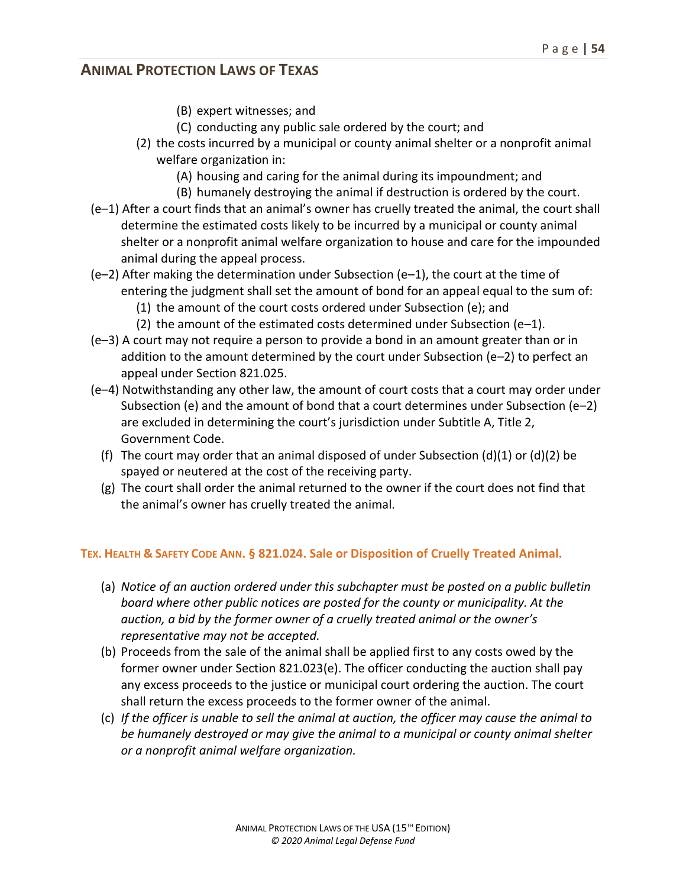- (B) expert witnesses; and
- (C) conducting any public sale ordered by the court; and
- (2) the costs incurred by a municipal or county animal shelter or a nonprofit animal welfare organization in:
	- (A) housing and caring for the animal during its impoundment; and
	- (B) humanely destroying the animal if destruction is ordered by the court.
- (e–1) After a court finds that an animal's owner has cruelly treated the animal, the court shall determine the estimated costs likely to be incurred by a municipal or county animal shelter or a nonprofit animal welfare organization to house and care for the impounded animal during the appeal process.
- (e–2) After making the determination under Subsection (e–1), the court at the time of entering the judgment shall set the amount of bond for an appeal equal to the sum of:
	- (1) the amount of the court costs ordered under Subsection (e); and
	- (2) the amount of the estimated costs determined under Subsection (e-1).
- (e–3) A court may not require a person to provide a bond in an amount greater than or in addition to the amount determined by the court under Subsection (e–2) to perfect an appeal under Section 821.025.
- (e–4) Notwithstanding any other law, the amount of court costs that a court may order under Subsection (e) and the amount of bond that a court determines under Subsection (e–2) are excluded in determining the court's jurisdiction under Subtitle A, Title 2, Government Code.
	- (f) The court may order that an animal disposed of under Subsection  $(d)(1)$  or  $(d)(2)$  be spayed or neutered at the cost of the receiving party.
	- (g) The court shall order the animal returned to the owner if the court does not find that the animal's owner has cruelly treated the animal.

### **TEX. HEALTH & SAFETY CODE ANN. § 821.024. Sale or Disposition of Cruelly Treated Animal.**

- (a) *Notice of an auction ordered under this subchapter must be posted on a public bulletin board where other public notices are posted for the county or municipality. At the auction, a bid by the former owner of a cruelly treated animal or the owner's representative may not be accepted.*
- (b) Proceeds from the sale of the animal shall be applied first to any costs owed by the former owner under Section 821.023(e). The officer conducting the auction shall pay any excess proceeds to the justice or municipal court ordering the auction. The court shall return the excess proceeds to the former owner of the animal.
- (c) *If the officer is unable to sell the animal at auction, the officer may cause the animal to be humanely destroyed or may give the animal to a municipal or county animal shelter or a nonprofit animal welfare organization.*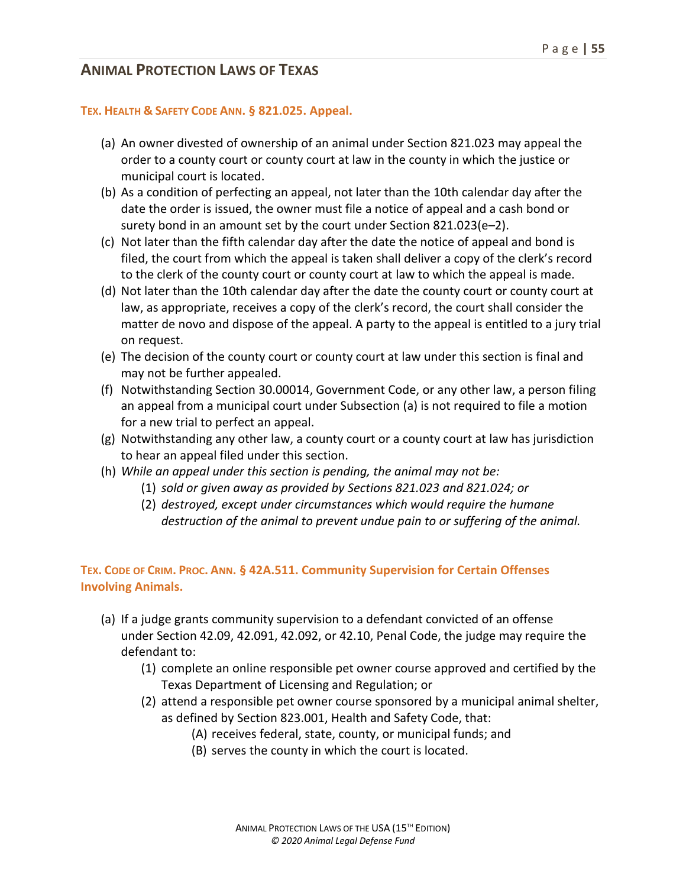#### **TEX. HEALTH & SAFETY CODE ANN. § 821.025. Appeal.**

- (a) An owner divested of ownership of an animal under Section 821.023 may appeal the order to a county court or county court at law in the county in which the justice or municipal court is located.
- (b) As a condition of perfecting an appeal, not later than the 10th calendar day after the date the order is issued, the owner must file a notice of appeal and a cash bond or surety bond in an amount set by the court under Section 821.023(e–2).
- (c) Not later than the fifth calendar day after the date the notice of appeal and bond is filed, the court from which the appeal is taken shall deliver a copy of the clerk's record to the clerk of the county court or county court at law to which the appeal is made.
- (d) Not later than the 10th calendar day after the date the county court or county court at law, as appropriate, receives a copy of the clerk's record, the court shall consider the matter de novo and dispose of the appeal. A party to the appeal is entitled to a jury trial on request.
- (e) The decision of the county court or county court at law under this section is final and may not be further appealed.
- (f) Notwithstanding Section 30.00014, Government Code, or any other law, a person filing an appeal from a municipal court under Subsection (a) is not required to file a motion for a new trial to perfect an appeal.
- (g) Notwithstanding any other law, a county court or a county court at law has jurisdiction to hear an appeal filed under this section.
- (h) *While an appeal under this section is pending, the animal may not be:*
	- (1) *sold or given away as provided by Sections 821.023 and 821.024; or*
	- (2) *destroyed, except under circumstances which would require the humane destruction of the animal to prevent undue pain to or suffering of the animal.*

### **TEX. CODE OF CRIM. PROC. ANN. § 42A.511. Community Supervision for Certain Offenses Involving Animals.**

- (a) If a judge grants community supervision to a defendant convicted of an offense under Section 42.09, 42.091, 42.092, or 42.10, Penal Code, the judge may require the defendant to:
	- (1) complete an online responsible pet owner course approved and certified by the Texas Department of Licensing and Regulation; or
	- (2) attend a responsible pet owner course sponsored by a municipal animal shelter, as defined by Section 823.001, Health and Safety Code, that:
		- (A) receives federal, state, county, or municipal funds; and
		- (B) serves the county in which the court is located.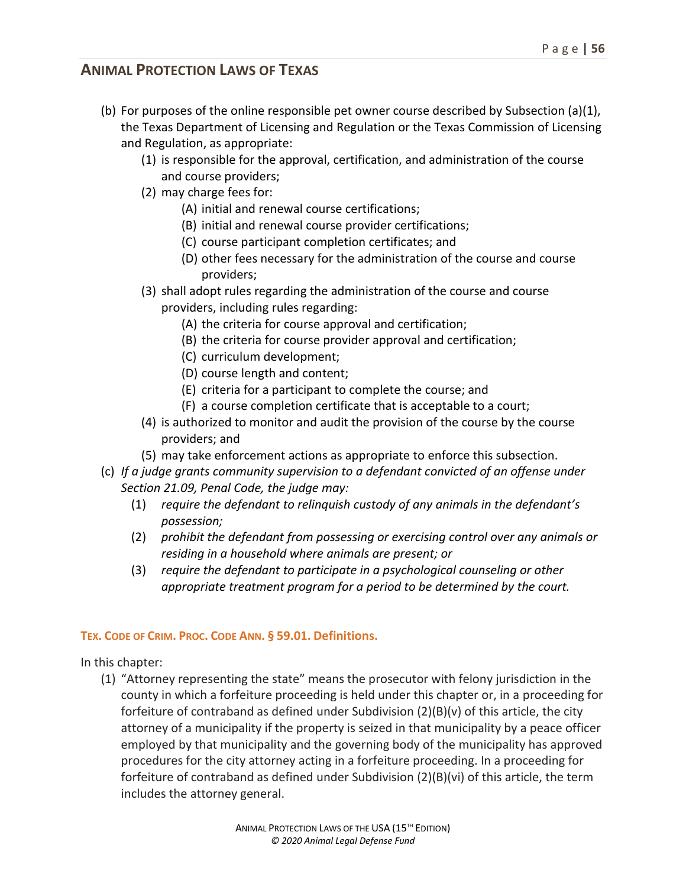- (b) For purposes of the online responsible pet owner course described by Subsection (a)(1), the Texas Department of Licensing and Regulation or the Texas Commission of Licensing and Regulation, as appropriate:
	- (1) is responsible for the approval, certification, and administration of the course and course providers;
	- (2) may charge fees for:
		- (A) initial and renewal course certifications;
		- (B) initial and renewal course provider certifications;
		- (C) course participant completion certificates; and
		- (D) other fees necessary for the administration of the course and course providers;
	- (3) shall adopt rules regarding the administration of the course and course providers, including rules regarding:
		- (A) the criteria for course approval and certification;
		- (B) the criteria for course provider approval and certification;
		- (C) curriculum development;
		- (D) course length and content;
		- (E) criteria for a participant to complete the course; and
		- (F) a course completion certificate that is acceptable to a court;
	- (4) is authorized to monitor and audit the provision of the course by the course providers; and
	- (5) may take enforcement actions as appropriate to enforce this subsection.
- (c) *If a judge grants community supervision to a defendant convicted of an offense under Section 21.09, Penal Code, the judge may:*
	- (1) *require the defendant to relinquish custody of any animals in the defendant's possession;*
	- (2) *prohibit the defendant from possessing or exercising control over any animals or residing in a household where animals are present; or*
	- (3) *require the defendant to participate in a psychological counseling or other appropriate treatment program for a period to be determined by the court.*

### **TEX. CODE OF CRIM. PROC. CODE ANN. § 59.01. Definitions.**

In this chapter:

(1) "Attorney representing the state" means the prosecutor with felony jurisdiction in the county in which a forfeiture proceeding is held under this chapter or, in a proceeding for forfeiture of contraband as defined under Subdivision  $(2)(B)(v)$  of this article, the city attorney of a municipality if the property is seized in that municipality by a peace officer employed by that municipality and the governing body of the municipality has approved procedures for the city attorney acting in a forfeiture proceeding. In a proceeding for forfeiture of contraband as defined under Subdivision (2)(B)(vi) of this article, the term includes the attorney general.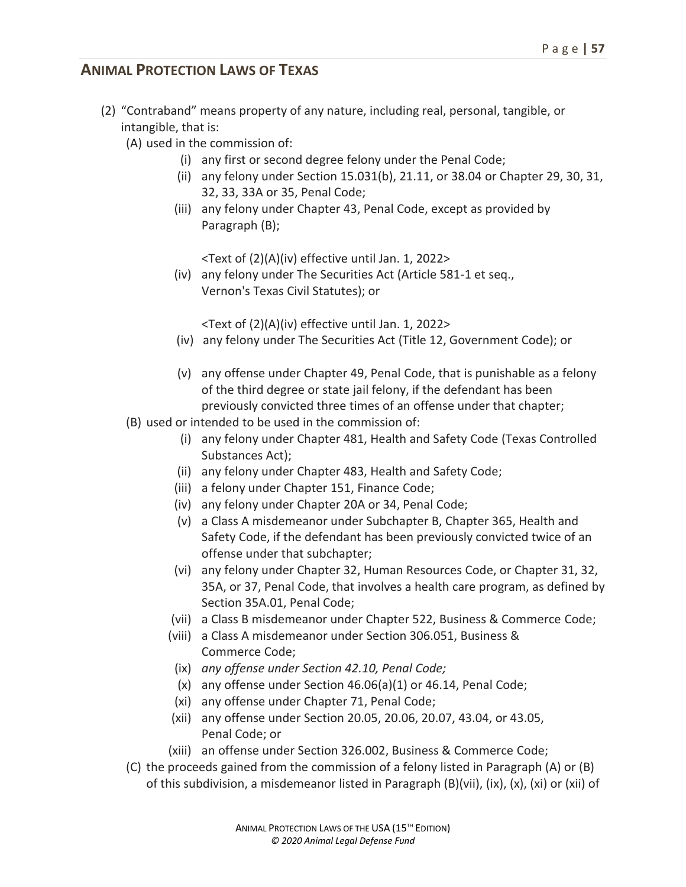- (2) "Contraband" means property of any nature, including real, personal, tangible, or intangible, that is:
	- (A) used in the commission of:
		- (i) any first or second degree felony under the Penal Code;
		- (ii) any felony under Section 15.031(b), 21.11, or 38.04 or Chapter 29, 30, 31, 32, 33, 33A or 35, Penal Code;
		- (iii) any felony under Chapter 43, Penal Code, except as provided by Paragraph (B);

<Text of (2)(A)(iv) effective until Jan. 1, 2022>

(iv) any felony under The Securities Act (Article 581-1 et seq., Vernon's Texas Civil Statutes); or

<Text of (2)(A)(iv) effective until Jan. 1, 2022>

- (iv) any felony under The Securities Act (Title 12, Government Code); or
- (v) any offense under Chapter 49, Penal Code, that is punishable as a felony of the third degree or state jail felony, if the defendant has been previously convicted three times of an offense under that chapter;
- (B) used or intended to be used in the commission of:
	- (i) any felony under Chapter 481, Health and Safety Code (Texas Controlled Substances Act);
	- (ii) any felony under Chapter 483, Health and Safety Code;
	- (iii) a felony under Chapter 151, Finance Code;
	- (iv) any felony under Chapter 20A or 34, Penal Code;
	- (v) a Class A misdemeanor under Subchapter B, Chapter 365, Health and Safety Code, if the defendant has been previously convicted twice of an offense under that subchapter;
	- (vi) any felony under Chapter 32, Human Resources Code, or Chapter 31, 32, 35A, or 37, Penal Code, that involves a health care program, as defined by Section 35A.01, Penal Code;
	- (vii) a Class B misdemeanor under Chapter 522, Business & Commerce Code;
	- (viii) a Class A misdemeanor under Section 306.051, Business & Commerce Code;
	- (ix) *any offense under Section 42.10, Penal Code;*
	- (x) any offense under Section 46.06(a)(1) or 46.14, Penal Code;
	- (xi) any offense under Chapter 71, Penal Code;
	- (xii) any offense under Section 20.05, 20.06, 20.07, 43.04, or 43.05, Penal Code; or
	- (xiii) an offense under Section 326.002, Business & Commerce Code;
- (C) the proceeds gained from the commission of a felony listed in Paragraph (A) or (B) of this subdivision, a misdemeanor listed in Paragraph  $(B)(vii)$ ,  $(ix)$ ,  $(x)$ ,  $(xi)$  or  $(xii)$  of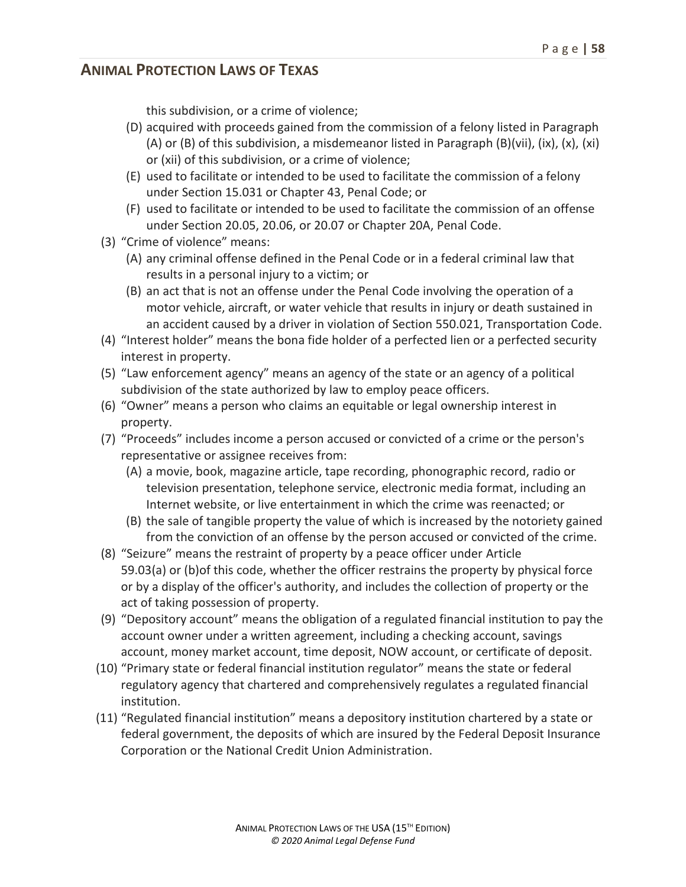this subdivision, or a crime of violence;

- (D) acquired with proceeds gained from the commission of a felony listed in Paragraph (A) or (B) of this subdivision, a misdemeanor listed in Paragraph (B)(vii), (ix), (x), (xi) or (xii) of this subdivision, or a crime of violence;
- (E) used to facilitate or intended to be used to facilitate the commission of a felony under Section 15.031 or Chapter 43, Penal Code; or
- (F) used to facilitate or intended to be used to facilitate the commission of an offense under Section 20.05, 20.06, or 20.07 or Chapter 20A, Penal Code.
- (3) "Crime of violence" means:
	- (A) any criminal offense defined in the Penal Code or in a federal criminal law that results in a personal injury to a victim; or
	- (B) an act that is not an offense under the Penal Code involving the operation of a motor vehicle, aircraft, or water vehicle that results in injury or death sustained in an accident caused by a driver in violation of Section 550.021, Transportation Code.
- (4) "Interest holder" means the bona fide holder of a perfected lien or a perfected security interest in property.
- (5) "Law enforcement agency" means an agency of the state or an agency of a political subdivision of the state authorized by law to employ peace officers.
- (6) "Owner" means a person who claims an equitable or legal ownership interest in property.
- (7) "Proceeds" includes income a person accused or convicted of a crime or the person's representative or assignee receives from:
	- (A) a movie, book, magazine article, tape recording, phonographic record, radio or television presentation, telephone service, electronic media format, including an Internet website, or live entertainment in which the crime was reenacted; or
	- (B) the sale of tangible property the value of which is increased by the notoriety gained from the conviction of an offense by the person accused or convicted of the crime.
- (8) "Seizure" means the restraint of property by a peace officer under Article 59.03(a) or (b)of this code, whether the officer restrains the property by physical force or by a display of the officer's authority, and includes the collection of property or the act of taking possession of property.
- (9) "Depository account" means the obligation of a regulated financial institution to pay the account owner under a written agreement, including a checking account, savings account, money market account, time deposit, NOW account, or certificate of deposit.
- (10) "Primary state or federal financial institution regulator" means the state or federal regulatory agency that chartered and comprehensively regulates a regulated financial institution.
- (11) "Regulated financial institution" means a depository institution chartered by a state or federal government, the deposits of which are insured by the Federal Deposit Insurance Corporation or the National Credit Union Administration.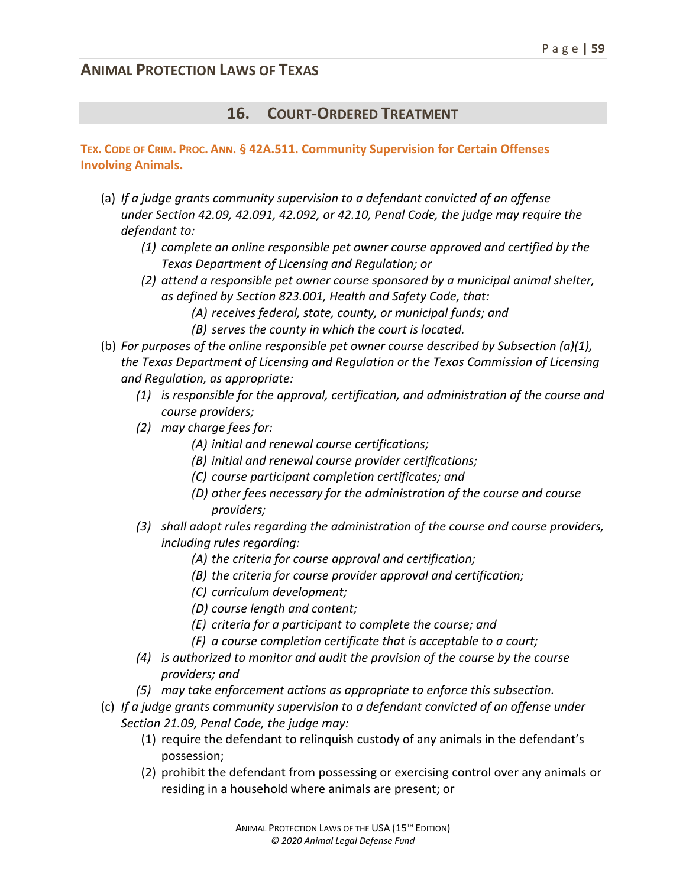### **16. COURT-ORDERED TREATMENT**

### **TEX. CODE OF CRIM. PROC. ANN. § 42A.511. Community Supervision for Certain Offenses Involving Animals.**

- (a) *If a judge grants community supervision to a defendant convicted of an offense under Section 42.09, 42.091, 42.092, or 42.10, Penal Code, the judge may require the defendant to:*
	- *(1) complete an online responsible pet owner course approved and certified by the Texas Department of Licensing and Regulation; or*
	- *(2) attend a responsible pet owner course sponsored by a municipal animal shelter, as defined by Section 823.001, Health and Safety Code, that:*
		- *(A) receives federal, state, county, or municipal funds; and*
		- *(B) serves the county in which the court is located.*
- (b) *For purposes of the online responsible pet owner course described by Subsection (a)(1), the Texas Department of Licensing and Regulation or the Texas Commission of Licensing and Regulation, as appropriate:*
	- *(1) is responsible for the approval, certification, and administration of the course and course providers;*
	- *(2) may charge fees for:*
		- *(A) initial and renewal course certifications;*
		- *(B) initial and renewal course provider certifications;*
		- *(C) course participant completion certificates; and*
		- *(D) other fees necessary for the administration of the course and course providers;*
	- *(3) shall adopt rules regarding the administration of the course and course providers, including rules regarding:*
		- *(A) the criteria for course approval and certification;*
		- *(B) the criteria for course provider approval and certification;*
		- *(C) curriculum development;*
		- *(D) course length and content;*
		- *(E) criteria for a participant to complete the course; and*
		- *(F) a course completion certificate that is acceptable to a court;*
	- *(4) is authorized to monitor and audit the provision of the course by the course providers; and*
	- *(5) may take enforcement actions as appropriate to enforce this subsection.*
- (c) *If a judge grants community supervision to a defendant convicted of an offense under Section 21.09, Penal Code, the judge may:*
	- (1) require the defendant to relinquish custody of any animals in the defendant's possession;
	- (2) prohibit the defendant from possessing or exercising control over any animals or residing in a household where animals are present; or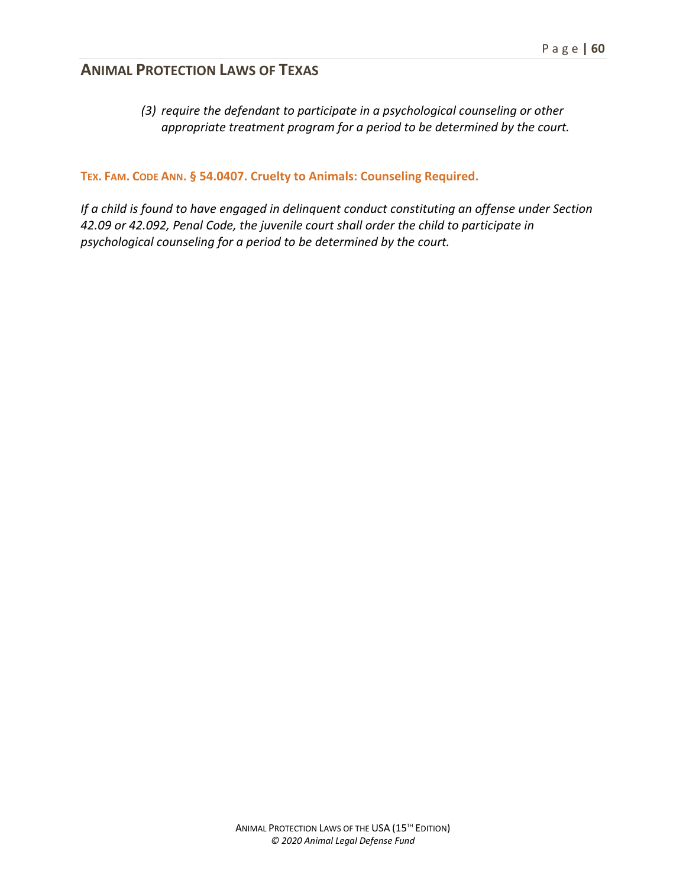*(3) require the defendant to participate in a psychological counseling or other appropriate treatment program for a period to be determined by the court.*

**TEX. FAM. CODE ANN. § 54.0407. Cruelty to Animals: Counseling Required.** 

*If a child is found to have engaged in delinquent conduct constituting an offense under Section 42.09 or 42.092, Penal Code, the juvenile court shall order the child to participate in psychological counseling for a period to be determined by the court.*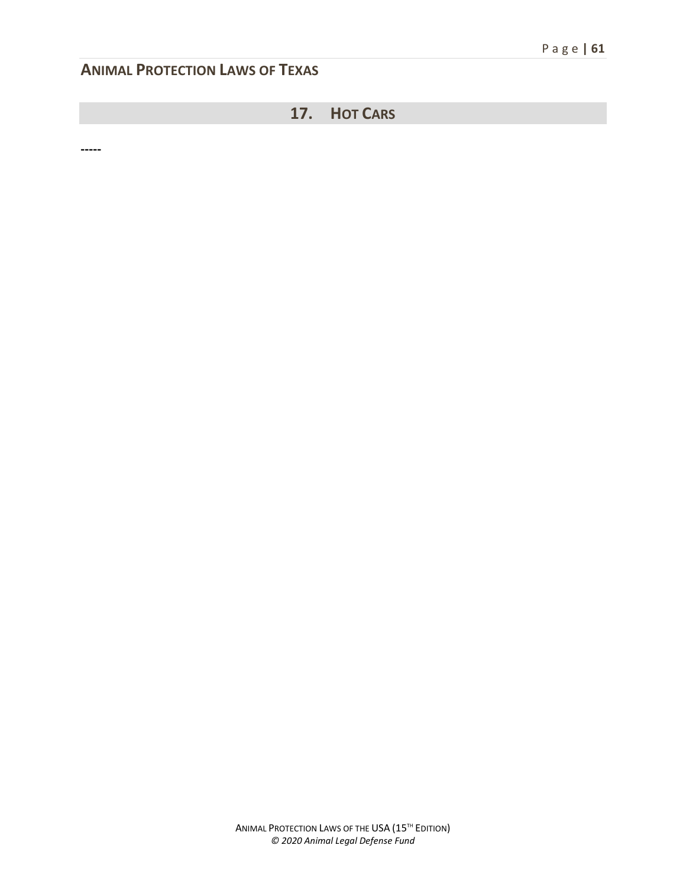# **17. HOT CARS**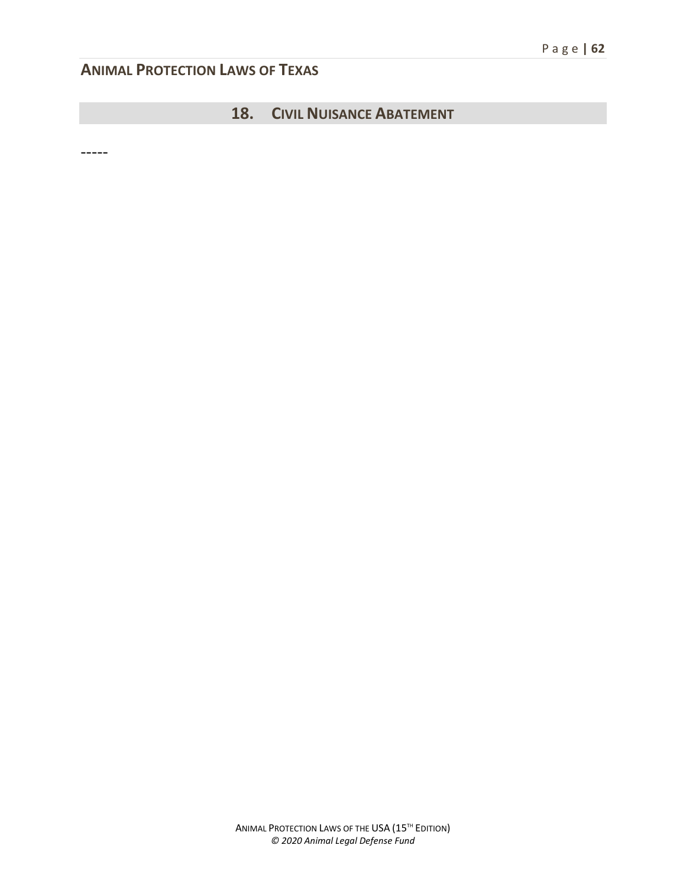# **18. CIVIL NUISANCE ABATEMENT**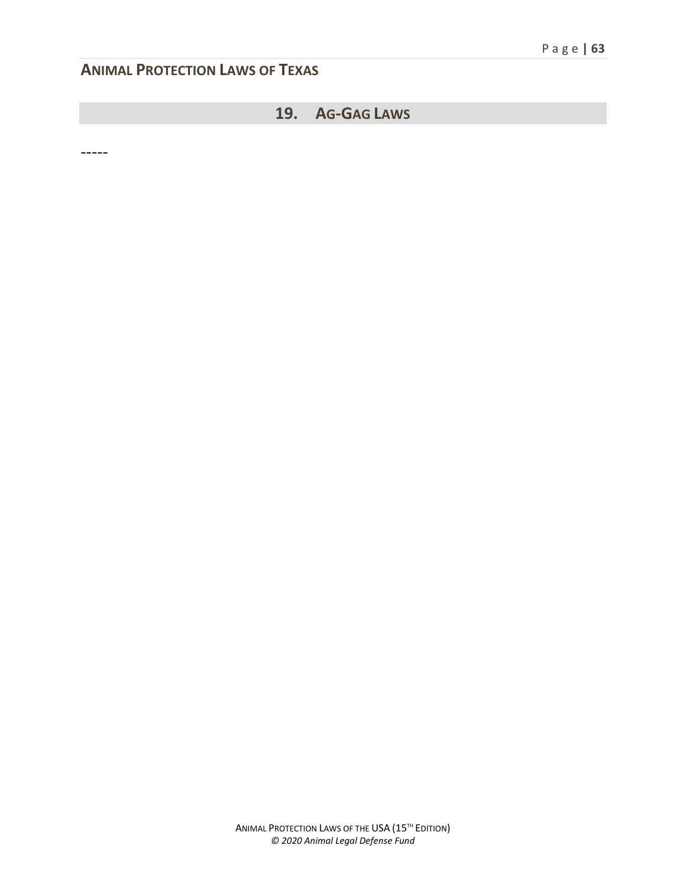# **19. AG-GAG LAWS**